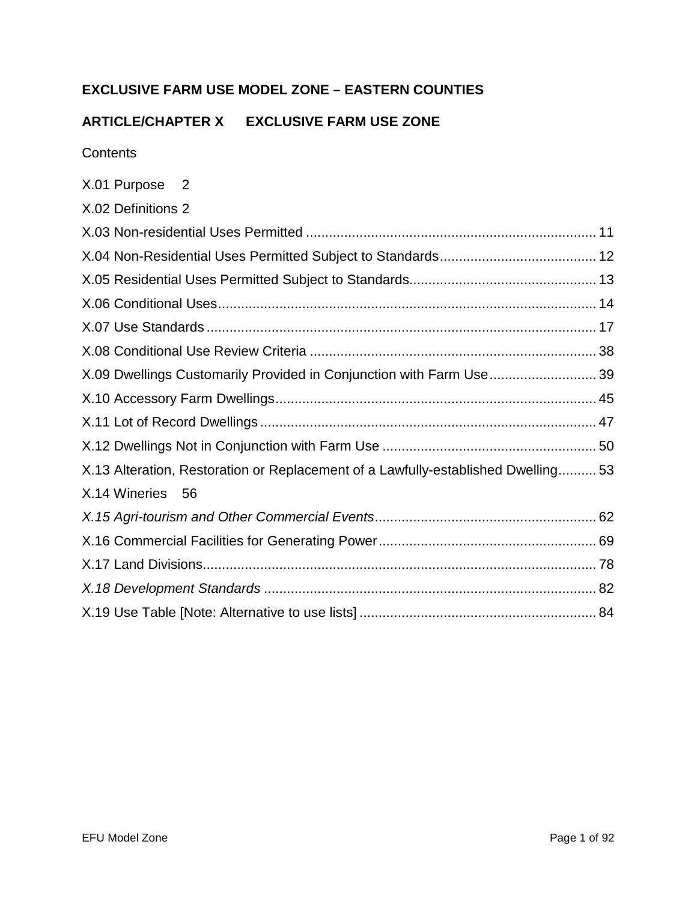# **EXCLUSIVE FARM USE MODEL ZONE – EASTERN COUNTIES**

# **ARTICLE/CHAPTER X EXCLUSIVE FARM USE ZONE**

**Contents** 

| X.01 Purpose 2     |                                                                                   |  |
|--------------------|-----------------------------------------------------------------------------------|--|
| X.02 Definitions 2 |                                                                                   |  |
|                    |                                                                                   |  |
|                    |                                                                                   |  |
|                    |                                                                                   |  |
|                    |                                                                                   |  |
|                    |                                                                                   |  |
|                    |                                                                                   |  |
|                    | X.09 Dwellings Customarily Provided in Conjunction with Farm Use 39               |  |
|                    |                                                                                   |  |
|                    |                                                                                   |  |
|                    |                                                                                   |  |
|                    | X.13 Alteration, Restoration or Replacement of a Lawfully-established Dwelling 53 |  |
| X.14 Wineries 56   |                                                                                   |  |
|                    |                                                                                   |  |
|                    |                                                                                   |  |
|                    |                                                                                   |  |
|                    |                                                                                   |  |
|                    |                                                                                   |  |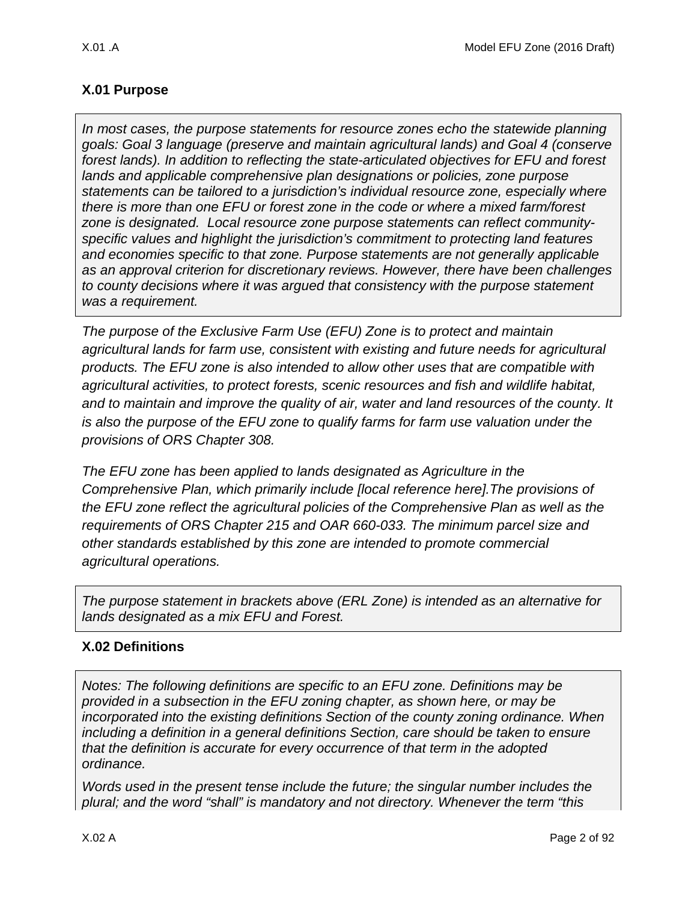# <span id="page-1-0"></span>**X.01 Purpose**

*In most cases, the purpose statements for resource zones echo the statewide planning goals: Goal 3 language (preserve and maintain agricultural lands) and Goal 4 (conserve forest lands). In addition to reflecting the state-articulated objectives for EFU and forest lands and applicable comprehensive plan designations or policies, zone purpose statements can be tailored to a jurisdiction's individual resource zone, especially where there is more than one EFU or forest zone in the code or where a mixed farm/forest zone is designated. Local resource zone purpose statements can reflect communityspecific values and highlight the jurisdiction's commitment to protecting land features and economies specific to that zone. Purpose statements are not generally applicable as an approval criterion for discretionary reviews. However, there have been challenges to county decisions where it was argued that consistency with the purpose statement was a requirement.* 

*The purpose of the Exclusive Farm Use (EFU) Zone is to protect and maintain agricultural lands for farm use, consistent with existing and future needs for agricultural products. The EFU zone is also intended to allow other uses that are compatible with agricultural activities, to protect forests, scenic resources and fish and wildlife habitat, and to maintain and improve the quality of air, water and land resources of the county. It is also the purpose of the EFU zone to qualify farms for farm use valuation under the provisions of ORS Chapter 308.*

*The EFU zone has been applied to lands designated as Agriculture in the Comprehensive Plan, which primarily include [local reference here].The provisions of the EFU zone reflect the agricultural policies of the Comprehensive Plan as well as the requirements of ORS Chapter 215 and OAR 660-033. The minimum parcel size and other standards established by this zone are intended to promote commercial agricultural operations.*

*The purpose statement in brackets above (ERL Zone) is intended as an alternative for lands designated as a mix EFU and Forest.*

# <span id="page-1-1"></span>**X.02 Definitions**

*Notes: The following definitions are specific to an EFU zone. Definitions may be provided in a subsection in the EFU zoning chapter, as shown here, or may be incorporated into the existing definitions Section of the county zoning ordinance. When including a definition in a general definitions Section, care should be taken to ensure that the definition is accurate for every occurrence of that term in the adopted ordinance.* 

*Words used in the present tense include the future; the singular number includes the plural; and the word "shall" is mandatory and not directory. Whenever the term "this*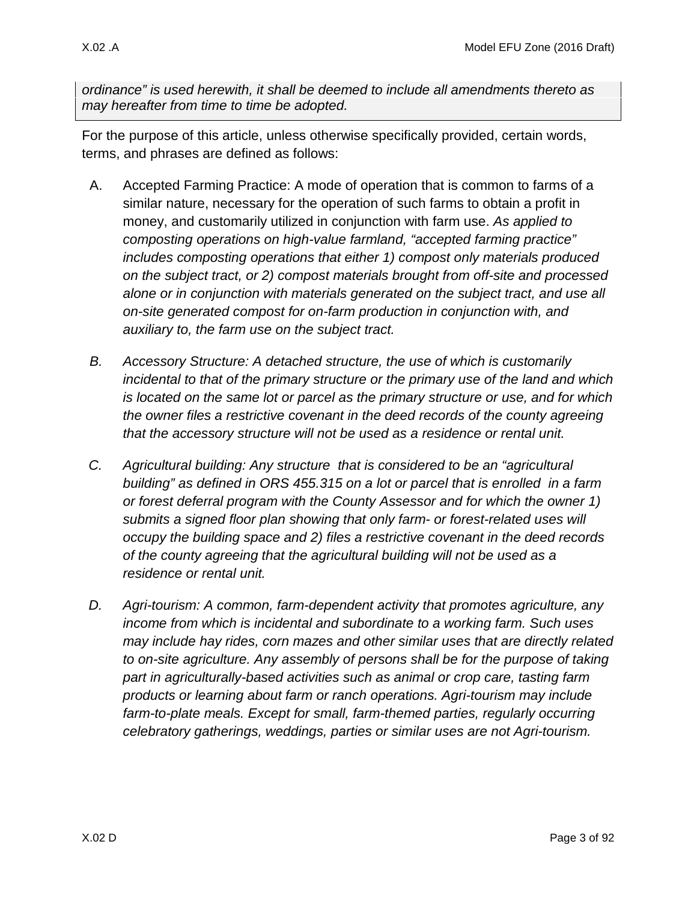*ordinance" is used herewith, it shall be deemed to include all amendments thereto as may hereafter from time to time be adopted.*

For the purpose of this article, unless otherwise specifically provided, certain words, terms, and phrases are defined as follows:

- A. Accepted Farming Practice: A mode of operation that is common to farms of a similar nature, necessary for the operation of such farms to obtain a profit in money, and customarily utilized in conjunction with farm use. *As applied to composting operations on high-value farmland, "accepted farming practice" includes composting operations that either 1) compost only materials produced on the subject tract, or 2) compost materials brought from off-site and processed alone or in conjunction with materials generated on the subject tract, and use all on-site generated compost for on-farm production in conjunction with, and auxiliary to, the farm use on the subject tract.*
- *B. Accessory Structure: A detached structure, the use of which is customarily incidental to that of the primary structure or the primary use of the land and which is located on the same lot or parcel as the primary structure or use, and for which the owner files a restrictive covenant in the deed records of the county agreeing that the accessory structure will not be used as a residence or rental unit.*
- *C. Agricultural building: Any structure that is considered to be an "agricultural building" as defined in ORS 455.315 on a lot or parcel that is enrolled in a farm or forest deferral program with the County Assessor and for which the owner 1) submits a signed floor plan showing that only farm- or forest-related uses will occupy the building space and 2) files a restrictive covenant in the deed records of the county agreeing that the agricultural building will not be used as a residence or rental unit.*
- *D. Agri-tourism: A common, farm-dependent activity that promotes agriculture, any income from which is incidental and subordinate to a working farm. Such uses may include hay rides, corn mazes and other similar uses that are directly related to on-site agriculture. Any assembly of persons shall be for the purpose of taking part in agriculturally-based activities such as animal or crop care, tasting farm products or learning about farm or ranch operations. Agri-tourism may include*  farm-to-plate meals. Except for small, farm-themed parties, regularly occurring *celebratory gatherings, weddings, parties or similar uses are not Agri-tourism.*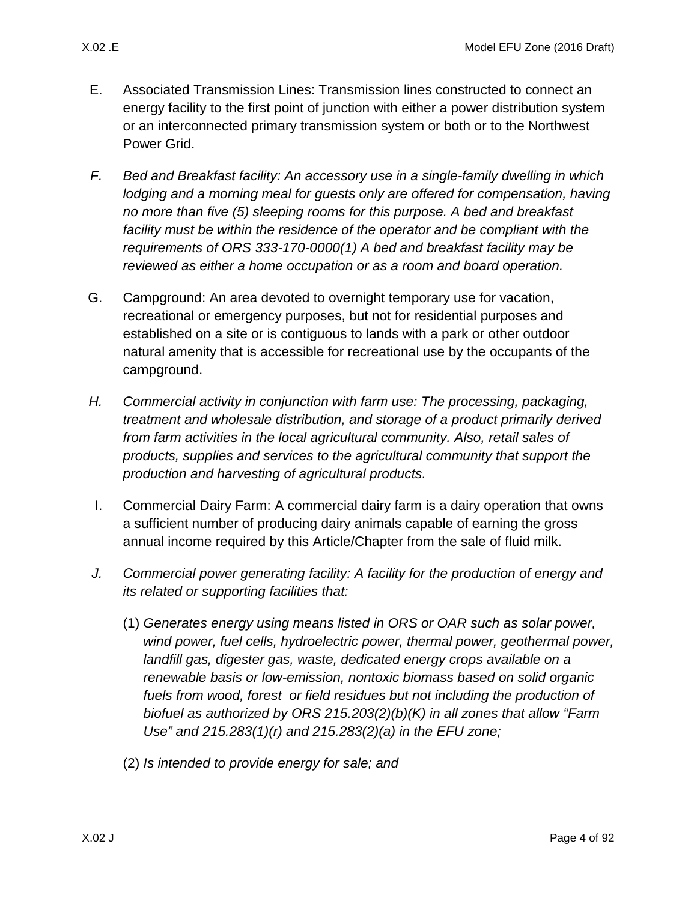- E. Associated Transmission Lines: Transmission lines constructed to connect an energy facility to the first point of junction with either a power distribution system or an interconnected primary transmission system or both or to the Northwest Power Grid.
- *F. Bed and Breakfast facility: An accessory use in a single-family dwelling in which lodging and a morning meal for guests only are offered for compensation, having no more than five (5) sleeping rooms for this purpose. A bed and breakfast*  facility must be within the residence of the operator and be compliant with the *requirements of ORS 333-170-0000(1) A bed and breakfast facility may be reviewed as either a home occupation or as a room and board operation.*
- G. Campground: An area devoted to overnight temporary use for vacation, recreational or emergency purposes, but not for residential purposes and established on a site or is contiguous to lands with a park or other outdoor natural amenity that is accessible for recreational use by the occupants of the campground.
- *H. Commercial activity in conjunction with farm use: The processing, packaging, treatment and wholesale distribution, and storage of a product primarily derived from farm activities in the local agricultural community. Also, retail sales of products, supplies and services to the agricultural community that support the production and harvesting of agricultural products.*
- I. Commercial Dairy Farm: A commercial dairy farm is a dairy operation that owns a sufficient number of producing dairy animals capable of earning the gross annual income required by this Article/Chapter from the sale of fluid milk.
- *J. Commercial power generating facility: A facility for the production of energy and its related or supporting facilities that:* 
	- (1) *Generates energy using means listed in ORS or OAR such as solar power, wind power, fuel cells, hydroelectric power, thermal power, geothermal power, landfill gas, digester gas, waste, dedicated energy crops available on a renewable basis or low-emission, nontoxic biomass based on solid organic fuels from wood, forest or field residues but not including the production of biofuel as authorized by ORS 215.203(2)(b)(K) in all zones that allow "Farm Use" and 215.283(1)(r) and 215.283(2)(a) in the EFU zone;*
	- (2) *Is intended to provide energy for sale; and*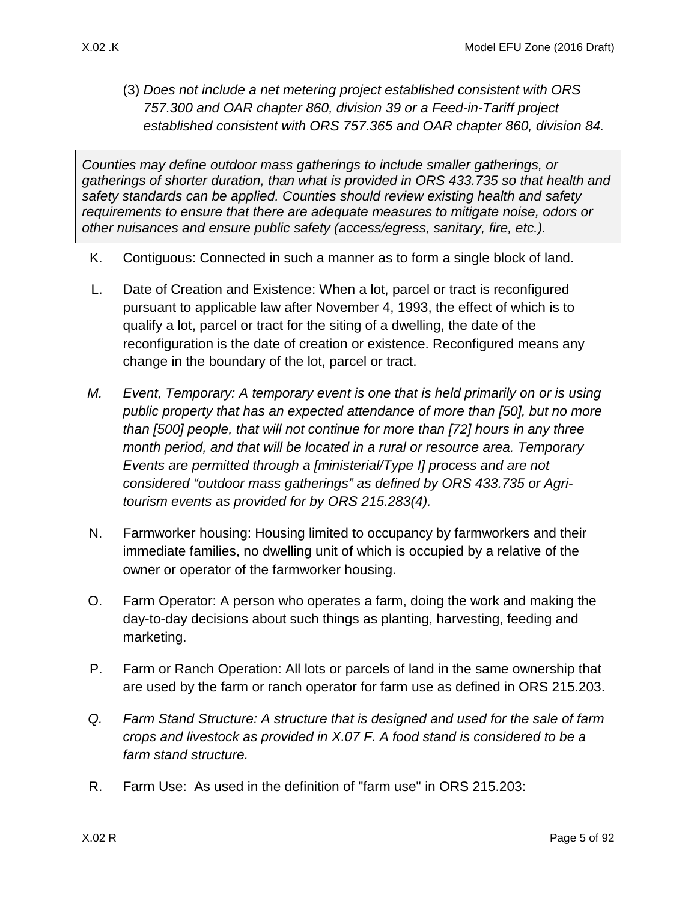(3) *Does not include a net metering project established consistent with ORS 757.300 and OAR chapter 860, division 39 or a Feed-in-Tariff project established consistent with ORS 757.365 and OAR chapter 860, division 84.*

*Counties may define outdoor mass gatherings to include smaller gatherings, or gatherings of shorter duration, than what is provided in ORS 433.735 so that health and safety standards can be applied. Counties should review existing health and safety requirements to ensure that there are adequate measures to mitigate noise, odors or other nuisances and ensure public safety (access/egress, sanitary, fire, etc.).* 

- K. Contiguous: Connected in such a manner as to form a single block of land.
- L. Date of Creation and Existence: When a lot, parcel or tract is reconfigured pursuant to applicable law after November 4, 1993, the effect of which is to qualify a lot, parcel or tract for the siting of a dwelling, the date of the reconfiguration is the date of creation or existence. Reconfigured means any change in the boundary of the lot, parcel or tract.
- *M. Event, Temporary: A temporary event is one that is held primarily on or is using public property that has an expected attendance of more than [50], but no more than [500] people, that will not continue for more than [72] hours in any three month period, and that will be located in a rural or resource area. Temporary Events are permitted through a [ministerial/Type I] process and are not considered "outdoor mass gatherings" as defined by ORS 433.735 or Agritourism events as provided for by ORS 215.283(4).*
- N. Farmworker housing: Housing limited to occupancy by farmworkers and their immediate families, no dwelling unit of which is occupied by a relative of the owner or operator of the farmworker housing.
- O. Farm Operator: A person who operates a farm, doing the work and making the day-to-day decisions about such things as planting, harvesting, feeding and marketing.
- P. Farm or Ranch Operation: All lots or parcels of land in the same ownership that are used by the farm or ranch operator for farm use as defined in ORS 215.203.
- *Q. Farm Stand Structure: A structure that is designed and used for the sale of farm crops and livestock as provided in [X.07 F.](#page-18-0) A food stand is considered to be a farm stand structure.*
- R. Farm Use: As used in the definition of "farm use" in ORS 215.203: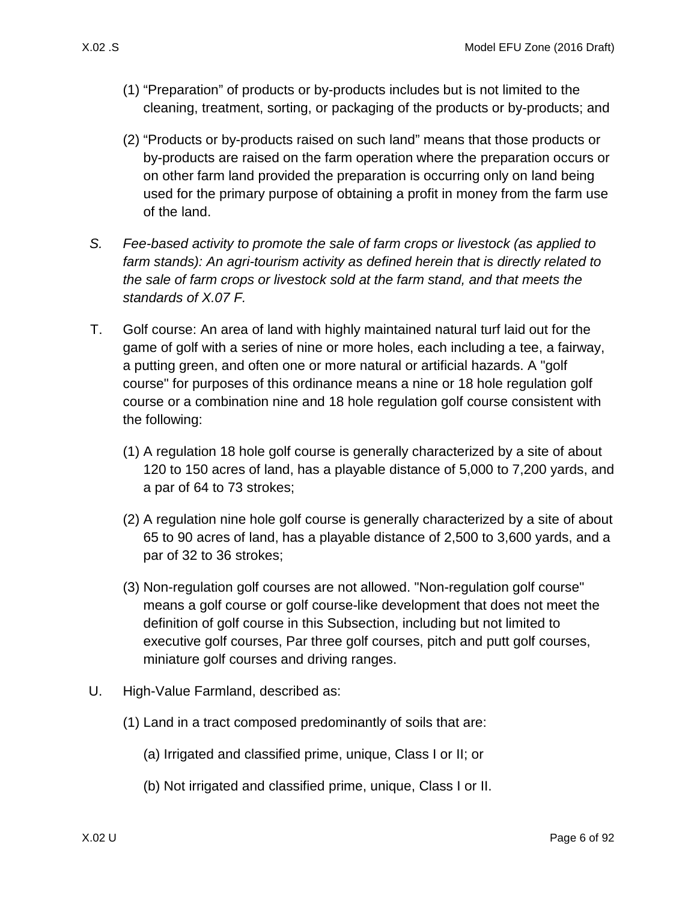- (1) "Preparation" of products or by-products includes but is not limited to the cleaning, treatment, sorting, or packaging of the products or by-products; and
- (2) "Products or by-products raised on such land" means that those products or by-products are raised on the farm operation where the preparation occurs or on other farm land provided the preparation is occurring only on land being used for the primary purpose of obtaining a profit in money from the farm use of the land.
- *S. Fee-based activity to promote the sale of farm crops or livestock (as applied to farm stands): An agri-tourism activity as defined herein that is directly related to the sale of farm crops or livestock sold at the farm stand, and that meets the standards of [X.07 F.](#page-18-0)*
- T. Golf course: An area of land with highly maintained natural turf laid out for the game of golf with a series of nine or more holes, each including a tee, a fairway, a putting green, and often one or more natural or artificial hazards. A "golf course" for purposes of this ordinance means a nine or 18 hole regulation golf course or a combination nine and 18 hole regulation golf course consistent with the following:
	- (1) A regulation 18 hole golf course is generally characterized by a site of about 120 to 150 acres of land, has a playable distance of 5,000 to 7,200 yards, and a par of 64 to 73 strokes;
	- (2) A regulation nine hole golf course is generally characterized by a site of about 65 to 90 acres of land, has a playable distance of 2,500 to 3,600 yards, and a par of 32 to 36 strokes;
	- (3) Non-regulation golf courses are not allowed. "Non-regulation golf course" means a golf course or golf course-like development that does not meet the definition of golf course in this Subsection, including but not limited to executive golf courses, Par three golf courses, pitch and putt golf courses, miniature golf courses and driving ranges.
- <span id="page-5-0"></span>U. High-Value Farmland, described as:
	- (1) Land in a tract composed predominantly of soils that are:
		- (a) Irrigated and classified prime, unique, Class I or II; or
		- (b) Not irrigated and classified prime, unique, Class I or II.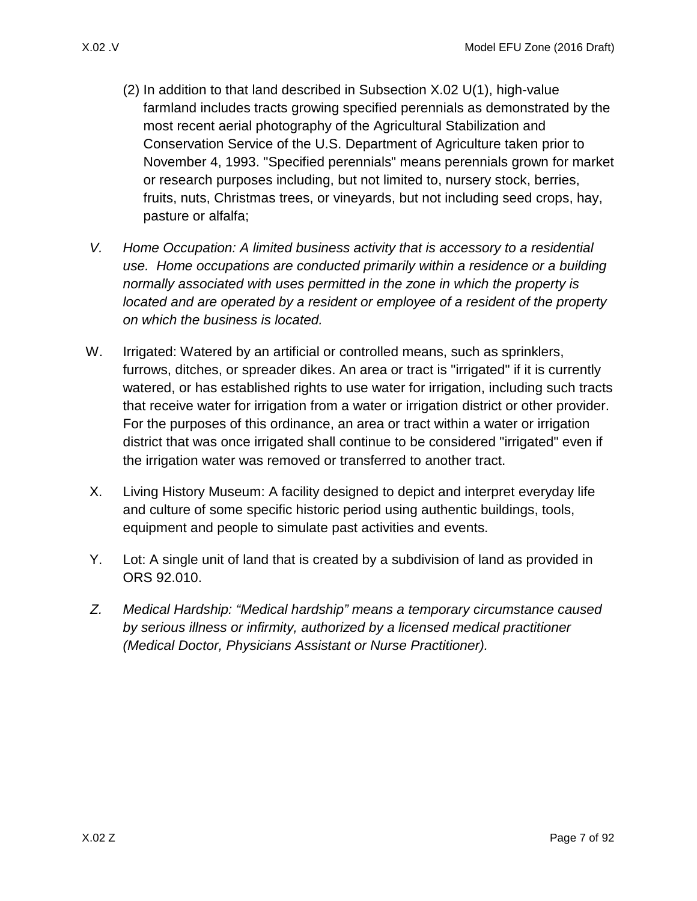- (2) In addition to that land described in Subsection [X.02 U\(1\),](#page-5-0) high-value farmland includes tracts growing specified perennials as demonstrated by the most recent aerial photography of the Agricultural Stabilization and Conservation Service of the U.S. Department of Agriculture taken prior to November 4, 1993. "Specified perennials" means perennials grown for market or research purposes including, but not limited to, nursery stock, berries, fruits, nuts, Christmas trees, or vineyards, but not including seed crops, hay, pasture or alfalfa;
- *V. Home Occupation: A limited business activity that is accessory to a residential use. Home occupations are conducted primarily within a residence or a building normally associated with uses permitted in the zone in which the property is located and are operated by a resident or employee of a resident of the property on which the business is located.*
- W. Irrigated: Watered by an artificial or controlled means, such as sprinklers, furrows, ditches, or spreader dikes. An area or tract is "irrigated" if it is currently watered, or has established rights to use water for irrigation, including such tracts that receive water for irrigation from a water or irrigation district or other provider. For the purposes of this ordinance, an area or tract within a water or irrigation district that was once irrigated shall continue to be considered "irrigated" even if the irrigation water was removed or transferred to another tract.
- X. Living History Museum: A facility designed to depict and interpret everyday life and culture of some specific historic period using authentic buildings, tools, equipment and people to simulate past activities and events.
- Y. Lot: A single unit of land that is created by a subdivision of land as provided in ORS 92.010.
- *Z. Medical Hardship: "Medical hardship" means a temporary circumstance caused by serious illness or infirmity, authorized by a licensed medical practitioner (Medical Doctor, Physicians Assistant or Nurse Practitioner).*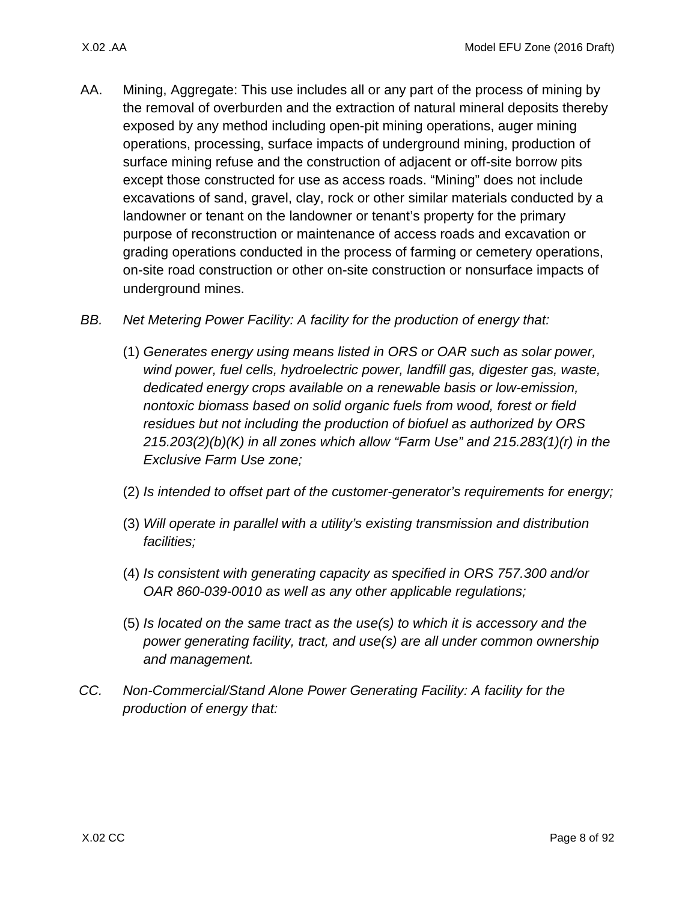- AA. Mining, Aggregate: This use includes all or any part of the process of mining by the removal of overburden and the extraction of natural mineral deposits thereby exposed by any method including open-pit mining operations, auger mining operations, processing, surface impacts of underground mining, production of surface mining refuse and the construction of adjacent or off-site borrow pits except those constructed for use as access roads. "Mining" does not include excavations of sand, gravel, clay, rock or other similar materials conducted by a landowner or tenant on the landowner or tenant's property for the primary purpose of reconstruction or maintenance of access roads and excavation or grading operations conducted in the process of farming or cemetery operations, on-site road construction or other on-site construction or nonsurface impacts of underground mines.
- *BB. Net Metering Power Facility: A facility for the production of energy that:*
	- (1) *Generates energy using means listed in ORS or OAR such as solar power, wind power, fuel cells, hydroelectric power, landfill gas, digester gas, waste, dedicated energy crops available on a renewable basis or low-emission, nontoxic biomass based on solid organic fuels from wood, forest or field residues but not including the production of biofuel as authorized by ORS 215.203(2)(b)(K) in all zones which allow "Farm Use" and 215.283(1)(r) in the Exclusive Farm Use zone;*
	- (2) *Is intended to offset part of the customer-generator's requirements for energy;*
	- (3) *Will operate in parallel with a utility's existing transmission and distribution facilities;*
	- (4) *Is consistent with generating capacity as specified in ORS 757.300 and/or OAR 860-039-0010 as well as any other applicable regulations;*
	- (5) *Is located on the same tract as the use(s) to which it is accessory and the power generating facility, tract, and use(s) are all under common ownership and management.*
- *CC. Non-Commercial/Stand Alone Power Generating Facility: A facility for the production of energy that:*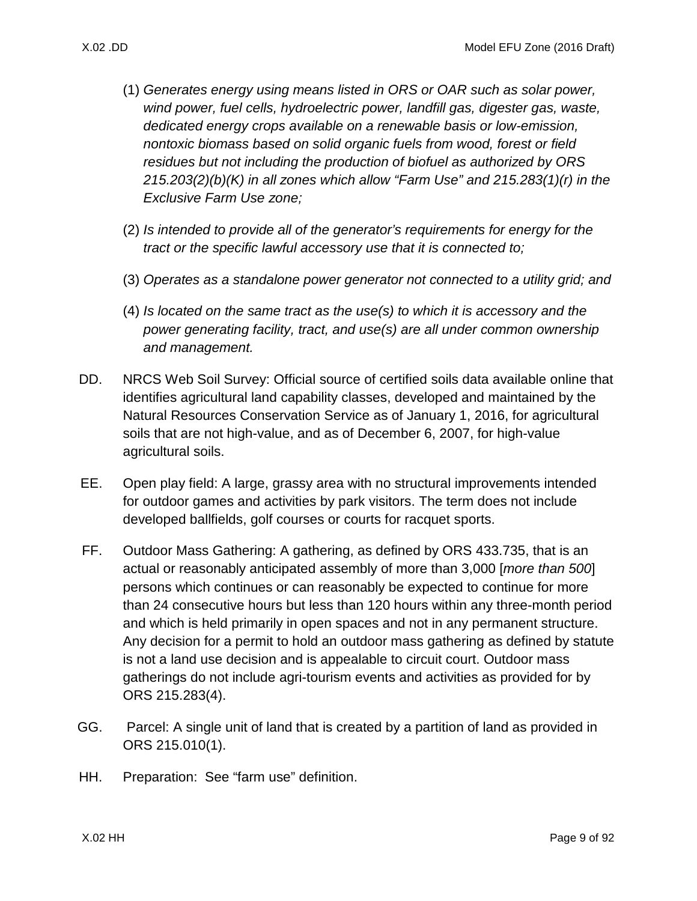- (1) *Generates energy using means listed in ORS or OAR such as solar power, wind power, fuel cells, hydroelectric power, landfill gas, digester gas, waste, dedicated energy crops available on a renewable basis or low-emission, nontoxic biomass based on solid organic fuels from wood, forest or field residues but not including the production of biofuel as authorized by ORS 215.203(2)(b)(K) in all zones which allow "Farm Use" and 215.283(1)(r) in the Exclusive Farm Use zone;*
- (2) *Is intended to provide all of the generator's requirements for energy for the tract or the specific lawful accessory use that it is connected to;*
- (3) *Operates as a standalone power generator not connected to a utility grid; and*
- (4) *Is located on the same tract as the use(s) to which it is accessory and the power generating facility, tract, and use(s) are all under common ownership and management.*
- DD. NRCS Web Soil Survey: Official source of certified soils data available online that identifies agricultural land capability classes, developed and maintained by the Natural Resources Conservation Service as of January 1, 2016, for agricultural soils that are not high-value, and as of December 6, 2007, for high-value agricultural soils.
- EE. Open play field: A large, grassy area with no structural improvements intended for outdoor games and activities by park visitors. The term does not include developed ballfields, golf courses or courts for racquet sports.
- FF. Outdoor Mass Gathering: A gathering, as defined by ORS 433.735, that is an actual or reasonably anticipated assembly of more than 3,000 [*more than 500*] persons which continues or can reasonably be expected to continue for more than 24 consecutive hours but less than 120 hours within any three-month period and which is held primarily in open spaces and not in any permanent structure. Any decision for a permit to hold an outdoor mass gathering as defined by statute is not a land use decision and is appealable to circuit court. Outdoor mass gatherings do not include agri-tourism events and activities as provided for by ORS 215.283(4).
- GG. Parcel: A single unit of land that is created by a partition of land as provided in ORS 215.010(1).
- HH. Preparation: See "farm use" definition.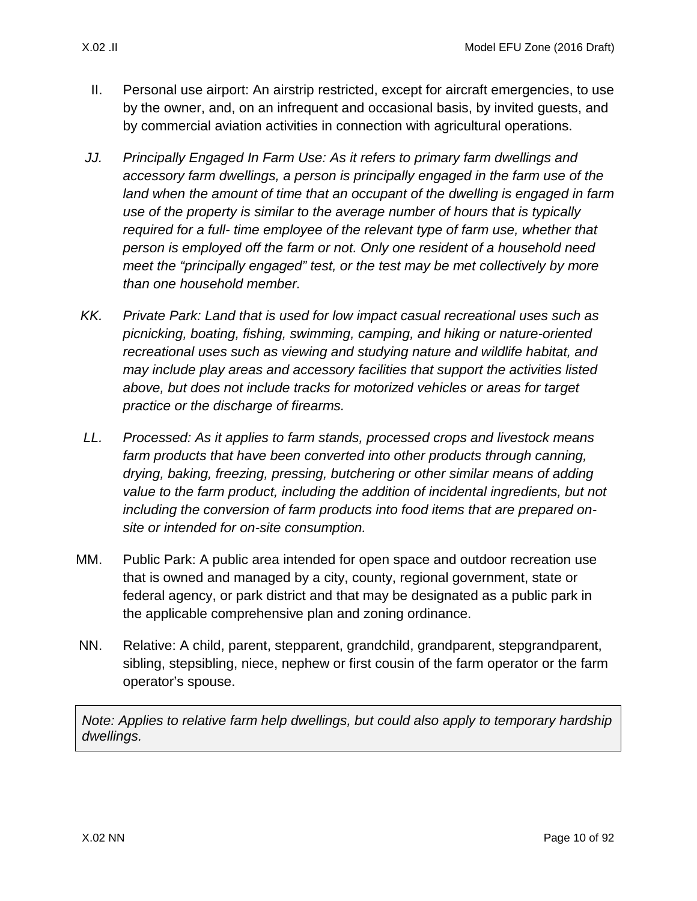- II. Personal use airport: An airstrip restricted, except for aircraft emergencies, to use by the owner, and, on an infrequent and occasional basis, by invited guests, and by commercial aviation activities in connection with agricultural operations.
- *JJ. Principally Engaged In Farm Use: As it refers to primary farm dwellings and accessory farm dwellings, a person is principally engaged in the farm use of the*  land when the amount of time that an occupant of the dwelling is engaged in farm *use of the property is similar to the average number of hours that is typically required for a full- time employee of the relevant type of farm use, whether that person is employed off the farm or not. Only one resident of a household need meet the "principally engaged" test, or the test may be met collectively by more than one household member.*
- *KK. Private Park: Land that is used for low impact casual recreational uses such as picnicking, boating, fishing, swimming, camping, and hiking or nature-oriented recreational uses such as viewing and studying nature and wildlife habitat, and may include play areas and accessory facilities that support the activities listed above, but does not include tracks for motorized vehicles or areas for target practice or the discharge of firearms.*
- *LL. Processed: As it applies to farm stands, processed crops and livestock means*  farm products that have been converted into other products through canning, *drying, baking, freezing, pressing, butchering or other similar means of adding value to the farm product, including the addition of incidental ingredients, but not including the conversion of farm products into food items that are prepared onsite or intended for on-site consumption.*
- MM. Public Park: A public area intended for open space and outdoor recreation use that is owned and managed by a city, county, regional government, state or federal agency, or park district and that may be designated as a public park in the applicable comprehensive plan and zoning ordinance.
- NN. Relative: A child, parent, stepparent, grandchild, grandparent, stepgrandparent, sibling, stepsibling, niece, nephew or first cousin of the farm operator or the farm operator's spouse.

*Note: Applies to relative farm help dwellings, but could also apply to temporary hardship dwellings.*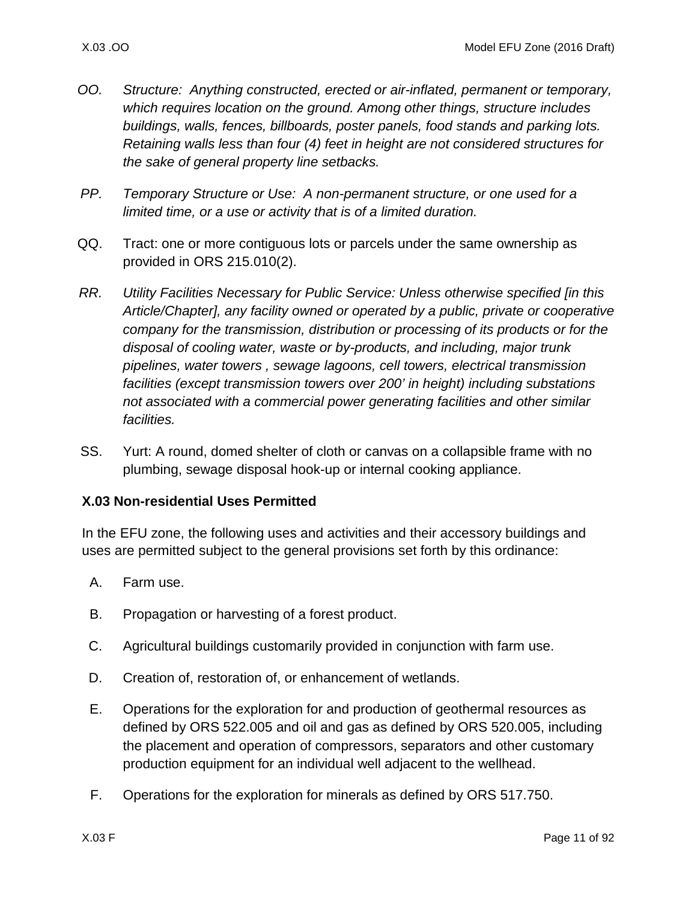- *OO. Structure: Anything constructed, erected or air-inflated, permanent or temporary, which requires location on the ground. Among other things, structure includes buildings, walls, fences, billboards, poster panels, food stands and parking lots. Retaining walls less than four (4) feet in height are not considered structures for the sake of general property line setbacks.*
- *PP. Temporary Structure or Use: A non-permanent structure, or one used for a limited time, or a use or activity that is of a limited duration.*
- QQ. Tract: one or more contiguous lots or parcels under the same ownership as provided in ORS 215.010(2).
- *RR. Utility Facilities Necessary for Public Service: Unless otherwise specified [in this Article/Chapter], any facility owned or operated by a public, private or cooperative company for the transmission, distribution or processing of its products or for the disposal of cooling water, waste or by-products, and including, major trunk pipelines, water towers , sewage lagoons, cell towers, electrical transmission facilities (except transmission towers over 200' in height) including substations not associated with a commercial power generating facilities and other similar facilities.*
- SS. Yurt: A round, domed shelter of cloth or canvas on a collapsible frame with no plumbing, sewage disposal hook-up or internal cooking appliance.

### <span id="page-10-0"></span>**X.03 Non-residential Uses Permitted**

In the EFU zone, the following uses and activities and their accessory buildings and uses are permitted subject to the general provisions set forth by this ordinance:

- A. Farm use.
- B. Propagation or harvesting of a forest product.
- C. Agricultural buildings customarily provided in conjunction with farm use.
- D. Creation of, restoration of, or enhancement of wetlands.
- E. Operations for the exploration for and production of geothermal resources as defined by ORS 522.005 and oil and gas as defined by ORS 520.005, including the placement and operation of compressors, separators and other customary production equipment for an individual well adjacent to the wellhead.
- F. Operations for the exploration for minerals as defined by ORS 517.750.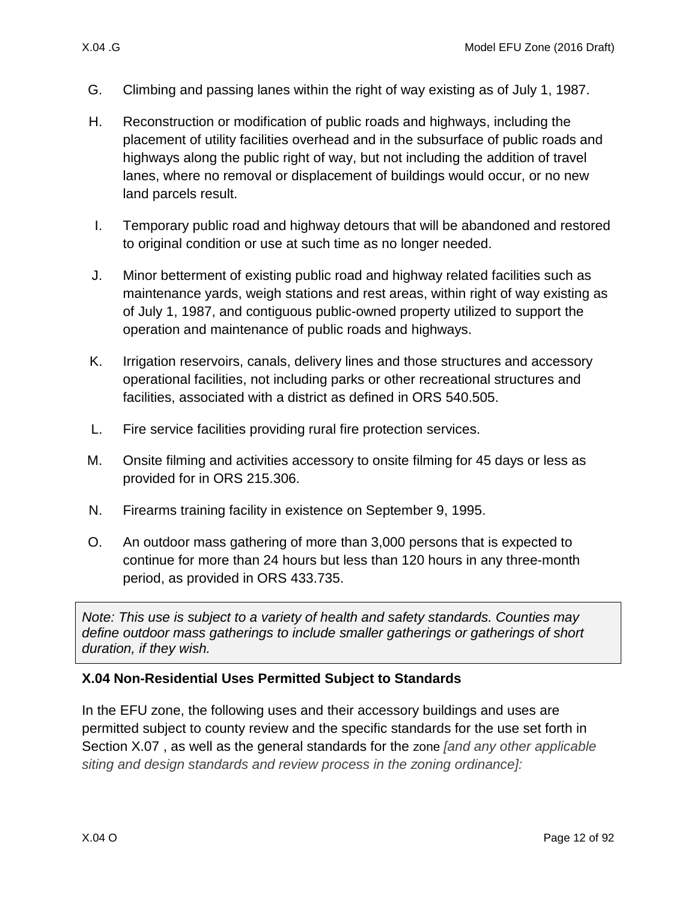- G. Climbing and passing lanes within the right of way existing as of July 1, 1987.
- H. Reconstruction or modification of public roads and highways, including the placement of utility facilities overhead and in the subsurface of public roads and highways along the public right of way, but not including the addition of travel lanes, where no removal or displacement of buildings would occur, or no new land parcels result.
- I. Temporary public road and highway detours that will be abandoned and restored to original condition or use at such time as no longer needed.
- J. Minor betterment of existing public road and highway related facilities such as maintenance yards, weigh stations and rest areas, within right of way existing as of July 1, 1987, and contiguous public-owned property utilized to support the operation and maintenance of public roads and highways.
- K. Irrigation reservoirs, canals, delivery lines and those structures and accessory operational facilities, not including parks or other recreational structures and facilities, associated with a district as defined in ORS 540.505.
- L. Fire service facilities providing rural fire protection services.
- M. Onsite filming and activities accessory to onsite filming for 45 days or less as provided for in ORS 215.306.
- N. Firearms training facility in existence on September 9, 1995.
- O. An outdoor mass gathering of more than 3,000 persons that is expected to continue for more than 24 hours but less than 120 hours in any three-month period, as provided in ORS 433.735.

*Note: This use is subject to a variety of health and safety standards. Counties may define outdoor mass gatherings to include smaller gatherings or gatherings of short duration, if they wish.*

### <span id="page-11-0"></span>**X.04 Non-Residential Uses Permitted Subject to Standards**

In the EFU zone, the following uses and their accessory buildings and uses are permitted subject to county review and the specific standards for the use set forth in Section [X.07 ,](#page-16-0) as well as the general standards for the zone *[and any other applicable siting and design standards and review process in the zoning ordinance]:*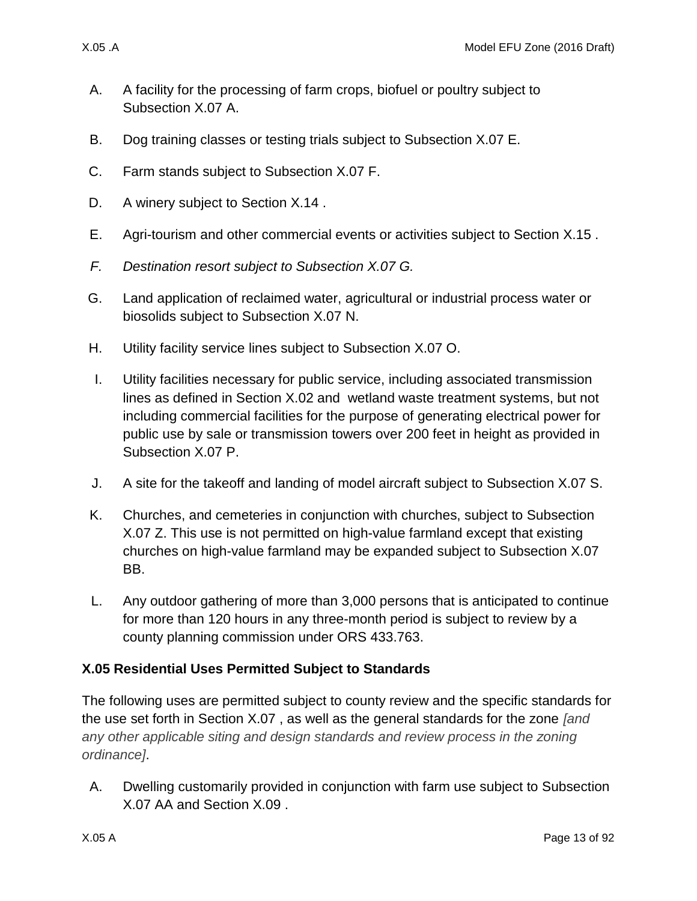- <span id="page-12-2"></span>A. A facility for the processing of farm crops, biofuel or poultry subject to Subsection [X.07 A.](#page-17-0)
- <span id="page-12-1"></span>B. Dog training classes or testing trials subject to Subsection [X.07 E.](#page-18-1)
- C. Farm stands subject to Subsection [X.07 F.](#page-18-0)
- D. A winery subject to Section X.14.
- E. Agri-tourism and other commercial events or activities subject to Section [X.15 .](#page-61-0)
- *F. Destination resort subject to Subsection [X.07 G.](#page-21-0)*
- G. Land application of reclaimed water, agricultural or industrial process water or biosolids subject to Subsection [X.07 N.](#page-27-0)
- H. Utility facility service lines subject to Subsection [X.07 O.](#page-27-1)
- I. Utility facilities necessary for public service, including associated transmission lines as defined in Section [X.02 a](#page-1-1)nd wetland waste treatment systems, but not including commercial facilities for the purpose of generating electrical power for public use by sale or transmission towers over 200 feet in height as provided in Subsection [X.07 P.](#page-27-2)
- J. A site for the takeoff and landing of model aircraft subject to Subsection [X.07 S.](#page-33-0)
- K. Churches, and cemeteries in conjunction with churches, subject to Subsection [X.07 Z.](#page-36-0) This use is not permitted on high-value farmland except that existing churches on high-value farmland may be expanded subject to Subsection [X.07](#page-37-1)  [BB.](#page-37-1)
- L. Any outdoor gathering of more than 3,000 persons that is anticipated to continue for more than 120 hours in any three-month period is subject to review by a county planning commission under ORS 433.763.

# <span id="page-12-0"></span>**X.05 Residential Uses Permitted Subject to Standards**

The following uses are permitted subject to county review and the specific standards for the use set forth in Section [X.07 ,](#page-16-0) as well as the general standards for the zone *[and any other applicable siting and design standards and review process in the zoning ordinance]*.

A. Dwelling customarily provided in conjunction with farm use subject to Subsection [X.07 AA](#page-37-2) and Section [X.09 .](#page-38-0)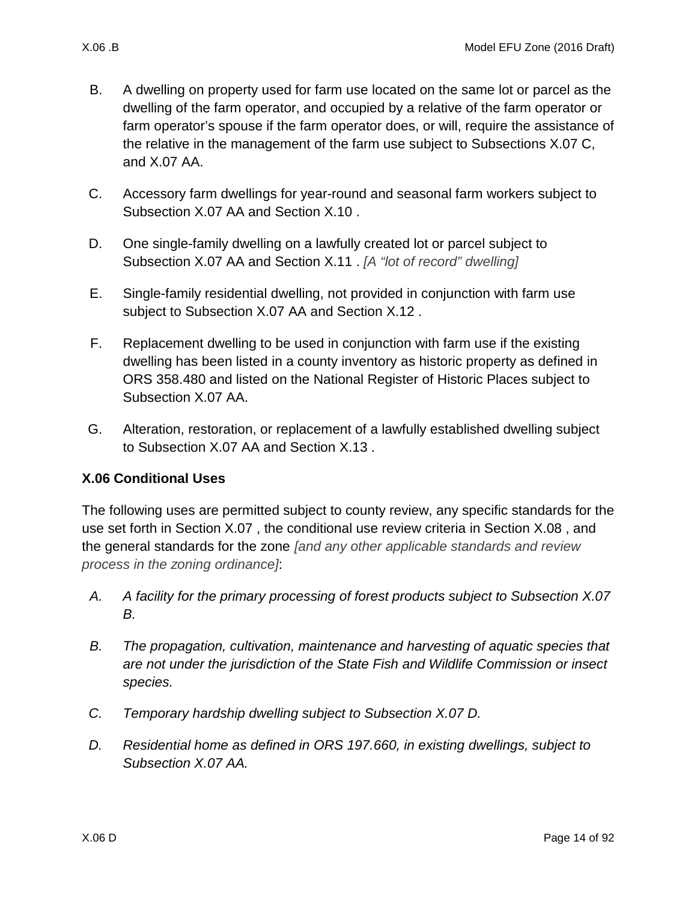- 
- B. A dwelling on property used for farm use located on the same lot or parcel as the dwelling of the farm operator, and occupied by a relative of the farm operator or farm operator's spouse if the farm operator does, or will, require the assistance of the relative in the management of the farm use subject to Subsections [X.07 C,](#page-17-1) and [X.07 AA.](#page-37-2)
- C. Accessory farm dwellings for year-round and seasonal farm workers subject to Subsection [X.07 AA](#page-37-2) and Section [X.10 .](#page-44-0)
- D. One single-family dwelling on a lawfully created lot or parcel subject to Subsection [X.07 AA](#page-37-2) and Section [X.11 .](#page-46-0) *[A "lot of record" dwelling]*
- E. Single-family residential dwelling, not provided in conjunction with farm use subject to Subsection [X.07 AA](#page-37-2) and Section [X.12 .](#page-49-0)
- F. Replacement dwelling to be used in conjunction with farm use if the existing dwelling has been listed in a county inventory as historic property as defined in ORS 358.480 and listed on the National Register of Historic Places subject to Subsection [X.07 AA.](#page-37-2)
- <span id="page-13-1"></span>G. Alteration, restoration, or replacement of a lawfully established dwelling subject to Subsection [X.07 AA](#page-37-2) and Section [X.13 .](#page-52-0)

# <span id="page-13-0"></span>**X.06 Conditional Uses**

The following uses are permitted subject to county review, any specific standards for the use set forth in Section [X.07 ,](#page-16-0) the conditional use review criteria in Section [X.08 ,](#page-37-0) and the general standards for the zone *[and any other applicable standards and review process in the zoning ordinance]*:

- *A. A facility for the primary processing of forest products subject to Subsection [X.07](#page-17-2)  [B.](#page-17-2)*
- *B. The propagation, cultivation, maintenance and harvesting of aquatic species that are not under the jurisdiction of the State Fish and Wildlife Commission or insect species.*
- *C. Temporary hardship dwelling subject to Subsection [X.07 D.](#page-17-3)*
- *D. Residential home as defined in ORS 197.660, in existing dwellings, subject to Subsection [X.07 AA.](#page-37-2)*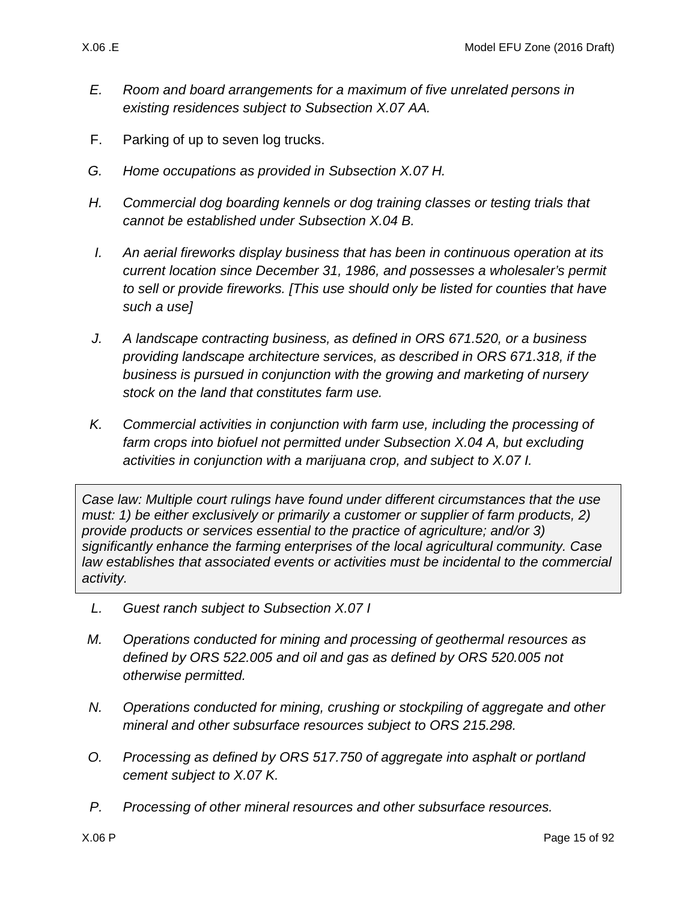- *E. Room and board arrangements for a maximum of five unrelated persons in existing residences subject to Subsection [X.07 AA.](#page-37-2)*
- F. Parking of up to seven log trucks.
- *G. Home occupations as provided in Subsection [X.07 H.](#page-21-1)*
- *H. Commercial dog boarding kennels or dog training classes or testing trials that cannot be established under Subsection [X.04 B.](#page-12-1)*
- *I. An aerial fireworks display business that has been in continuous operation at its current location since December 31, 1986, and possesses a wholesaler's permit to sell or provide fireworks. [This use should only be listed for counties that have such a use]*
- *J. A landscape contracting business, as defined in ORS 671.520, or a business providing landscape architecture services, as described in ORS 671.318, if the business is pursued in conjunction with the growing and marketing of nursery stock on the land that constitutes farm use.*
- *K. Commercial activities in conjunction with farm use, including the processing of farm crops into biofuel not permitted under Subsection [X.04 A,](#page-12-2) but excluding activities in conjunction with a marijuana crop, and subject to [X.07 I.](#page-24-0)*

*Case law: Multiple court rulings have found under different circumstances that the use must: 1) be either exclusively or primarily a customer or supplier of farm products, 2) provide products or services essential to the practice of agriculture; and/or 3) significantly enhance the farming enterprises of the local agricultural community. Case law establishes that associated events or activities must be incidental to the commercial activity.*

- *L. Guest ranch subject to Subsection [X.07 I](#page-24-0)*
- *M. Operations conducted for mining and processing of geothermal resources as defined by ORS 522.005 and oil and gas as defined by ORS 520.005 not otherwise permitted.*
- *N. Operations conducted for mining, crushing or stockpiling of aggregate and other mineral and other subsurface resources subject to ORS 215.298.*
- *O. Processing as defined by ORS 517.750 of aggregate into asphalt or portland cement subject to [X.07 K.](#page-26-0)*
- *P. Processing of other mineral resources and other subsurface resources.*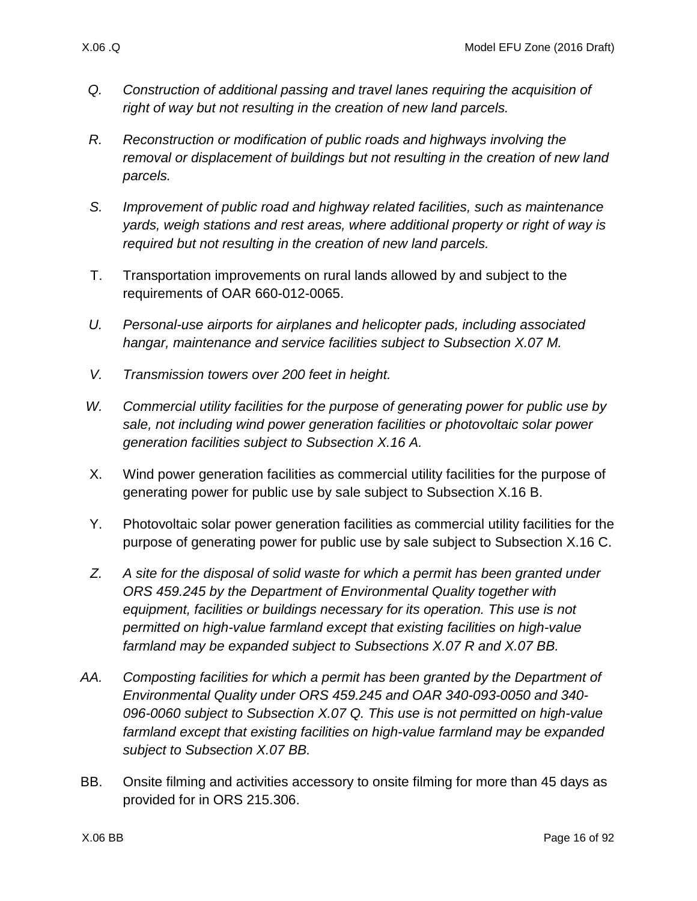- *Q. Construction of additional passing and travel lanes requiring the acquisition of right of way but not resulting in the creation of new land parcels.*
- *R. Reconstruction or modification of public roads and highways involving the removal or displacement of buildings but not resulting in the creation of new land parcels.*
- *S. Improvement of public road and highway related facilities, such as maintenance yards, weigh stations and rest areas, where additional property or right of way is required but not resulting in the creation of new land parcels.*
- T. Transportation improvements on rural lands allowed by and subject to the requirements of OAR 660-012-0065.
- *U. Personal-use airports for airplanes and helicopter pads, including associated hangar, maintenance and service facilities subject to Subsection [X.07 M.](#page-27-3)*
- *V. Transmission towers over 200 feet in height.*
- *W. Commercial utility facilities for the purpose of generating power for public use by sale, not including wind power generation facilities or photovoltaic solar power generation facilities subject to Subsection [X.16 A.](#page-68-1)*
- X. Wind power generation facilities as commercial utility facilities for the purpose of generating power for public use by sale subject to Subsection [X.16 B.](#page-68-2)
- Y. Photovoltaic solar power generation facilities as commercial utility facilities for the purpose of generating power for public use by sale subject to Subsection [X.16 C.](#page-71-0)
- *Z. A site for the disposal of solid waste for which a permit has been granted under ORS 459.245 by the Department of Environmental Quality together with equipment, facilities or buildings necessary for its operation. This use is not permitted on high-value farmland except that existing facilities on high-value farmland may be expanded subject to Subsections [X.07 R](#page-31-0) and [X.07 BB.](#page-37-1)*
- *AA. Composting facilities for which a permit has been granted by the Department of Environmental Quality under ORS 459.245 and OAR 340-093-0050 and 340- 096-0060 subject to Subsection [X.07 Q.](#page-30-0) This use is not permitted on high-value farmland except that existing facilities on high-value farmland may be expanded subject to Subsection [X.07 BB.](#page-37-1)*
- BB. Onsite filming and activities accessory to onsite filming for more than 45 days as provided for in ORS 215.306.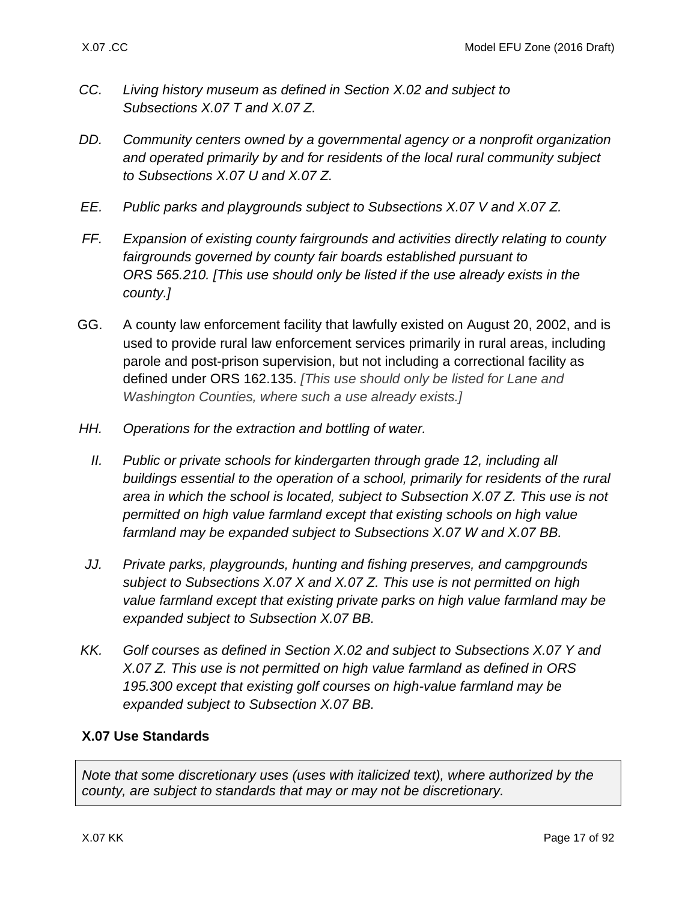- *CC. Living history museum as defined in Section [X.02 a](#page-1-1)nd subject to Subsections [X.07 T](#page-33-1) and [X.07 Z.](#page-36-0)*
- *DD. Community centers owned by a governmental agency or a nonprofit organization and operated primarily by and for residents of the local rural community subject to Subsections [X.07 U](#page-33-2) and [X.07 Z.](#page-36-0)*
- *EE. Public parks and playgrounds subject to Subsections [X.07 V](#page-33-3) and [X.07 Z.](#page-36-0)*
- *FF. Expansion of existing county fairgrounds and activities directly relating to county fairgrounds governed by county fair boards established pursuant to ORS 565.210. [This use should only be listed if the use already exists in the county.]*
- GG. A county law enforcement facility that lawfully existed on August 20, 2002, and is used to provide rural law enforcement services primarily in rural areas, including parole and post-prison supervision, but not including a correctional facility as defined under ORS 162.135. *[This use should only be listed for Lane and Washington Counties, where such a use already exists.]*
- *HH. Operations for the extraction and bottling of water.*
	- *II. Public or private schools for kindergarten through grade 12, including all buildings essential to the operation of a school, primarily for residents of the rural area in which the school is located, subject to Subsection [X.07 Z.](#page-36-0) This use is not permitted on high value farmland except that existing schools on high value farmland may be expanded subject to Subsections [X.07 W](#page-35-0) and [X.07 BB.](#page-37-1)*
- *JJ. Private parks, playgrounds, hunting and fishing preserves, and campgrounds subject to Subsections [X.07 X](#page-35-1) and [X.07 Z.](#page-36-0) This use is not permitted on high value farmland except that existing private parks on high value farmland may be expanded subject to Subsection [X.07 BB.](#page-37-1)*
- *KK. Golf courses as defined in Section [X.02 a](#page-1-1)nd subject to Subsections [X.07 Y](#page-35-2) and [X.07](#page-36-0) Z. This use is not permitted on high value farmland as defined in ORS 195.300 except that existing golf courses on high-value farmland may be expanded subject to Subsection [X.07 BB.](#page-37-1)*

# <span id="page-16-0"></span>**X.07 Use Standards**

*Note that some discretionary uses (uses with italicized text), where authorized by the county, are subject to standards that may or may not be discretionary.*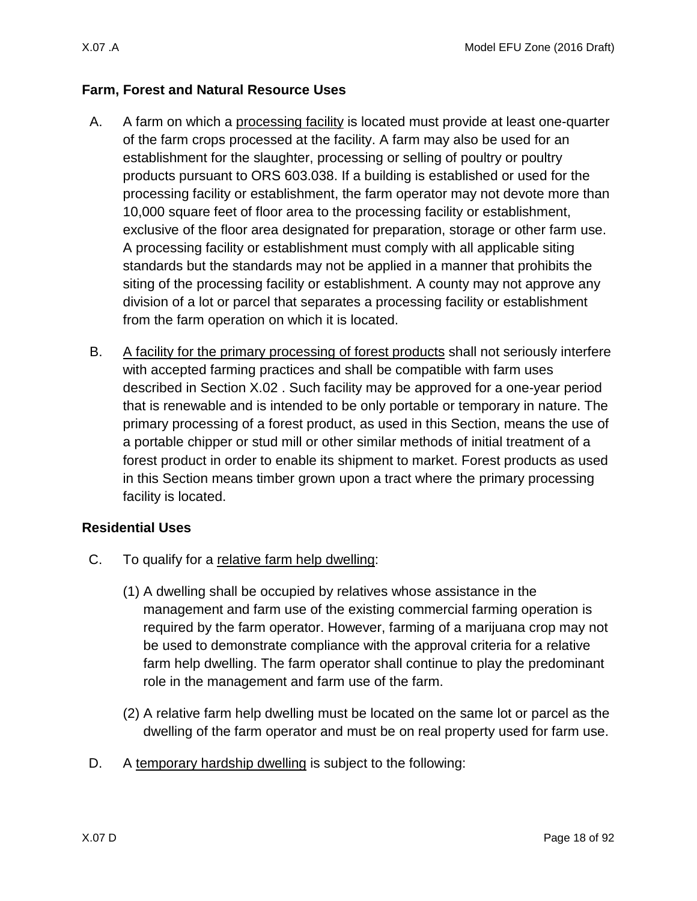### **Farm, Forest and Natural Resource Uses**

- <span id="page-17-0"></span>A. A farm on which a processing facility is located must provide at least one-quarter of the farm crops processed at the facility. A farm may also be used for an establishment for the slaughter, processing or selling of poultry or poultry products pursuant to ORS 603.038. If a building is established or used for the processing facility or establishment, the farm operator may not devote more than 10,000 square feet of floor area to the processing facility or establishment, exclusive of the floor area designated for preparation, storage or other farm use. A processing facility or establishment must comply with all applicable siting standards but the standards may not be applied in a manner that prohibits the siting of the processing facility or establishment. A county may not approve any division of a lot or parcel that separates a processing facility or establishment from the farm operation on which it is located.
- <span id="page-17-2"></span>B. A facility for the primary processing of forest products shall not seriously interfere with accepted farming practices and shall be compatible with farm uses described in Section [X.02 .](#page-1-1) Such facility may be approved for a one-year period that is renewable and is intended to be only portable or temporary in nature. The primary processing of a forest product, as used in this Section, means the use of a portable chipper or stud mill or other similar methods of initial treatment of a forest product in order to enable its shipment to market. Forest products as used in this Section means timber grown upon a tract where the primary processing facility is located.

### **Residential Uses**

- <span id="page-17-1"></span>C. To qualify for a relative farm help dwelling:
	- (1) A dwelling shall be occupied by relatives whose assistance in the management and farm use of the existing commercial farming operation is required by the farm operator. However, farming of a marijuana crop may not be used to demonstrate compliance with the approval criteria for a relative farm help dwelling. The farm operator shall continue to play the predominant role in the management and farm use of the farm.
	- (2) A relative farm help dwelling must be located on the same lot or parcel as the dwelling of the farm operator and must be on real property used for farm use.
- <span id="page-17-3"></span>D. A temporary hardship dwelling is subject to the following: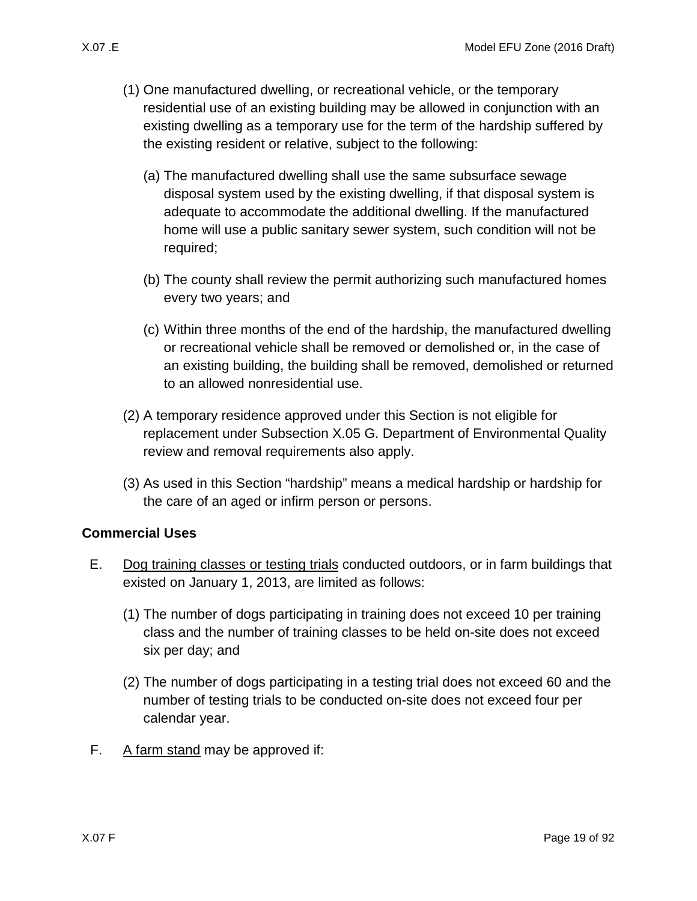- - (1) One manufactured dwelling, or recreational vehicle, or the temporary residential use of an existing building may be allowed in conjunction with an existing dwelling as a temporary use for the term of the hardship suffered by the existing resident or relative, subject to the following:
		- (a) The manufactured dwelling shall use the same subsurface sewage disposal system used by the existing dwelling, if that disposal system is adequate to accommodate the additional dwelling. If the manufactured home will use a public sanitary sewer system, such condition will not be required;
		- (b) The county shall review the permit authorizing such manufactured homes every two years; and
		- (c) Within three months of the end of the hardship, the manufactured dwelling or recreational vehicle shall be removed or demolished or, in the case of an existing building, the building shall be removed, demolished or returned to an allowed nonresidential use.
	- (2) A temporary residence approved under this Section is not eligible for replacement under Subsection [X.05 G.](#page-13-1) Department of Environmental Quality review and removal requirements also apply.
	- (3) As used in this Section "hardship" means a medical hardship or hardship for the care of an aged or infirm person or persons.

# **Commercial Uses**

- <span id="page-18-1"></span>E. Dog training classes or testing trials conducted outdoors, or in farm buildings that existed on January 1, 2013, are limited as follows:
	- (1) The number of dogs participating in training does not exceed 10 per training class and the number of training classes to be held on-site does not exceed six per day; and
	- (2) The number of dogs participating in a testing trial does not exceed 60 and the number of testing trials to be conducted on-site does not exceed four per calendar year.
- <span id="page-18-0"></span>F. A farm stand may be approved if: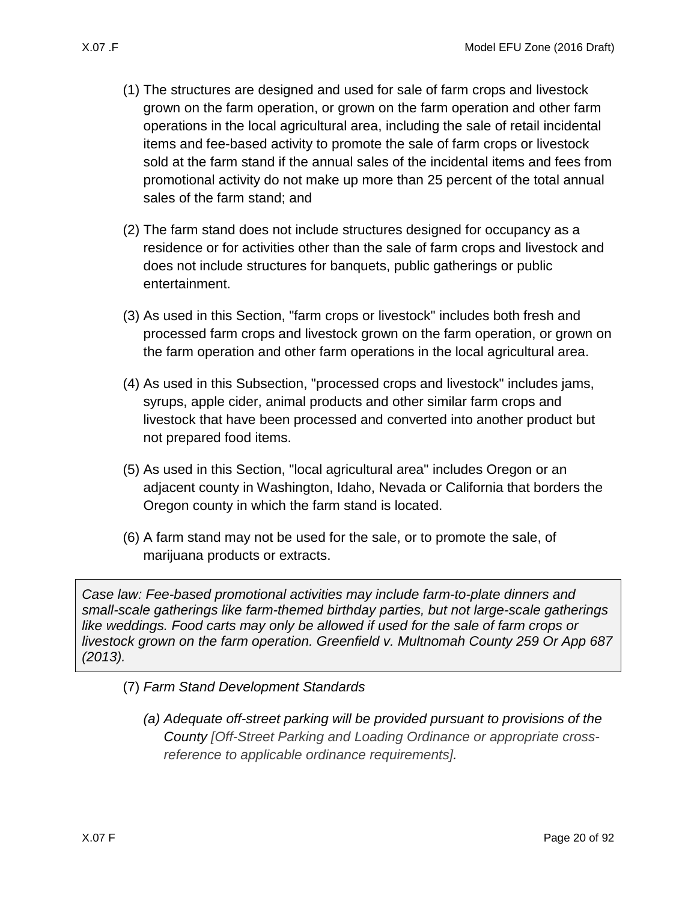- - (1) The structures are designed and used for sale of farm crops and livestock grown on the farm operation, or grown on the farm operation and other farm operations in the local agricultural area, including the sale of retail incidental items and fee-based activity to promote the sale of farm crops or livestock sold at the farm stand if the annual sales of the incidental items and fees from promotional activity do not make up more than 25 percent of the total annual sales of the farm stand; and
	- (2) The farm stand does not include structures designed for occupancy as a residence or for activities other than the sale of farm crops and livestock and does not include structures for banquets, public gatherings or public entertainment.
	- (3) As used in this Section, "farm crops or livestock" includes both fresh and processed farm crops and livestock grown on the farm operation, or grown on the farm operation and other farm operations in the local agricultural area.
	- (4) As used in this Subsection, "processed crops and livestock" includes jams, syrups, apple cider, animal products and other similar farm crops and livestock that have been processed and converted into another product but not prepared food items.
	- (5) As used in this Section, "local agricultural area" includes Oregon or an adjacent county in Washington, Idaho, Nevada or California that borders the Oregon county in which the farm stand is located.
	- (6) A farm stand may not be used for the sale, or to promote the sale, of marijuana products or extracts.

*Case law: Fee-based promotional activities may include farm-to-plate dinners and small-scale gatherings like farm-themed birthday parties, but not large-scale gatherings like weddings. Food carts may only be allowed if used for the sale of farm crops or livestock grown on the farm operation. Greenfield v. Multnomah County 259 Or App 687 (2013).*

- (7) *Farm Stand Development Standards*
	- *(a) Adequate off-street parking will be provided pursuant to provisions of the County [Off-Street Parking and Loading Ordinance or appropriate crossreference to applicable ordinance requirements].*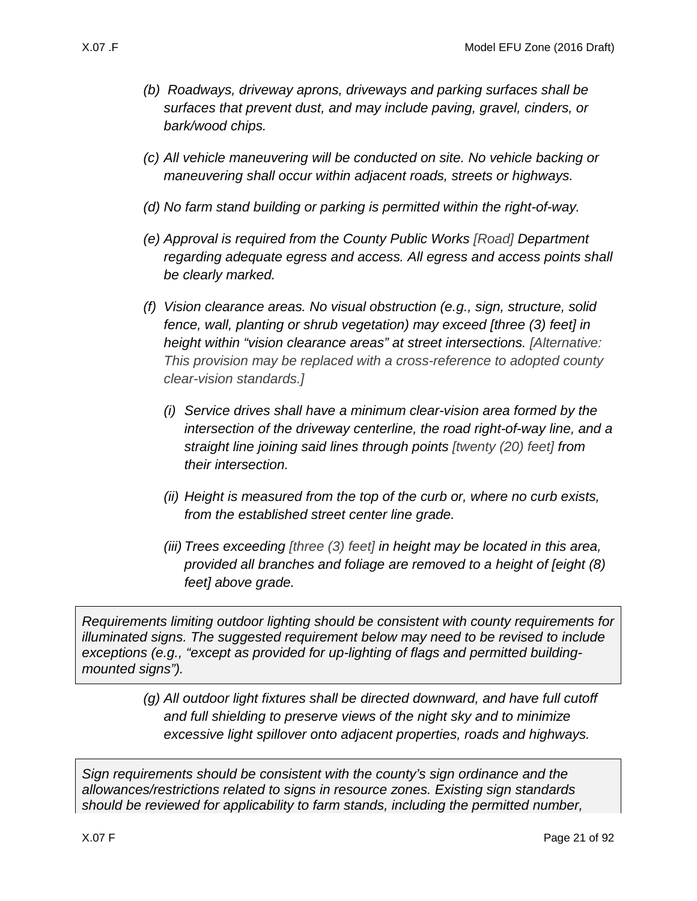- *(b) Roadways, driveway aprons, driveways and parking surfaces shall be surfaces that prevent dust, and may include paving, gravel, cinders, or bark/wood chips.*
- *(c) All vehicle maneuvering will be conducted on site. No vehicle backing or maneuvering shall occur within adjacent roads, streets or highways.*
- *(d) No farm stand building or parking is permitted within the right-of-way.*
- *(e) Approval is required from the County Public Works [Road] Department regarding adequate egress and access. All egress and access points shall be clearly marked.*
- *(f) Vision clearance areas. No visual obstruction (e.g., sign, structure, solid fence, wall, planting or shrub vegetation) may exceed [three (3) feet] in height within "vision clearance areas" at street intersections. [Alternative: This provision may be replaced with a cross-reference to adopted county clear-vision standards.]*
	- *(i) Service drives shall have a minimum clear-vision area formed by the intersection of the driveway centerline, the road right-of-way line, and a straight line joining said lines through points [twenty (20) feet] from their intersection.*
	- *(ii) Height is measured from the top of the curb or, where no curb exists, from the established street center line grade.*
	- *(iii) Trees exceeding [three (3) feet] in height may be located in this area, provided all branches and foliage are removed to a height of [eight (8) feet] above grade.*

*Requirements limiting outdoor lighting should be consistent with county requirements for illuminated signs. The suggested requirement below may need to be revised to include exceptions (e.g., "except as provided for up-lighting of flags and permitted buildingmounted signs").*

> *(g) All outdoor light fixtures shall be directed downward, and have full cutoff and full shielding to preserve views of the night sky and to minimize excessive light spillover onto adjacent properties, roads and highways.*

*Sign requirements should be consistent with the county's sign ordinance and the allowances/restrictions related to signs in resource zones. Existing sign standards should be reviewed for applicability to farm stands, including the permitted number,*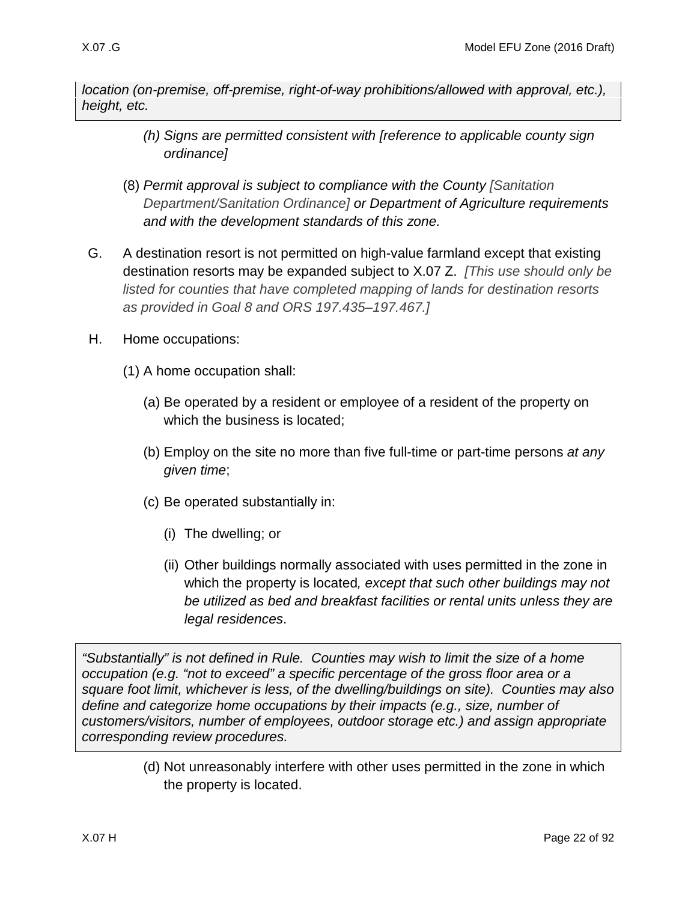*location (on-premise, off-premise, right-of-way prohibitions/allowed with approval, etc.), height, etc.*

- *(h) Signs are permitted consistent with [reference to applicable county sign ordinance]*
- (8) *Permit approval is subject to compliance with the County [Sanitation Department/Sanitation Ordinance] or Department of Agriculture requirements and with the development standards of this zone.*
- <span id="page-21-0"></span>G. A destination resort is not permitted on high-value farmland except that existing destination resorts may be expanded subject to [X.07 Z.](#page-36-0) *[This use should only be listed for counties that have completed mapping of lands for destination resorts as provided in Goal 8 and ORS 197.435–197.467.]*
- <span id="page-21-1"></span>H. Home occupations:
	- (1) A home occupation shall:
		- (a) Be operated by a resident or employee of a resident of the property on which the business is located;
		- (b) Employ on the site no more than five full-time or part-time persons *at any given time*;
		- (c) Be operated substantially in:
			- (i) The dwelling; or
			- (ii) Other buildings normally associated with uses permitted in the zone in which the property is located*, except that such other buildings may not be utilized as bed and breakfast facilities or rental units unless they are legal residences*.

<span id="page-21-2"></span>*"Substantially" is not defined in Rule. Counties may wish to limit the size of a home occupation (e.g. "not to exceed" a specific percentage of the gross floor area or a square foot limit, whichever is less, of the dwelling/buildings on site). Counties may also define and categorize home occupations by their impacts (e.g., size, number of customers/visitors, number of employees, outdoor storage etc.) and assign appropriate corresponding review procedures.*

> <span id="page-21-3"></span>(d) Not unreasonably interfere with other uses permitted in the zone in which the property is located.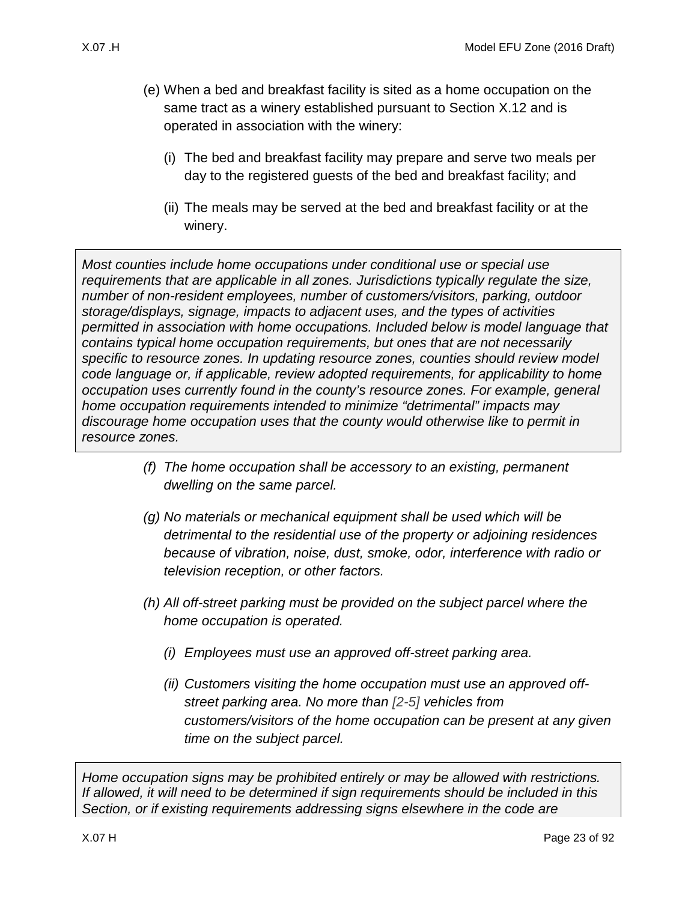- (e) When a bed and breakfast facility is sited as a home occupation on the same tract as a winery established pursuant to Section [X.12 a](#page-49-0)nd is operated in association with the winery:
	- (i) The bed and breakfast facility may prepare and serve two meals per day to the registered guests of the bed and breakfast facility; and
	- (ii) The meals may be served at the bed and breakfast facility or at the winery.

<span id="page-22-0"></span>*Most counties include home occupations under conditional use or special use requirements that are applicable in all zones. Jurisdictions typically regulate the size, number of non-resident employees, number of customers/visitors, parking, outdoor storage/displays, signage, impacts to adjacent uses, and the types of activities permitted in association with home occupations. Included below is model language that contains typical home occupation requirements, but ones that are not necessarily specific to resource zones. In updating resource zones, counties should review model code language or, if applicable, review adopted requirements, for applicability to home occupation uses currently found in the county's resource zones. For example, general home occupation requirements intended to minimize "detrimental" impacts may discourage home occupation uses that the county would otherwise like to permit in resource zones.*

- <span id="page-22-1"></span>*(f) The home occupation shall be accessory to an existing, permanent dwelling on the same parcel.*
- <span id="page-22-2"></span>*(g) No materials or mechanical equipment shall be used which will be detrimental to the residential use of the property or adjoining residences because of vibration, noise, dust, smoke, odor, interference with radio or television reception, or other factors.*
- *(h) All off-street parking must be provided on the subject parcel where the home occupation is operated.*
	- *(i) Employees must use an approved off-street parking area.*
	- *(ii) Customers visiting the home occupation must use an approved offstreet parking area. No more than [2-5] vehicles from customers/visitors of the home occupation can be present at any given time on the subject parcel.*

*Home occupation signs may be prohibited entirely or may be allowed with restrictions. If allowed, it will need to be determined if sign requirements should be included in this Section, or if existing requirements addressing signs elsewhere in the code are*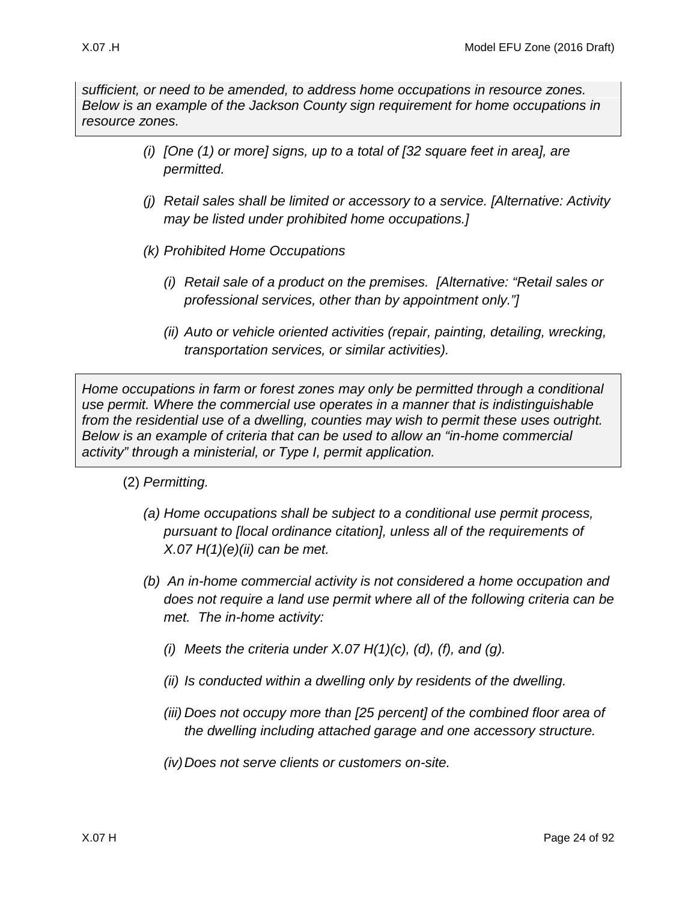*sufficient, or need to be amended, to address home occupations in resource zones. Below is an example of the Jackson County sign requirement for home occupations in resource zones.*

- *(i) [One (1) or more] signs, up to a total of [32 square feet in area], are permitted.*
- *(j) Retail sales shall be limited or accessory to a service. [Alternative: Activity may be listed under prohibited home occupations.]*
- *(k) Prohibited Home Occupations* 
	- *(i) Retail sale of a product on the premises. [Alternative: "Retail sales or professional services, other than by appointment only."]*
	- *(ii) Auto or vehicle oriented activities (repair, painting, detailing, wrecking, transportation services, or similar activities).*

*Home occupations in farm or forest zones may only be permitted through a conditional use permit. Where the commercial use operates in a manner that is indistinguishable from the residential use of a dwelling, counties may wish to permit these uses outright. Below is an example of criteria that can be used to allow an "in-home commercial activity" through a ministerial, or Type I, permit application.* 

- (2) *Permitting.* 
	- *(a) Home occupations shall be subject to a conditional use permit process, pursuant to [local ordinance citation], unless all of the requirements of [X.07 H\(1\)\(e\)\(ii\)](#page-22-0) can be met.*
	- *(b) An in-home commercial activity is not considered a home occupation and does not require a land use permit where all of the following criteria can be met. The in-home activity:*
		- *(i) Meets the criteria under [X.07 H\(1\)\(c\),](#page-21-2) [\(d\),](#page-21-3) [\(f\),](#page-22-1) and [\(g\).](#page-22-2)*
		- *(ii) Is conducted within a dwelling only by residents of the dwelling.*
		- *(iii) Does not occupy more than [25 percent] of the combined floor area of the dwelling including attached garage and one accessory structure.*
		- *(iv)Does not serve clients or customers on-site.*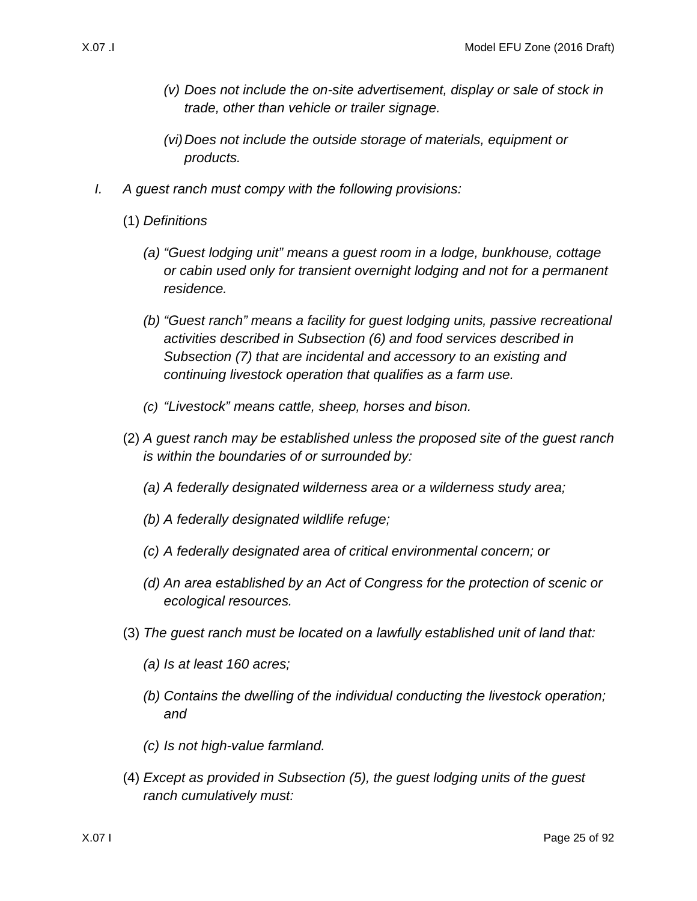- *(v) Does not include the on-site advertisement, display or sale of stock in trade, other than vehicle or trailer signage.*
- *(vi)Does not include the outside storage of materials, equipment or products.*
- <span id="page-24-1"></span><span id="page-24-0"></span>*I. A guest ranch must compy with the following provisions:*
	- (1) *Definitions* 
		- *(a) "Guest lodging unit" means a guest room in a lodge, bunkhouse, cottage or cabin used only for transient overnight lodging and not for a permanent residence.*
		- *(b) "Guest ranch" means a facility for guest lodging units, passive recreational activities described in Subsection (6) and food services described in Subsection [\(7\)](#page-25-0) that are incidental and accessory to an existing and continuing livestock operation that qualifies as a farm use.*
		- *(c) "Livestock" means cattle, sheep, horses and bison.*
	- (2) *A guest ranch may be established unless the proposed site of the guest ranch is within the boundaries of or surrounded by:*
		- *(a) A federally designated wilderness area or a wilderness study area;*
		- *(b) A federally designated wildlife refuge;*
		- *(c) A federally designated area of critical environmental concern; or*
		- *(d) An area established by an Act of Congress for the protection of scenic or ecological resources.*
	- (3) *The guest ranch must be located on a lawfully established unit of land that:*
		- *(a) Is at least 160 acres;*
		- *(b) Contains the dwelling of the individual conducting the livestock operation; and*
		- *(c) Is not high-value farmland.*
	- (4) *Except as provided in Subsection [\(5\),](#page-25-1) the guest lodging units of the guest ranch cumulatively must:*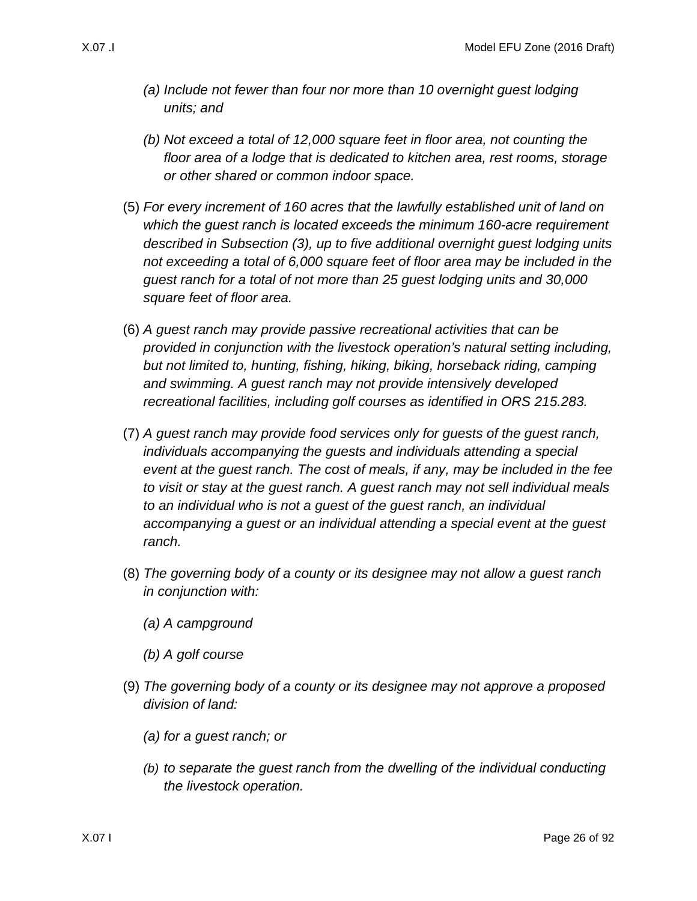- *(a) Include not fewer than four nor more than 10 overnight guest lodging units; and*
- *(b) Not exceed a total of 12,000 square feet in floor area, not counting the floor area of a lodge that is dedicated to kitchen area, rest rooms, storage or other shared or common indoor space.*
- <span id="page-25-1"></span>(5) *For every increment of 160 acres that the lawfully established unit of land on which the guest ranch is located exceeds the minimum 160-acre requirement described in Subsection [\(3\),](#page-24-1) up to five additional overnight guest lodging units not exceeding a total of 6,000 square feet of floor area may be included in the guest ranch for a total of not more than 25 guest lodging units and 30,000 square feet of floor area.*
- (6) *A guest ranch may provide passive recreational activities that can be provided in conjunction with the livestock operation's natural setting including, but not limited to, hunting, fishing, hiking, biking, horseback riding, camping and swimming. A guest ranch may not provide intensively developed recreational facilities, including golf courses as identified in ORS 215.283.*
- <span id="page-25-0"></span>(7) *A guest ranch may provide food services only for guests of the guest ranch, individuals accompanying the guests and individuals attending a special event at the guest ranch. The cost of meals, if any, may be included in the fee to visit or stay at the guest ranch. A guest ranch may not sell individual meals to an individual who is not a guest of the guest ranch, an individual accompanying a guest or an individual attending a special event at the guest ranch.*
- (8) *The governing body of a county or its designee may not allow a guest ranch in conjunction with:*
	- *(a) A campground*
	- *(b) A golf course*
- (9) *The governing body of a county or its designee may not approve a proposed division of land:*
	- *(a) for a guest ranch; or*
	- *(b) to separate the guest ranch from the dwelling of the individual conducting the livestock operation.*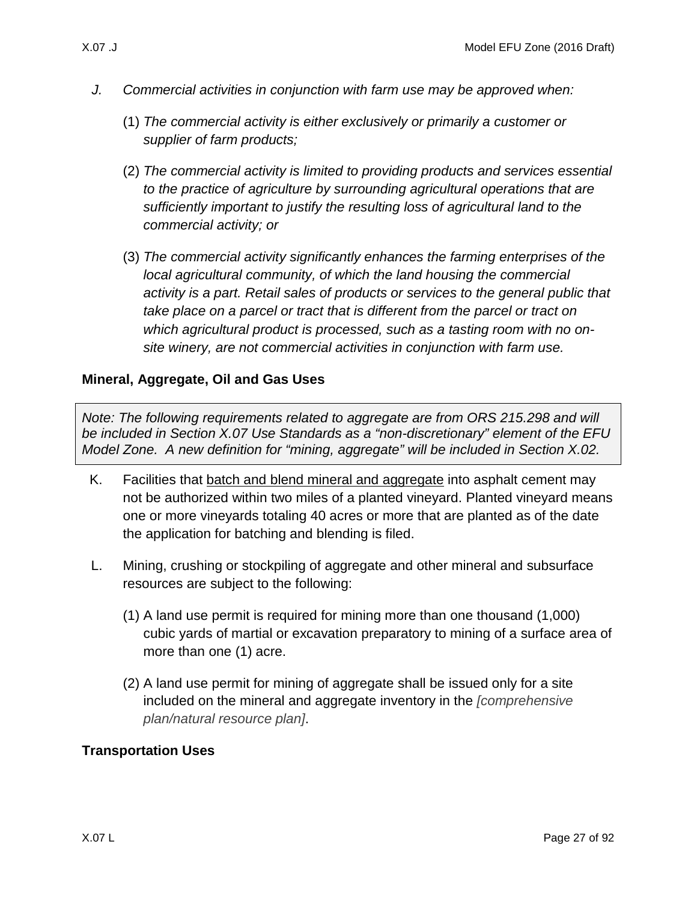- *J. Commercial activities in conjunction with farm use may be approved when:*
	- (1) *The commercial activity is either exclusively or primarily a customer or supplier of farm products;*
	- (2) *The commercial activity is limited to providing products and services essential to the practice of agriculture by surrounding agricultural operations that are sufficiently important to justify the resulting loss of agricultural land to the commercial activity; or*
	- (3) *The commercial activity significantly enhances the farming enterprises of the local agricultural community, of which the land housing the commercial activity is a part. Retail sales of products or services to the general public that take place on a parcel or tract that is different from the parcel or tract on which agricultural product is processed, such as a tasting room with no onsite winery, are not commercial activities in conjunction with farm use.*

### **Mineral, Aggregate, Oil and Gas Uses**

*Note: The following requirements related to aggregate are from ORS 215.298 and will be included in Section X.07 Use Standards as a "non-discretionary" element of the EFU Model Zone. A new definition for "mining, aggregate" will be included in Section X.02.*

- <span id="page-26-0"></span>K. Facilities that batch and blend mineral and aggregate into asphalt cement may not be authorized within two miles of a planted vineyard. Planted vineyard means one or more vineyards totaling 40 acres or more that are planted as of the date the application for batching and blending is filed.
- L. Mining, crushing or stockpiling of aggregate and other mineral and subsurface resources are subject to the following:
	- (1) A land use permit is required for mining more than one thousand (1,000) cubic yards of martial or excavation preparatory to mining of a surface area of more than one (1) acre.
	- (2) A land use permit for mining of aggregate shall be issued only for a site included on the mineral and aggregate inventory in the *[comprehensive plan/natural resource plan]*.

# **Transportation Uses**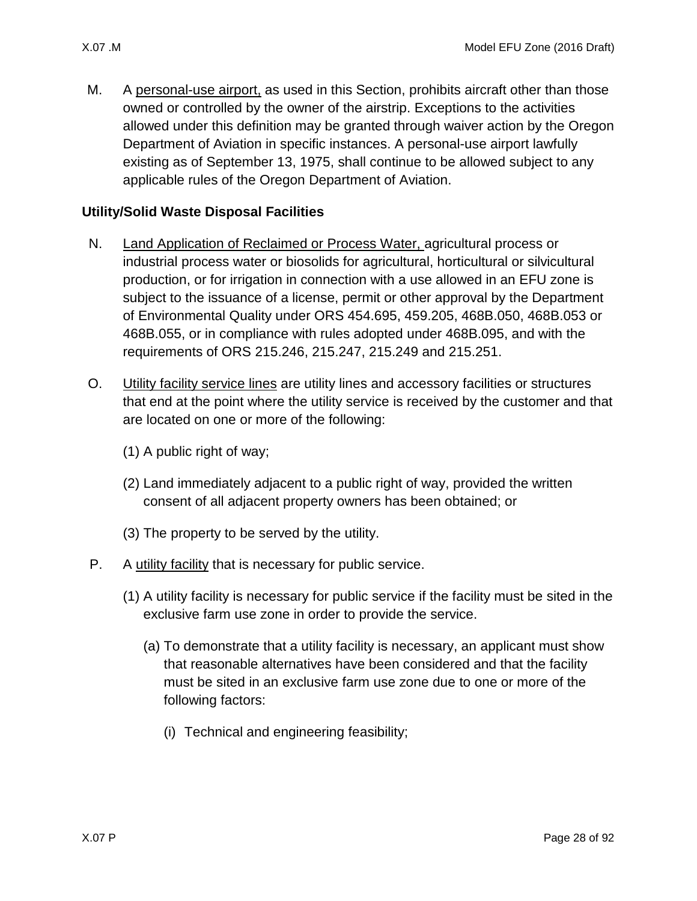<span id="page-27-3"></span>M. A personal-use airport, as used in this Section, prohibits aircraft other than those owned or controlled by the owner of the airstrip. Exceptions to the activities allowed under this definition may be granted through waiver action by the Oregon Department of Aviation in specific instances. A personal-use airport lawfully existing as of September 13, 1975, shall continue to be allowed subject to any applicable rules of the Oregon Department of Aviation.

#### **Utility/Solid Waste Disposal Facilities**

- <span id="page-27-0"></span>N. Land Application of Reclaimed or Process Water, agricultural process or industrial process water or biosolids for agricultural, horticultural or silvicultural production, or for irrigation in connection with a use allowed in an EFU zone is subject to the issuance of a license, permit or other approval by the Department of Environmental Quality under ORS 454.695, 459.205, 468B.050, 468B.053 or 468B.055, or in compliance with rules adopted under 468B.095, and with the requirements of ORS 215.246, 215.247, 215.249 and 215.251.
- <span id="page-27-1"></span>O. Utility facility service lines are utility lines and accessory facilities or structures that end at the point where the utility service is received by the customer and that are located on one or more of the following:
	- (1) A public right of way;
	- (2) Land immediately adjacent to a public right of way, provided the written consent of all adjacent property owners has been obtained; or
	- (3) The property to be served by the utility.

#### <span id="page-27-5"></span><span id="page-27-2"></span>P. A utility facility that is necessary for public service.

- <span id="page-27-4"></span>(1) A utility facility is necessary for public service if the facility must be sited in the exclusive farm use zone in order to provide the service.
	- (a) To demonstrate that a utility facility is necessary, an applicant must show that reasonable alternatives have been considered and that the facility must be sited in an exclusive farm use zone due to one or more of the following factors:
		- (i) Technical and engineering feasibility;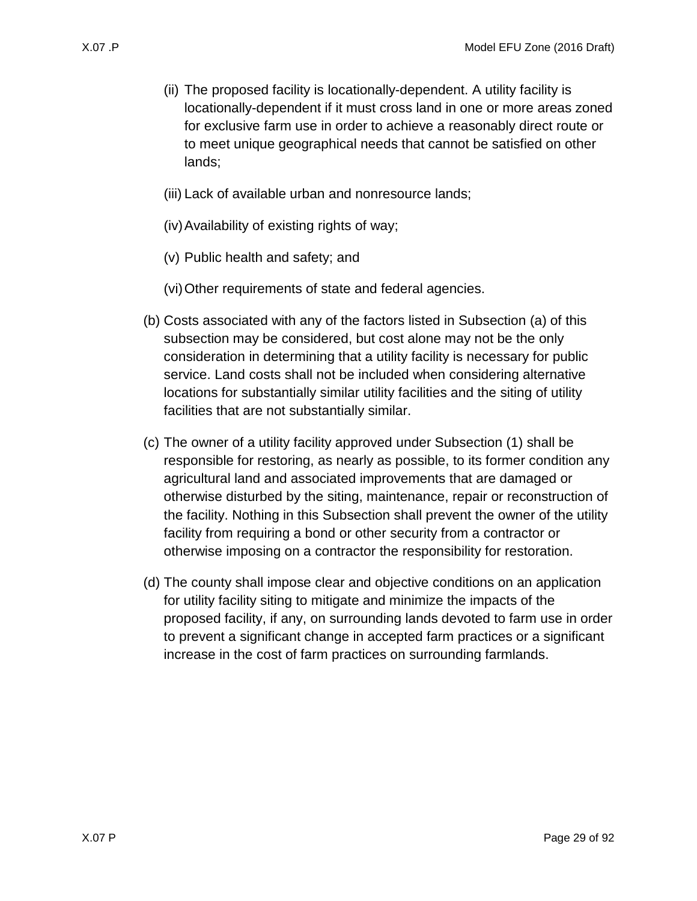- (ii) The proposed facility is locationally-dependent. A utility facility is locationally-dependent if it must cross land in one or more areas zoned for exclusive farm use in order to achieve a reasonably direct route or to meet unique geographical needs that cannot be satisfied on other lands;
- (iii) Lack of available urban and nonresource lands;
- (iv)Availability of existing rights of way;
- (v) Public health and safety; and
- (vi)Other requirements of state and federal agencies.
- (b) Costs associated with any of the factors listed in Subsection [\(a\)](#page-27-4) of this subsection may be considered, but cost alone may not be the only consideration in determining that a utility facility is necessary for public service. Land costs shall not be included when considering alternative locations for substantially similar utility facilities and the siting of utility facilities that are not substantially similar.
- (c) The owner of a utility facility approved under Subsection [\(1\)](#page-27-5) shall be responsible for restoring, as nearly as possible, to its former condition any agricultural land and associated improvements that are damaged or otherwise disturbed by the siting, maintenance, repair or reconstruction of the facility. Nothing in this Subsection shall prevent the owner of the utility facility from requiring a bond or other security from a contractor or otherwise imposing on a contractor the responsibility for restoration.
- <span id="page-28-0"></span>(d) The county shall impose clear and objective conditions on an application for utility facility siting to mitigate and minimize the impacts of the proposed facility, if any, on surrounding lands devoted to farm use in order to prevent a significant change in accepted farm practices or a significant increase in the cost of farm practices on surrounding farmlands.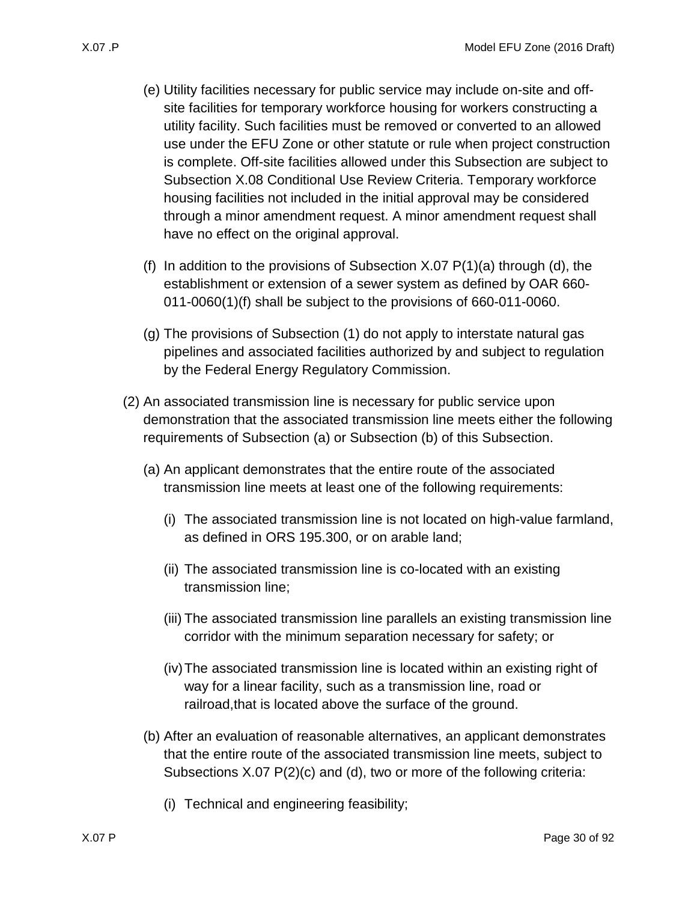- (e) Utility facilities necessary for public service may include on-site and offsite facilities for temporary workforce housing for workers constructing a utility facility. Such facilities must be removed or converted to an allowed use under the EFU Zone or other statute or rule when project construction is complete. Off-site facilities allowed under this Subsection are subject to Subsection [X.08 C](#page-37-0)onditional Use Review Criteria. Temporary workforce housing facilities not included in the initial approval may be considered through a minor amendment request. A minor amendment request shall have no effect on the original approval.
- (f) In addition to the provisions of Subsection  $X.07 P(1)(a)$  through [\(d\),](#page-28-0) the establishment or extension of a sewer system as defined by OAR 660- 011-0060(1)(f) shall be subject to the provisions of 660-011-0060.
- (g) The provisions of Subsection [\(1\)](#page-27-5) do not apply to interstate natural gas pipelines and associated facilities authorized by and subject to regulation by the Federal Energy Regulatory Commission.
- <span id="page-29-1"></span><span id="page-29-0"></span>(2) An associated transmission line is necessary for public service upon demonstration that the associated transmission line meets either the following requirements of Subsection [\(a\)](#page-29-0) or Subsection [\(b\)](#page-29-1) of this Subsection.
	- (a) An applicant demonstrates that the entire route of the associated transmission line meets at least one of the following requirements:
		- (i) The associated transmission line is not located on high-value farmland, as defined in ORS 195.300, or on arable land;
		- (ii) The associated transmission line is co-located with an existing transmission line;
		- (iii) The associated transmission line parallels an existing transmission line corridor with the minimum separation necessary for safety; or
		- (iv)The associated transmission line is located within an existing right of way for a linear facility, such as a transmission line, road or railroad,that is located above the surface of the ground.
	- (b) After an evaluation of reasonable alternatives, an applicant demonstrates that the entire route of the associated transmission line meets, subject to Subsections [X.07 P\(2\)\(c\)](#page-30-1) and [\(d\),](#page-30-2) two or more of the following criteria:
		- (i) Technical and engineering feasibility;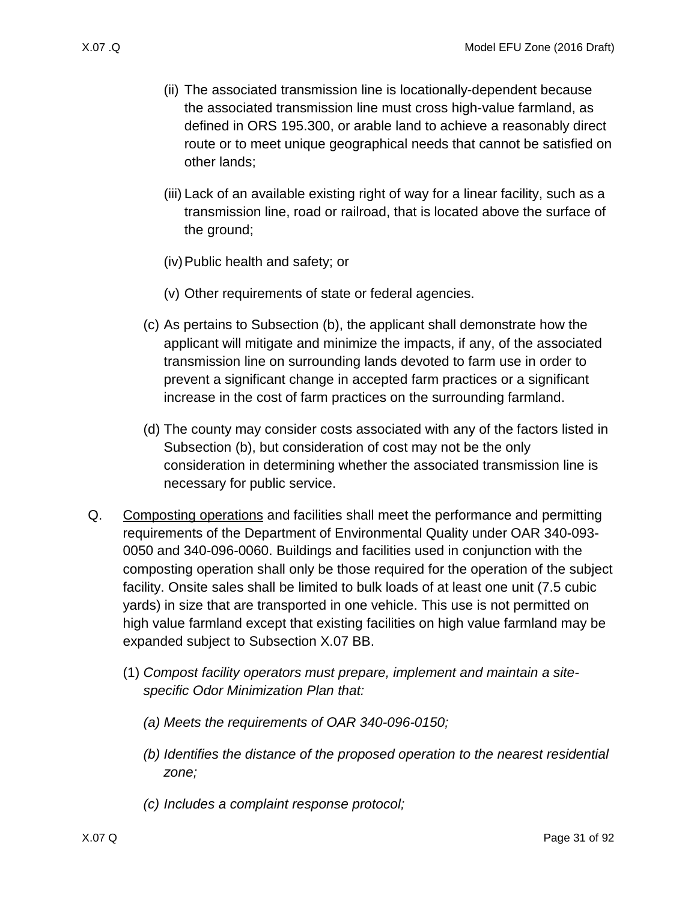- (ii) The associated transmission line is locationally-dependent because the associated transmission line must cross high-value farmland, as defined in ORS 195.300, or arable land to achieve a reasonably direct route or to meet unique geographical needs that cannot be satisfied on other lands;
- (iii) Lack of an available existing right of way for a linear facility, such as a transmission line, road or railroad, that is located above the surface of the ground;
- (iv)Public health and safety; or
- (v) Other requirements of state or federal agencies.
- <span id="page-30-1"></span>(c) As pertains to Subsection [\(b\),](#page-29-1) the applicant shall demonstrate how the applicant will mitigate and minimize the impacts, if any, of the associated transmission line on surrounding lands devoted to farm use in order to prevent a significant change in accepted farm practices or a significant increase in the cost of farm practices on the surrounding farmland.
- <span id="page-30-2"></span>(d) The county may consider costs associated with any of the factors listed in Subsection [\(b\),](#page-29-1) but consideration of cost may not be the only consideration in determining whether the associated transmission line is necessary for public service.
- <span id="page-30-3"></span><span id="page-30-0"></span>Q. Composting operations and facilities shall meet the performance and permitting requirements of the Department of Environmental Quality under OAR 340-093- 0050 and 340-096-0060. Buildings and facilities used in conjunction with the composting operation shall only be those required for the operation of the subject facility. Onsite sales shall be limited to bulk loads of at least one unit (7.5 cubic yards) in size that are transported in one vehicle. This use is not permitted on high value farmland except that existing facilities on high value farmland may be expanded subject to Subsection [X.07 BB.](#page-37-1)
	- (1) *Compost facility operators must prepare, implement and maintain a sitespecific Odor Minimization Plan that:*
		- *(a) Meets the requirements of OAR 340-096-0150;*
		- *(b) Identifies the distance of the proposed operation to the nearest residential zone;*
		- *(c) Includes a complaint response protocol;*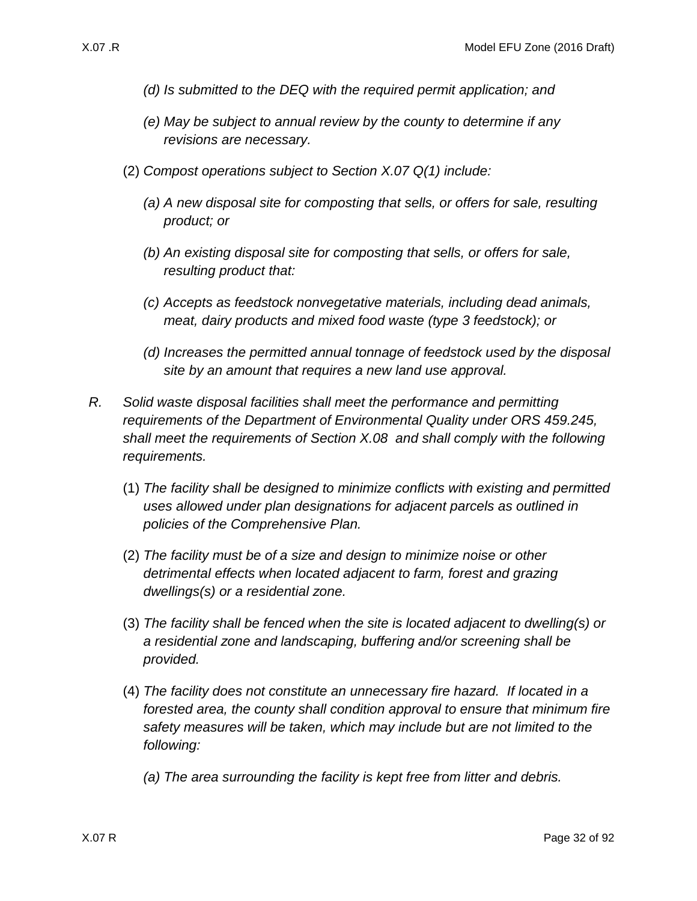- *(d) Is submitted to the DEQ with the required permit application; and*
- *(e) May be subject to annual review by the county to determine if any revisions are necessary.*
- (2) *Compost operations subject to Section [X.07 Q\(1\)](#page-30-3) include:*
	- *(a) A new disposal site for composting that sells, or offers for sale, resulting product; or*
	- *(b) An existing disposal site for composting that sells, or offers for sale, resulting product that:*
	- *(c) Accepts as feedstock nonvegetative materials, including dead animals, meat, dairy products and mixed food waste (type 3 feedstock); or*
	- *(d) Increases the permitted annual tonnage of feedstock used by the disposal site by an amount that requires a new land use approval.*
- <span id="page-31-0"></span>*R. Solid waste disposal facilities shall meet the performance and permitting requirements of the Department of Environmental Quality under ORS 459.245, shall meet the requirements of Section [X.08](#page-37-0) and shall comply with the following requirements.*
	- (1) *The facility shall be designed to minimize conflicts with existing and permitted uses allowed under plan designations for adjacent parcels as outlined in policies of the Comprehensive Plan.*
	- (2) *The facility must be of a size and design to minimize noise or other detrimental effects when located adjacent to farm, forest and grazing dwellings(s) or a residential zone.*
	- (3) *The facility shall be fenced when the site is located adjacent to dwelling(s) or a residential zone and landscaping, buffering and/or screening shall be provided.*
	- (4) *The facility does not constitute an unnecessary fire hazard. If located in a forested area, the county shall condition approval to ensure that minimum fire safety measures will be taken, which may include but are not limited to the following:* 
		- *(a) The area surrounding the facility is kept free from litter and debris.*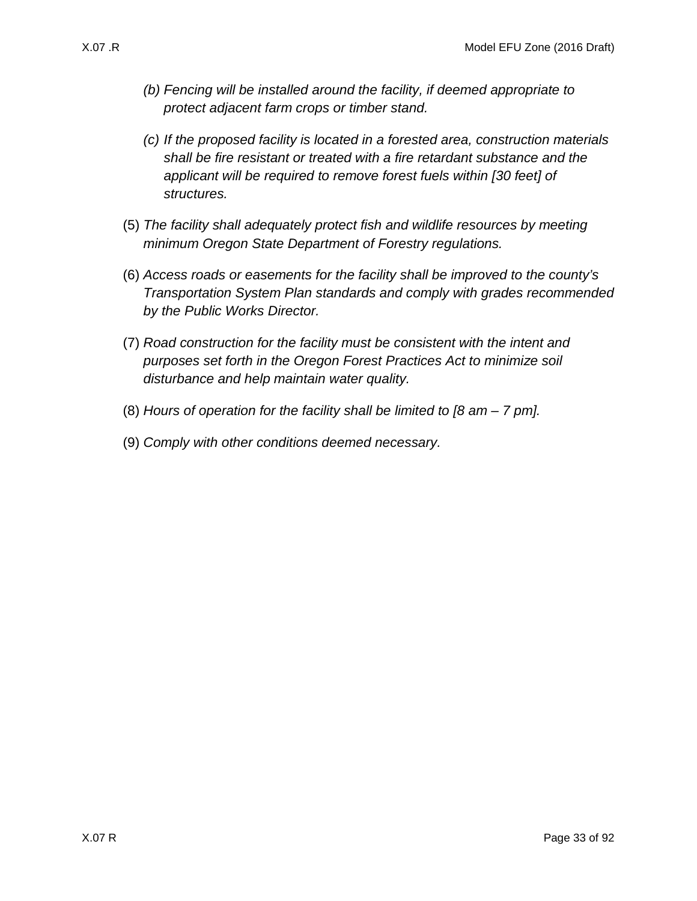- *(b) Fencing will be installed around the facility, if deemed appropriate to protect adjacent farm crops or timber stand.*
- *(c) If the proposed facility is located in a forested area, construction materials shall be fire resistant or treated with a fire retardant substance and the applicant will be required to remove forest fuels within [30 feet] of structures.*
- (5) *The facility shall adequately protect fish and wildlife resources by meeting minimum Oregon State Department of Forestry regulations.*
- (6) *Access roads or easements for the facility shall be improved to the county's Transportation System Plan standards and comply with grades recommended by the Public Works Director.*
- (7) *Road construction for the facility must be consistent with the intent and purposes set forth in the Oregon Forest Practices Act to minimize soil disturbance and help maintain water quality.*
- (8) *Hours of operation for the facility shall be limited to [8 am – 7 pm].*
- (9) *Comply with other conditions deemed necessary.*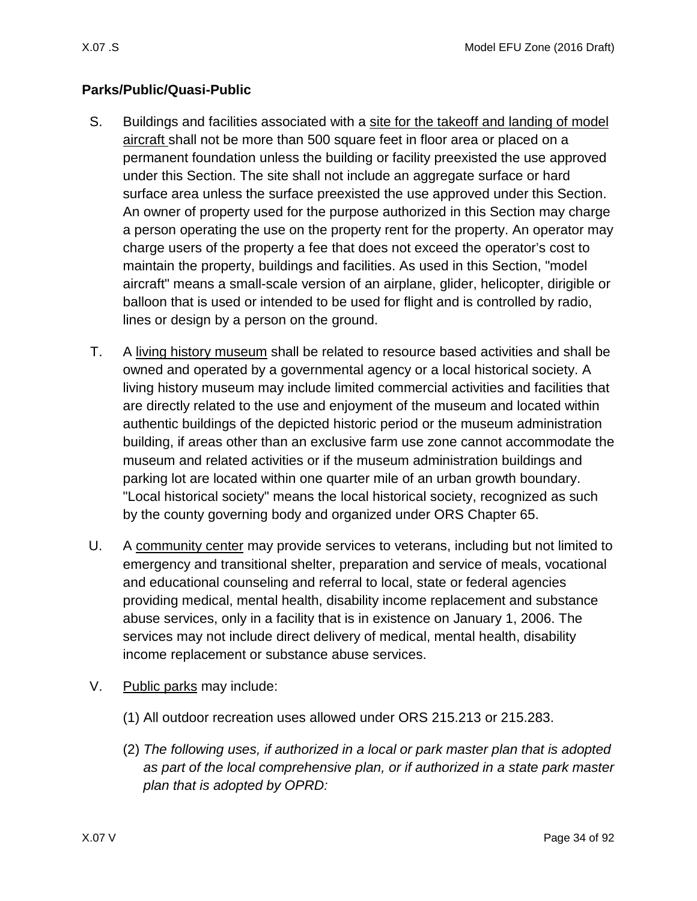# **Parks/Public/Quasi-Public**

- <span id="page-33-0"></span>S. Buildings and facilities associated with a site for the takeoff and landing of model aircraft shall not be more than 500 square feet in floor area or placed on a permanent foundation unless the building or facility preexisted the use approved under this Section. The site shall not include an aggregate surface or hard surface area unless the surface preexisted the use approved under this Section. An owner of property used for the purpose authorized in this Section may charge a person operating the use on the property rent for the property. An operator may charge users of the property a fee that does not exceed the operator's cost to maintain the property, buildings and facilities. As used in this Section, "model aircraft" means a small-scale version of an airplane, glider, helicopter, dirigible or balloon that is used or intended to be used for flight and is controlled by radio, lines or design by a person on the ground.
- <span id="page-33-1"></span>T. A living history museum shall be related to resource based activities and shall be owned and operated by a governmental agency or a local historical society. A living history museum may include limited commercial activities and facilities that are directly related to the use and enjoyment of the museum and located within authentic buildings of the depicted historic period or the museum administration building, if areas other than an exclusive farm use zone cannot accommodate the museum and related activities or if the museum administration buildings and parking lot are located within one quarter mile of an urban growth boundary. "Local historical society" means the local historical society, recognized as such by the county governing body and organized under ORS Chapter 65.
- <span id="page-33-2"></span>U. A community center may provide services to veterans, including but not limited to emergency and transitional shelter, preparation and service of meals, vocational and educational counseling and referral to local, state or federal agencies providing medical, mental health, disability income replacement and substance abuse services, only in a facility that is in existence on January 1, 2006. The services may not include direct delivery of medical, mental health, disability income replacement or substance abuse services.
- <span id="page-33-3"></span>V. Public parks may include:
	- (1) All outdoor recreation uses allowed under ORS 215.213 or 215.283.
	- (2) *The following uses, if authorized in a local or park master plan that is adopted as part of the local comprehensive plan, or if authorized in a state park master plan that is adopted by OPRD:*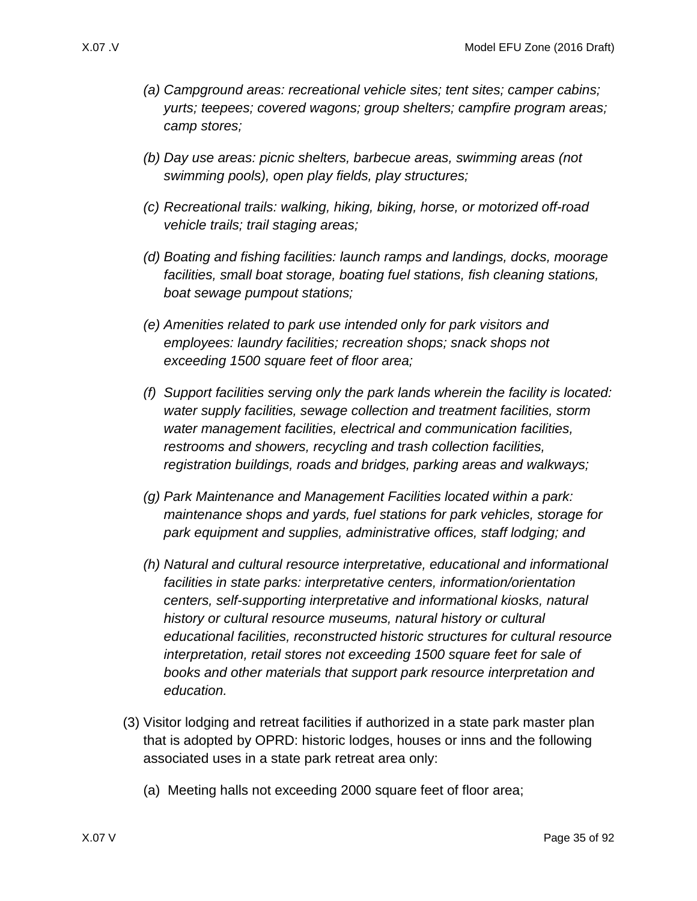- *(a) Campground areas: recreational vehicle sites; tent sites; camper cabins; yurts; teepees; covered wagons; group shelters; campfire program areas; camp stores;*
- *(b) Day use areas: picnic shelters, barbecue areas, swimming areas (not swimming pools), open play fields, play structures;*
- *(c) Recreational trails: walking, hiking, biking, horse, or motorized off-road vehicle trails; trail staging areas;*
- *(d) Boating and fishing facilities: launch ramps and landings, docks, moorage facilities, small boat storage, boating fuel stations, fish cleaning stations, boat sewage pumpout stations;*
- *(e) Amenities related to park use intended only for park visitors and employees: laundry facilities; recreation shops; snack shops not exceeding 1500 square feet of floor area;*
- *(f) Support facilities serving only the park lands wherein the facility is located: water supply facilities, sewage collection and treatment facilities, storm water management facilities, electrical and communication facilities, restrooms and showers, recycling and trash collection facilities, registration buildings, roads and bridges, parking areas and walkways;*
- *(g) Park Maintenance and Management Facilities located within a park: maintenance shops and yards, fuel stations for park vehicles, storage for park equipment and supplies, administrative offices, staff lodging; and*
- *(h) Natural and cultural resource interpretative, educational and informational facilities in state parks: interpretative centers, information/orientation centers, self-supporting interpretative and informational kiosks, natural history or cultural resource museums, natural history or cultural educational facilities, reconstructed historic structures for cultural resource interpretation, retail stores not exceeding 1500 square feet for sale of books and other materials that support park resource interpretation and education.*
- (3) Visitor lodging and retreat facilities if authorized in a state park master plan that is adopted by OPRD: historic lodges, houses or inns and the following associated uses in a state park retreat area only:
	- (a) Meeting halls not exceeding 2000 square feet of floor area;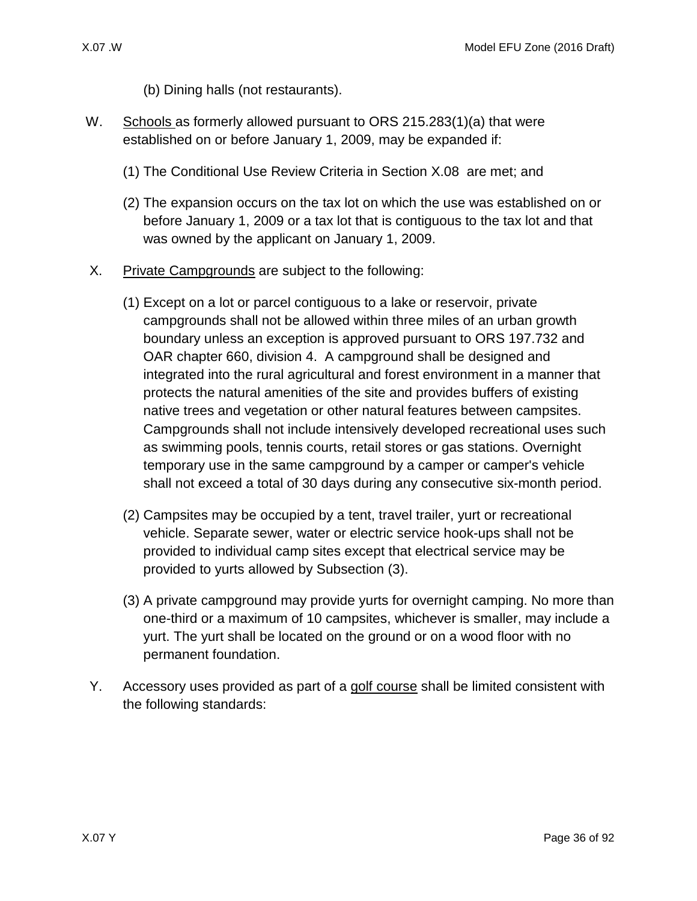- (b) Dining halls (not restaurants).
- <span id="page-35-0"></span>W. Schools as formerly allowed pursuant to ORS 215.283(1)(a) that were established on or before January 1, 2009, may be expanded if:
	- (1) The Conditional Use Review Criteria in Section [X.08](#page-37-0) are met; and
	- (2) The expansion occurs on the tax lot on which the use was established on or before January 1, 2009 or a tax lot that is contiguous to the tax lot and that was owned by the applicant on January 1, 2009.
- <span id="page-35-1"></span>X. Private Campgrounds are subject to the following:
	- (1) Except on a lot or parcel contiguous to a lake or reservoir, private campgrounds shall not be allowed within three miles of an urban growth boundary unless an exception is approved pursuant to ORS 197.732 and OAR chapter 660, division 4. A campground shall be designed and integrated into the rural agricultural and forest environment in a manner that protects the natural amenities of the site and provides buffers of existing native trees and vegetation or other natural features between campsites. Campgrounds shall not include intensively developed recreational uses such as swimming pools, tennis courts, retail stores or gas stations. Overnight temporary use in the same campground by a camper or camper's vehicle shall not exceed a total of 30 days during any consecutive six-month period.
	- (2) Campsites may be occupied by a tent, travel trailer, yurt or recreational vehicle. Separate sewer, water or electric service hook-ups shall not be provided to individual camp sites except that electrical service may be provided to yurts allowed by Subsection [\(3\).](#page-35-3)
	- (3) A private campground may provide yurts for overnight camping. No more than one-third or a maximum of 10 campsites, whichever is smaller, may include a yurt. The yurt shall be located on the ground or on a wood floor with no permanent foundation.
- <span id="page-35-3"></span><span id="page-35-2"></span>Y. Accessory uses provided as part of a golf course shall be limited consistent with the following standards: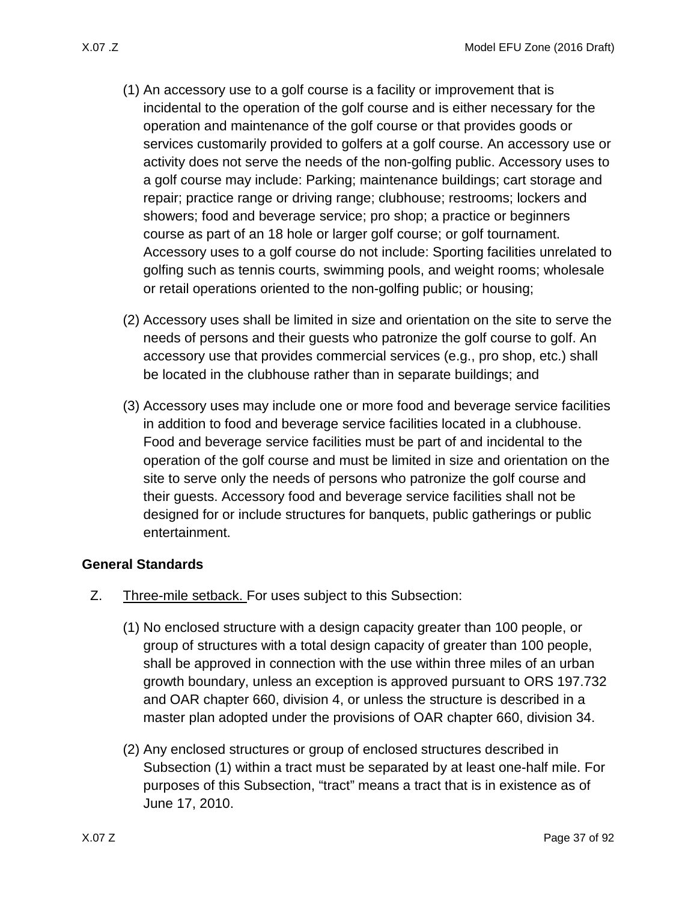- (1) An accessory use to a golf course is a facility or improvement that is incidental to the operation of the golf course and is either necessary for the operation and maintenance of the golf course or that provides goods or services customarily provided to golfers at a golf course. An accessory use or activity does not serve the needs of the non-golfing public. Accessory uses to a golf course may include: Parking; maintenance buildings; cart storage and repair; practice range or driving range; clubhouse; restrooms; lockers and showers; food and beverage service; pro shop; a practice or beginners course as part of an 18 hole or larger golf course; or golf tournament. Accessory uses to a golf course do not include: Sporting facilities unrelated to golfing such as tennis courts, swimming pools, and weight rooms; wholesale or retail operations oriented to the non-golfing public; or housing;
- (2) Accessory uses shall be limited in size and orientation on the site to serve the needs of persons and their guests who patronize the golf course to golf. An accessory use that provides commercial services (e.g., pro shop, etc.) shall be located in the clubhouse rather than in separate buildings; and
- (3) Accessory uses may include one or more food and beverage service facilities in addition to food and beverage service facilities located in a clubhouse. Food and beverage service facilities must be part of and incidental to the operation of the golf course and must be limited in size and orientation on the site to serve only the needs of persons who patronize the golf course and their guests. Accessory food and beverage service facilities shall not be designed for or include structures for banquets, public gatherings or public entertainment.

#### **General Standards**

- <span id="page-36-0"></span>Z. Three-mile setback. For uses subject to this Subsection:
	- (1) No enclosed structure with a design capacity greater than 100 people, or group of structures with a total design capacity of greater than 100 people, shall be approved in connection with the use within three miles of an urban growth boundary, unless an exception is approved pursuant to ORS 197.732 and OAR chapter 660, division 4, or unless the structure is described in a master plan adopted under the provisions of OAR chapter 660, division 34.
	- (2) Any enclosed structures or group of enclosed structures described in Subsection [\(1\)](#page-36-0) within a tract must be separated by at least one-half mile. For purposes of this Subsection, "tract" means a tract that is in existence as of June 17, 2010.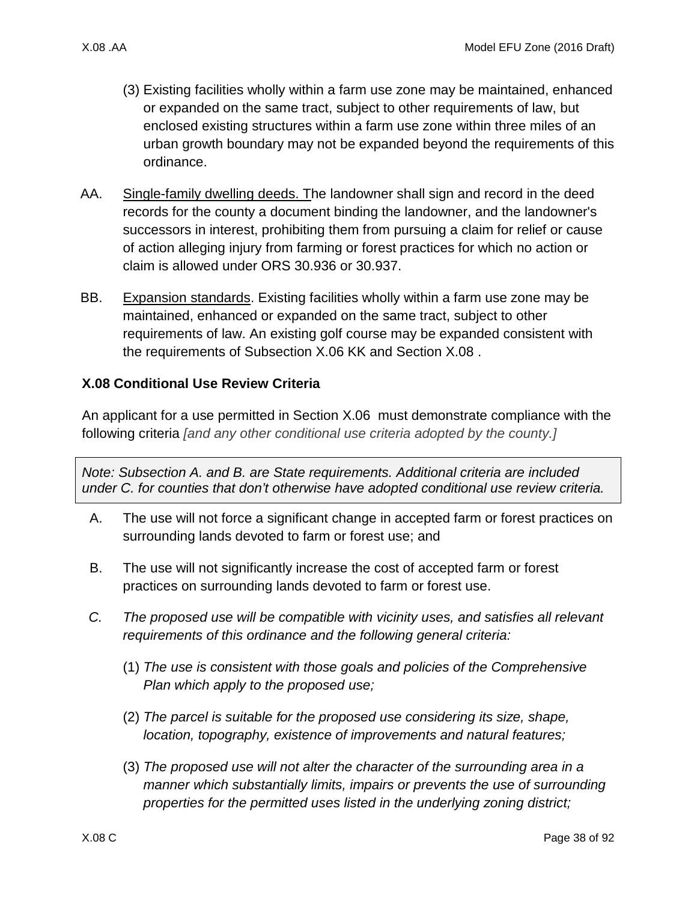- (3) Existing facilities wholly within a farm use zone may be maintained, enhanced or expanded on the same tract, subject to other requirements of law, but enclosed existing structures within a farm use zone within three miles of an urban growth boundary may not be expanded beyond the requirements of this ordinance.
- AA. Single-family dwelling deeds. The landowner shall sign and record in the deed records for the county a document binding the landowner, and the landowner's successors in interest, prohibiting them from pursuing a claim for relief or cause of action alleging injury from farming or forest practices for which no action or claim is allowed under ORS 30.936 or 30.937.
- BB. Expansion standards. Existing facilities wholly within a farm use zone may be maintained, enhanced or expanded on the same tract, subject to other requirements of law. An existing golf course may be expanded consistent with the requirements of Subsection [X.06 KK](#page-16-0) and Section [X.08 .](#page-37-0)

# <span id="page-37-0"></span>**X.08 Conditional Use Review Criteria**

An applicant for a use permitted in Section [X.06](#page-13-0) must demonstrate compliance with the following criteria *[and any other conditional use criteria adopted by the county.]*

*Note: Subsection A. and B. are State requirements. Additional criteria are included under C. for counties that don't otherwise have adopted conditional use review criteria.*

- <span id="page-37-1"></span>A. The use will not force a significant change in accepted farm or forest practices on surrounding lands devoted to farm or forest use; and
- <span id="page-37-2"></span>B. The use will not significantly increase the cost of accepted farm or forest practices on surrounding lands devoted to farm or forest use.
- *C. The proposed use will be compatible with vicinity uses, and satisfies all relevant requirements of this ordinance and the following general criteria:*
	- (1) *The use is consistent with those goals and policies of the Comprehensive Plan which apply to the proposed use;*
	- (2) *The parcel is suitable for the proposed use considering its size, shape, location, topography, existence of improvements and natural features;*
	- (3) *The proposed use will not alter the character of the surrounding area in a manner which substantially limits, impairs or prevents the use of surrounding properties for the permitted uses listed in the underlying zoning district;*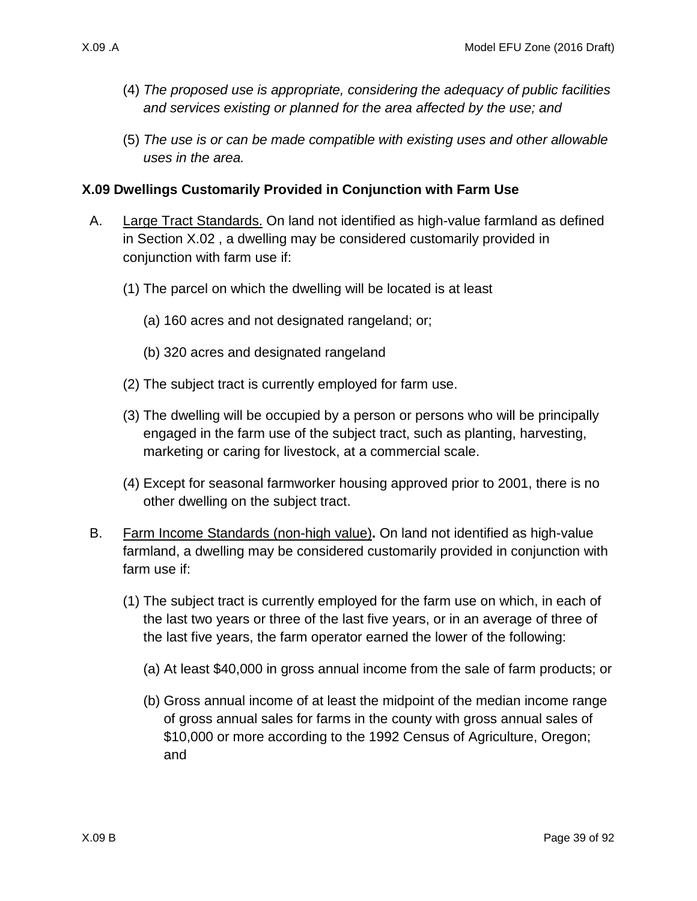- (4) *The proposed use is appropriate, considering the adequacy of public facilities and services existing or planned for the area affected by the use; and*
- (5) *The use is or can be made compatible with existing uses and other allowable uses in the area.*

### **X.09 Dwellings Customarily Provided in Conjunction with Farm Use**

- A. Large Tract Standards. On land not identified as high-value farmland as defined in Section [X.02 ,](#page-1-0) a dwelling may be considered customarily provided in conjunction with farm use if:
	- (1) The parcel on which the dwelling will be located is at least
		- (a) 160 acres and not designated rangeland; or;
		- (b) 320 acres and designated rangeland
	- (2) The subject tract is currently employed for farm use.
	- (3) The dwelling will be occupied by a person or persons who will be principally engaged in the farm use of the subject tract, such as planting, harvesting, marketing or caring for livestock, at a commercial scale.
	- (4) Except for seasonal farmworker housing approved prior to 2001, there is no other dwelling on the subject tract.
- <span id="page-38-1"></span><span id="page-38-0"></span>B. Farm Income Standards (non-high value)**.** On land not identified as high-value farmland, a dwelling may be considered customarily provided in conjunction with farm use if:
	- (1) The subject tract is currently employed for the farm use on which, in each of the last two years or three of the last five years, or in an average of three of the last five years, the farm operator earned the lower of the following:
		- (a) At least \$40,000 in gross annual income from the sale of farm products; or
		- (b) Gross annual income of at least the midpoint of the median income range of gross annual sales for farms in the county with gross annual sales of \$10,000 or more according to the 1992 Census of Agriculture, Oregon; and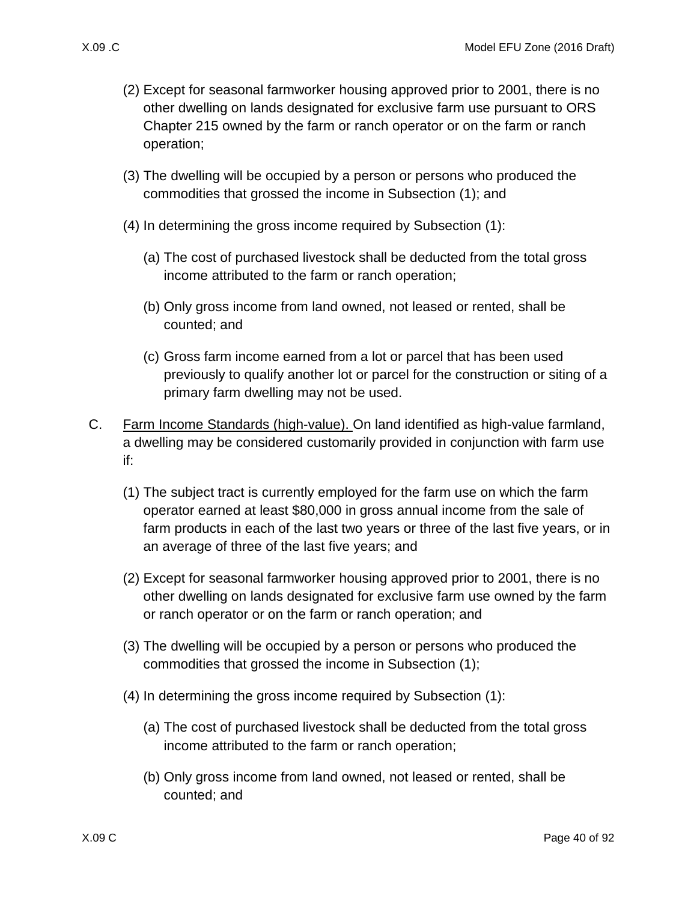- (2) Except for seasonal farmworker housing approved prior to 2001, there is no other dwelling on lands designated for exclusive farm use pursuant to ORS Chapter 215 owned by the farm or ranch operator or on the farm or ranch operation;
- (3) The dwelling will be occupied by a person or persons who produced the commodities that grossed the income in Subsection [\(1\);](#page-38-0) and
- (4) In determining the gross income required by Subsection [\(1\):](#page-38-0)
	- (a) The cost of purchased livestock shall be deducted from the total gross income attributed to the farm or ranch operation;
	- (b) Only gross income from land owned, not leased or rented, shall be counted; and
	- (c) Gross farm income earned from a lot or parcel that has been used previously to qualify another lot or parcel for the construction or siting of a primary farm dwelling may not be used.
- <span id="page-39-1"></span><span id="page-39-0"></span>C. Farm Income Standards (high-value). On land identified as high-value farmland, a dwelling may be considered customarily provided in conjunction with farm use if:
	- (1) The subject tract is currently employed for the farm use on which the farm operator earned at least \$80,000 in gross annual income from the sale of farm products in each of the last two years or three of the last five years, or in an average of three of the last five years; and
	- (2) Except for seasonal farmworker housing approved prior to 2001, there is no other dwelling on lands designated for exclusive farm use owned by the farm or ranch operator or on the farm or ranch operation; and
	- (3) The dwelling will be occupied by a person or persons who produced the commodities that grossed the income in Subsection [\(1\);](#page-39-0)
	- (4) In determining the gross income required by Subsection [\(1\):](#page-39-0)
		- (a) The cost of purchased livestock shall be deducted from the total gross income attributed to the farm or ranch operation;
		- (b) Only gross income from land owned, not leased or rented, shall be counted; and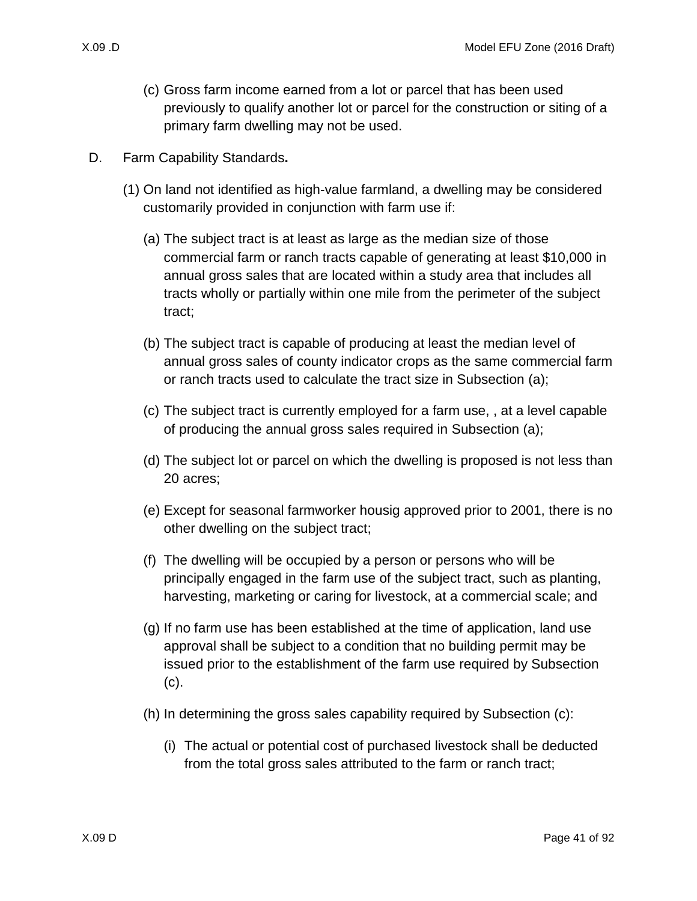- (c) Gross farm income earned from a lot or parcel that has been used previously to qualify another lot or parcel for the construction or siting of a primary farm dwelling may not be used.
- <span id="page-40-1"></span><span id="page-40-0"></span>D. Farm Capability Standards**.**
	- (1) On land not identified as high-value farmland, a dwelling may be considered customarily provided in conjunction with farm use if:
		- (a) The subject tract is at least as large as the median size of those commercial farm or ranch tracts capable of generating at least \$10,000 in annual gross sales that are located within a study area that includes all tracts wholly or partially within one mile from the perimeter of the subject tract;
		- (b) The subject tract is capable of producing at least the median level of annual gross sales of county indicator crops as the same commercial farm or ranch tracts used to calculate the tract size in Subsection [\(a\);](#page-40-0)
		- (c) The subject tract is currently employed for a farm use, , at a level capable of producing the annual gross sales required in Subsection [\(a\);](#page-40-0)
		- (d) The subject lot or parcel on which the dwelling is proposed is not less than 20 acres;
		- (e) Except for seasonal farmworker housig approved prior to 2001, there is no other dwelling on the subject tract;
		- (f) The dwelling will be occupied by a person or persons who will be principally engaged in the farm use of the subject tract, such as planting, harvesting, marketing or caring for livestock, at a commercial scale; and
		- (g) If no farm use has been established at the time of application, land use approval shall be subject to a condition that no building permit may be issued prior to the establishment of the farm use required by Subsection [\(c\).](#page-40-1)
		- (h) In determining the gross sales capability required by Subsection [\(c\):](#page-40-1)
			- (i) The actual or potential cost of purchased livestock shall be deducted from the total gross sales attributed to the farm or ranch tract;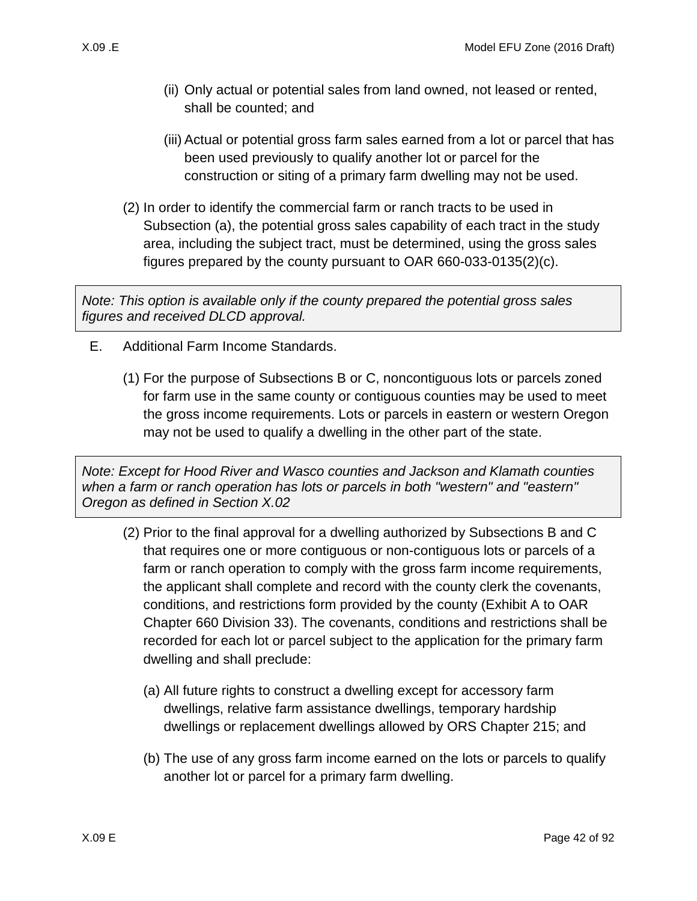- (ii) Only actual or potential sales from land owned, not leased or rented, shall be counted; and
- (iii) Actual or potential gross farm sales earned from a lot or parcel that has been used previously to qualify another lot or parcel for the construction or siting of a primary farm dwelling may not be used.
- (2) In order to identify the commercial farm or ranch tracts to be used in Subsection [\(a\),](#page-40-0) the potential gross sales capability of each tract in the study area, including the subject tract, must be determined, using the gross sales figures prepared by the county pursuant to OAR 660-033-0135(2)(c).

*Note: This option is available only if the county prepared the potential gross sales figures and received DLCD approval.*

- E. Additional Farm Income Standards.
	- (1) For the purpose of Subsections [B](#page-38-1) or [C,](#page-39-1) noncontiguous lots or parcels zoned for farm use in the same county or contiguous counties may be used to meet the gross income requirements. Lots or parcels in eastern or western Oregon may not be used to qualify a dwelling in the other part of the state.

*Note: Except for Hood River and Wasco counties and Jackson and Klamath counties when a farm or ranch operation has lots or parcels in both "western" and "eastern" Oregon as defined in Section X.02*

- (2) Prior to the final approval for a dwelling authorized by Subsections [B](#page-38-1) and [C](#page-39-1)  that requires one or more contiguous or non-contiguous lots or parcels of a farm or ranch operation to comply with the gross farm income requirements, the applicant shall complete and record with the county clerk the covenants, conditions, and restrictions form provided by the county (Exhibit A to OAR Chapter 660 Division 33). The covenants, conditions and restrictions shall be recorded for each lot or parcel subject to the application for the primary farm dwelling and shall preclude:
	- (a) All future rights to construct a dwelling except for accessory farm dwellings, relative farm assistance dwellings, temporary hardship dwellings or replacement dwellings allowed by ORS Chapter 215; and
	- (b) The use of any gross farm income earned on the lots or parcels to qualify another lot or parcel for a primary farm dwelling.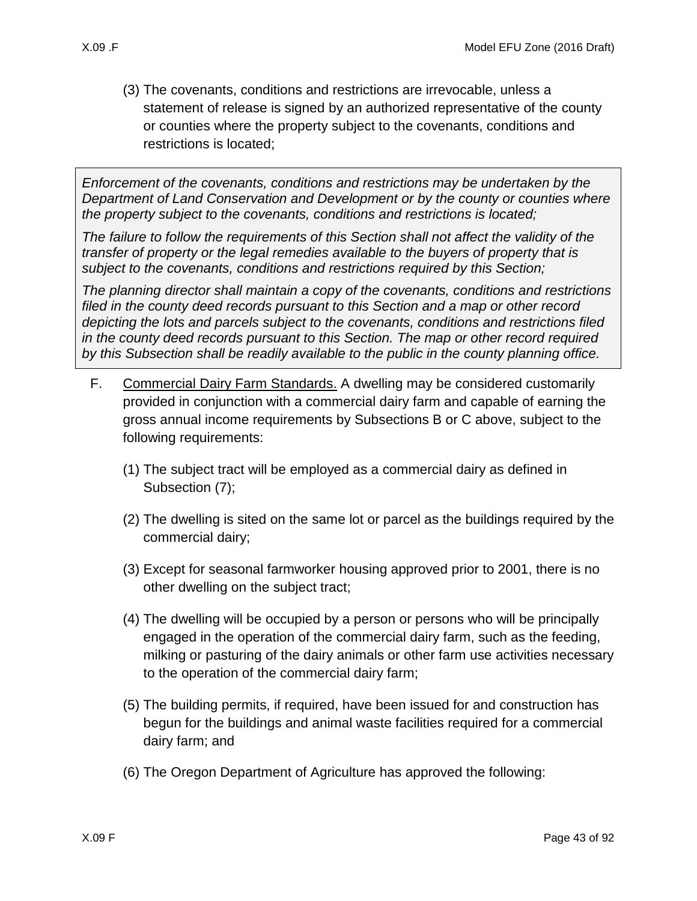(3) The covenants, conditions and restrictions are irrevocable, unless a statement of release is signed by an authorized representative of the county or counties where the property subject to the covenants, conditions and restrictions is located;

*Enforcement of the covenants, conditions and restrictions may be undertaken by the Department of Land Conservation and Development or by the county or counties where the property subject to the covenants, conditions and restrictions is located;*

*The failure to follow the requirements of this Section shall not affect the validity of the transfer of property or the legal remedies available to the buyers of property that is subject to the covenants, conditions and restrictions required by this Section;* 

*The planning director shall maintain a copy of the covenants, conditions and restrictions filed in the county deed records pursuant to this Section and a map or other record depicting the lots and parcels subject to the covenants, conditions and restrictions filed in the county deed records pursuant to this Section. The map or other record required by this Subsection shall be readily available to the public in the county planning office.* 

- F. Commercial Dairy Farm Standards. A dwelling may be considered customarily provided in conjunction with a commercial dairy farm and capable of earning the gross annual income requirements by Subsections [B](#page-38-1) or [C](#page-39-1) above, subject to the following requirements:
	- (1) The subject tract will be employed as a commercial dairy as defined in Subsection [\(7\);](#page-43-0)
	- (2) The dwelling is sited on the same lot or parcel as the buildings required by the commercial dairy;
	- (3) Except for seasonal farmworker housing approved prior to 2001, there is no other dwelling on the subject tract;
	- (4) The dwelling will be occupied by a person or persons who will be principally engaged in the operation of the commercial dairy farm, such as the feeding, milking or pasturing of the dairy animals or other farm use activities necessary to the operation of the commercial dairy farm;
	- (5) The building permits, if required, have been issued for and construction has begun for the buildings and animal waste facilities required for a commercial dairy farm; and
	- (6) The Oregon Department of Agriculture has approved the following: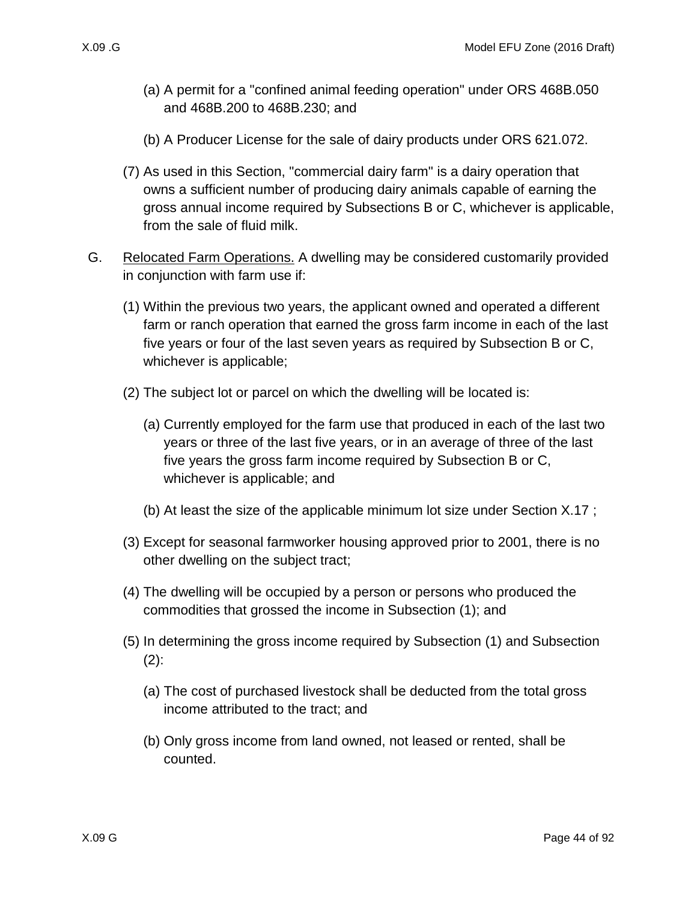- (a) A permit for a "confined animal feeding operation" under ORS 468B.050 and 468B.200 to 468B.230; and
- (b) A Producer License for the sale of dairy products under ORS 621.072.
- <span id="page-43-0"></span>(7) As used in this Section, "commercial dairy farm" is a dairy operation that owns a sufficient number of producing dairy animals capable of earning the gross annual income required by Subsections [B](#page-38-1) or [C,](#page-39-1) whichever is applicable, from the sale of fluid milk.
- <span id="page-43-3"></span><span id="page-43-2"></span><span id="page-43-1"></span>G. Relocated Farm Operations. A dwelling may be considered customarily provided in conjunction with farm use if:
	- (1) Within the previous two years, the applicant owned and operated a different farm or ranch operation that earned the gross farm income in each of the last five years or four of the last seven years as required by Subsection [B](#page-38-1) or [C,](#page-39-1) whichever is applicable;
	- (2) The subject lot or parcel on which the dwelling will be located is:
		- (a) Currently employed for the farm use that produced in each of the last two years or three of the last five years, or in an average of three of the last five years the gross farm income required by Subsection [B](#page-38-1) or [C,](#page-39-1) whichever is applicable; and
		- (b) At least the size of the applicable minimum lot size under Section [X.17 ;](#page-77-0)
	- (3) Except for seasonal farmworker housing approved prior to 2001, there is no other dwelling on the subject tract;
	- (4) The dwelling will be occupied by a person or persons who produced the commodities that grossed the income in Subsection [\(1\);](#page-43-1) and
	- (5) In determining the gross income required by Subsection [\(1\)](#page-43-1) and Subsection [\(2\):](#page-43-2)
		- (a) The cost of purchased livestock shall be deducted from the total gross income attributed to the tract; and
		- (b) Only gross income from land owned, not leased or rented, shall be counted.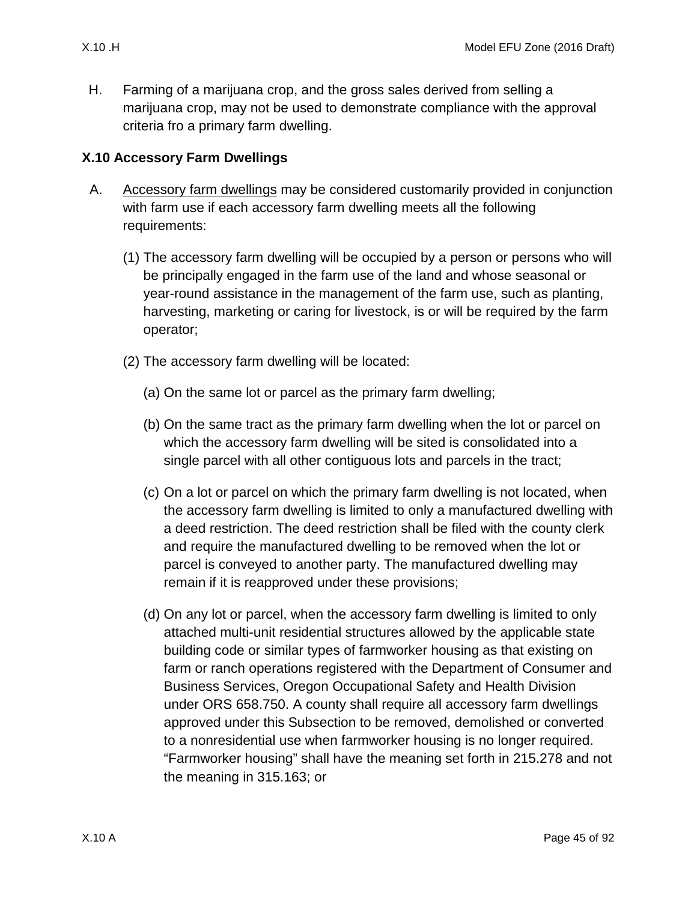H. Farming of a marijuana crop, and the gross sales derived from selling a marijuana crop, may not be used to demonstrate compliance with the approval criteria fro a primary farm dwelling.

# **X.10 Accessory Farm Dwellings**

- <span id="page-44-0"></span>A. Accessory farm dwellings may be considered customarily provided in conjunction with farm use if each accessory farm dwelling meets all the following requirements:
	- (1) The accessory farm dwelling will be occupied by a person or persons who will be principally engaged in the farm use of the land and whose seasonal or year-round assistance in the management of the farm use, such as planting, harvesting, marketing or caring for livestock, is or will be required by the farm operator;
	- (2) The accessory farm dwelling will be located:
		- (a) On the same lot or parcel as the primary farm dwelling;
		- (b) On the same tract as the primary farm dwelling when the lot or parcel on which the accessory farm dwelling will be sited is consolidated into a single parcel with all other contiguous lots and parcels in the tract;
		- (c) On a lot or parcel on which the primary farm dwelling is not located, when the accessory farm dwelling is limited to only a manufactured dwelling with a deed restriction. The deed restriction shall be filed with the county clerk and require the manufactured dwelling to be removed when the lot or parcel is conveyed to another party. The manufactured dwelling may remain if it is reapproved under these provisions;
		- (d) On any lot or parcel, when the accessory farm dwelling is limited to only attached multi-unit residential structures allowed by the applicable state building code or similar types of farmworker housing as that existing on farm or ranch operations registered with the Department of Consumer and Business Services, Oregon Occupational Safety and Health Division under ORS 658.750. A county shall require all accessory farm dwellings approved under this Subsection to be removed, demolished or converted to a nonresidential use when farmworker housing is no longer required. "Farmworker housing" shall have the meaning set forth in 215.278 and not the meaning in 315.163; or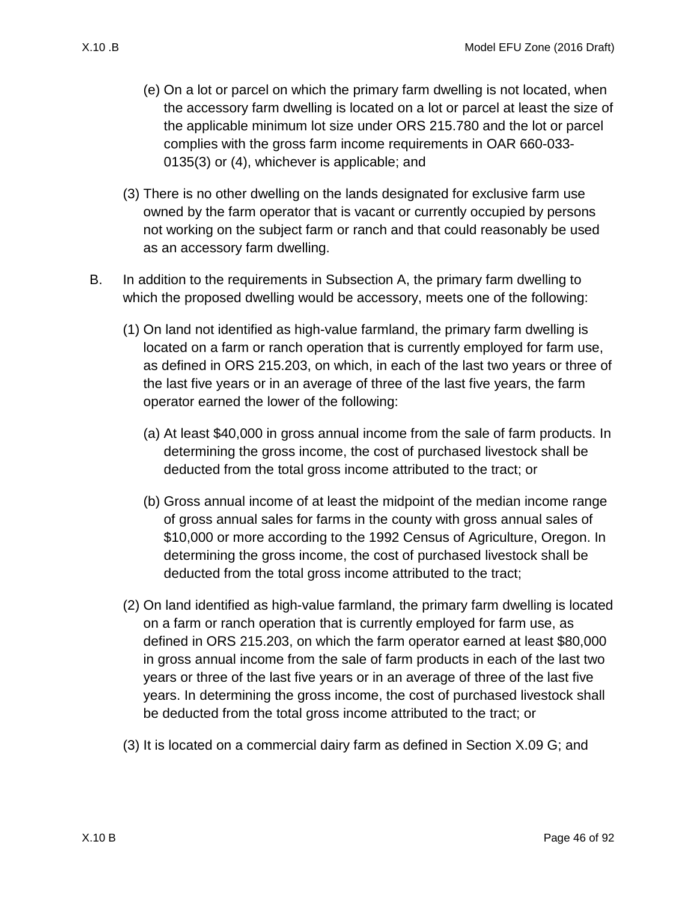- (e) On a lot or parcel on which the primary farm dwelling is not located, when the accessory farm dwelling is located on a lot or parcel at least the size of the applicable minimum lot size under ORS 215.780 and the lot or parcel complies with the gross farm income requirements in OAR 660-033- 0135(3) or (4), whichever is applicable; and
- (3) There is no other dwelling on the lands designated for exclusive farm use owned by the farm operator that is vacant or currently occupied by persons not working on the subject farm or ranch and that could reasonably be used as an accessory farm dwelling.
- B. In addition to the requirements in Subsection [A,](#page-44-0) the primary farm dwelling to which the proposed dwelling would be accessory, meets one of the following:
	- (1) On land not identified as high-value farmland, the primary farm dwelling is located on a farm or ranch operation that is currently employed for farm use, as defined in ORS 215.203, on which, in each of the last two years or three of the last five years or in an average of three of the last five years, the farm operator earned the lower of the following:
		- (a) At least \$40,000 in gross annual income from the sale of farm products. In determining the gross income, the cost of purchased livestock shall be deducted from the total gross income attributed to the tract; or
		- (b) Gross annual income of at least the midpoint of the median income range of gross annual sales for farms in the county with gross annual sales of \$10,000 or more according to the 1992 Census of Agriculture, Oregon. In determining the gross income, the cost of purchased livestock shall be deducted from the total gross income attributed to the tract;
	- (2) On land identified as high-value farmland, the primary farm dwelling is located on a farm or ranch operation that is currently employed for farm use, as defined in ORS 215.203, on which the farm operator earned at least \$80,000 in gross annual income from the sale of farm products in each of the last two years or three of the last five years or in an average of three of the last five years. In determining the gross income, the cost of purchased livestock shall be deducted from the total gross income attributed to the tract; or
	- (3) It is located on a commercial dairy farm as defined in Section [X.09 G;](#page-43-3) and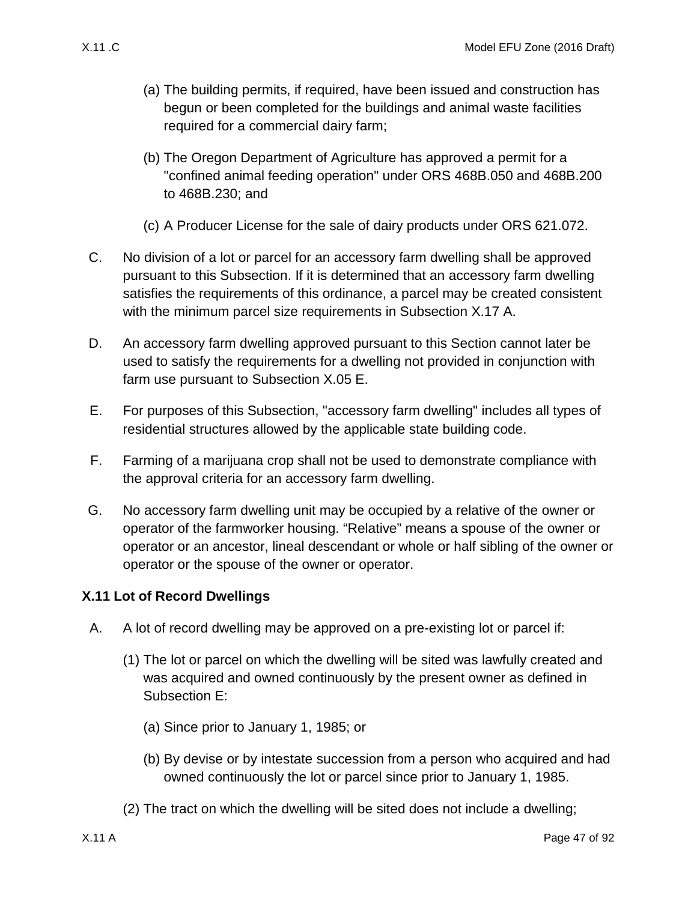- (a) The building permits, if required, have been issued and construction has begun or been completed for the buildings and animal waste facilities required for a commercial dairy farm;
- (b) The Oregon Department of Agriculture has approved a permit for a "confined animal feeding operation" under ORS 468B.050 and 468B.200 to 468B.230; and
- (c) A Producer License for the sale of dairy products under ORS 621.072.
- C. No division of a lot or parcel for an accessory farm dwelling shall be approved pursuant to this Subsection. If it is determined that an accessory farm dwelling satisfies the requirements of this ordinance, a parcel may be created consistent with the minimum parcel size requirements in Subsection [X.17 A.](#page-77-1)
- D. An accessory farm dwelling approved pursuant to this Section cannot later be used to satisfy the requirements for a dwelling not provided in conjunction with farm use pursuant to Subsection [X.05 E.](#page-13-1)
- E. For purposes of this Subsection, "accessory farm dwelling" includes all types of residential structures allowed by the applicable state building code.
- F. Farming of a marijuana crop shall not be used to demonstrate compliance with the approval criteria for an accessory farm dwelling.
- G. No accessory farm dwelling unit may be occupied by a relative of the owner or operator of the farmworker housing. "Relative" means a spouse of the owner or operator or an ancestor, lineal descendant or whole or half sibling of the owner or operator or the spouse of the owner or operator.

# **X.11 Lot of Record Dwellings**

- <span id="page-46-1"></span><span id="page-46-0"></span>A. A lot of record dwelling may be approved on a pre-existing lot or parcel if:
	- (1) The lot or parcel on which the dwelling will be sited was lawfully created and was acquired and owned continuously by the present owner as defined in Subsection [E:](#page-49-0)
		- (a) Since prior to January 1, 1985; or
		- (b) By devise or by intestate succession from a person who acquired and had owned continuously the lot or parcel since prior to January 1, 1985.
	- (2) The tract on which the dwelling will be sited does not include a dwelling;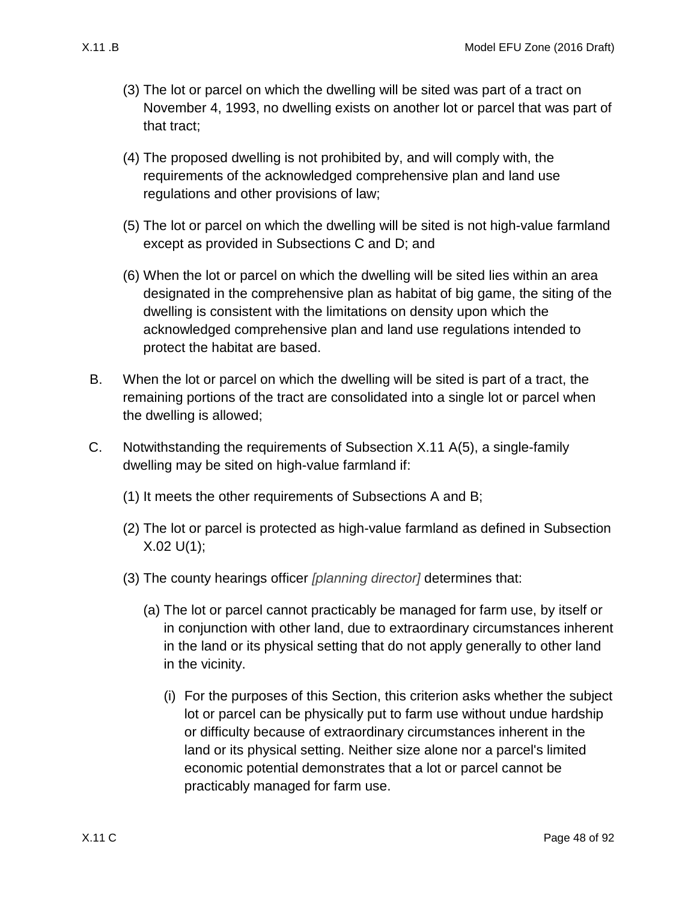- (3) The lot or parcel on which the dwelling will be sited was part of a tract on November 4, 1993, no dwelling exists on another lot or parcel that was part of that tract;
- (4) The proposed dwelling is not prohibited by, and will comply with, the requirements of the acknowledged comprehensive plan and land use regulations and other provisions of law;
- <span id="page-47-1"></span>(5) The lot or parcel on which the dwelling will be sited is not high-value farmland except as provided in Subsections [C](#page-47-0) and [D;](#page-48-0) and
- (6) When the lot or parcel on which the dwelling will be sited lies within an area designated in the comprehensive plan as habitat of big game, the siting of the dwelling is consistent with the limitations on density upon which the acknowledged comprehensive plan and land use regulations intended to protect the habitat are based.
- <span id="page-47-2"></span>B. When the lot or parcel on which the dwelling will be sited is part of a tract, the remaining portions of the tract are consolidated into a single lot or parcel when the dwelling is allowed;
- <span id="page-47-3"></span><span id="page-47-0"></span>C. Notwithstanding the requirements of Subsection [X.11 A\(5\),](#page-47-1) a single-family dwelling may be sited on high-value farmland if:
	- (1) It meets the other requirements of Subsections [A](#page-46-0) and [B;](#page-47-2)
	- (2) The lot or parcel is protected as high-value farmland as defined in Subsection  $X.02 U(1)$ ;
	- (3) The county hearings officer *[planning director]* determines that:
		- (a) The lot or parcel cannot practicably be managed for farm use, by itself or in conjunction with other land, due to extraordinary circumstances inherent in the land or its physical setting that do not apply generally to other land in the vicinity.
			- (i) For the purposes of this Section, this criterion asks whether the subject lot or parcel can be physically put to farm use without undue hardship or difficulty because of extraordinary circumstances inherent in the land or its physical setting. Neither size alone nor a parcel's limited economic potential demonstrates that a lot or parcel cannot be practicably managed for farm use.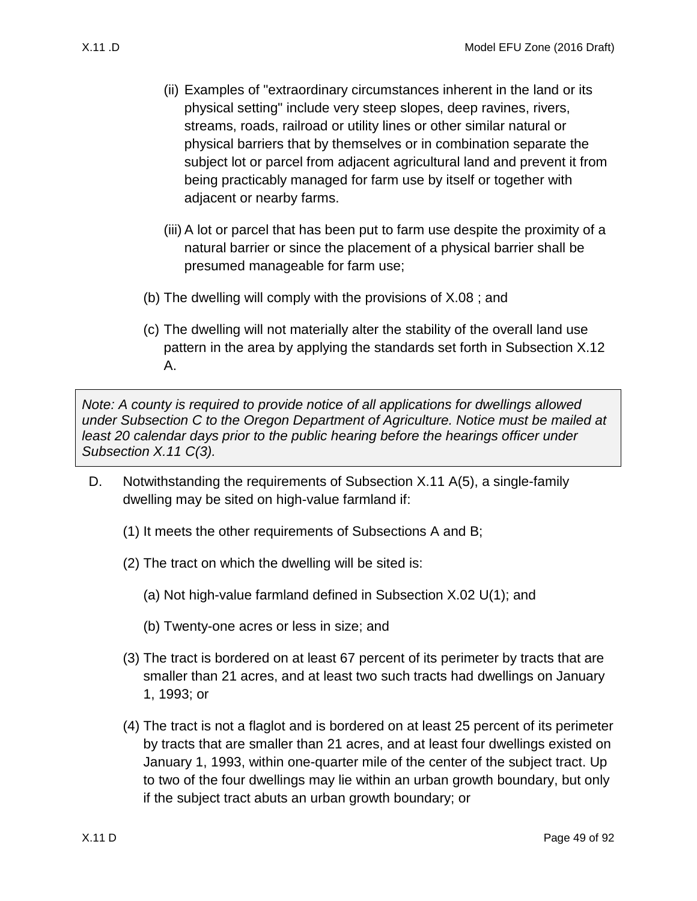- (ii) Examples of "extraordinary circumstances inherent in the land or its physical setting" include very steep slopes, deep ravines, rivers, streams, roads, railroad or utility lines or other similar natural or physical barriers that by themselves or in combination separate the subject lot or parcel from adjacent agricultural land and prevent it from being practicably managed for farm use by itself or together with adjacent or nearby farms.
- (iii) A lot or parcel that has been put to farm use despite the proximity of a natural barrier or since the placement of a physical barrier shall be presumed manageable for farm use;
- (b) The dwelling will comply with the provisions of [X.08 ;](#page-37-0) and
- (c) The dwelling will not materially alter the stability of the overall land use pattern in the area by applying the standards set forth in Subsection [X.12](#page-50-0)  [A.](#page-50-0)

*Note: A county is required to provide notice of all applications for dwellings allowed under Subsection [C](#page-47-0) to the Oregon Department of Agriculture. Notice must be mailed at least 20 calendar days prior to the public hearing before the hearings officer under Subsection [X.11 C\(3\).](#page-47-3)*

- <span id="page-48-0"></span>D. Notwithstanding the requirements of Subsection [X.11 A\(5\),](#page-47-1) a single-family dwelling may be sited on high-value farmland if:
	- (1) It meets the other requirements of Subsections [A](#page-46-0) and [B;](#page-47-2)
	- (2) The tract on which the dwelling will be sited is:
		- (a) Not high-value farmland defined in Subsection [X.02 U\(1\);](#page-5-0) and
		- (b) Twenty-one acres or less in size; and
	- (3) The tract is bordered on at least 67 percent of its perimeter by tracts that are smaller than 21 acres, and at least two such tracts had dwellings on January 1, 1993; or
	- (4) The tract is not a flaglot and is bordered on at least 25 percent of its perimeter by tracts that are smaller than 21 acres, and at least four dwellings existed on January 1, 1993, within one-quarter mile of the center of the subject tract. Up to two of the four dwellings may lie within an urban growth boundary, but only if the subject tract abuts an urban growth boundary; or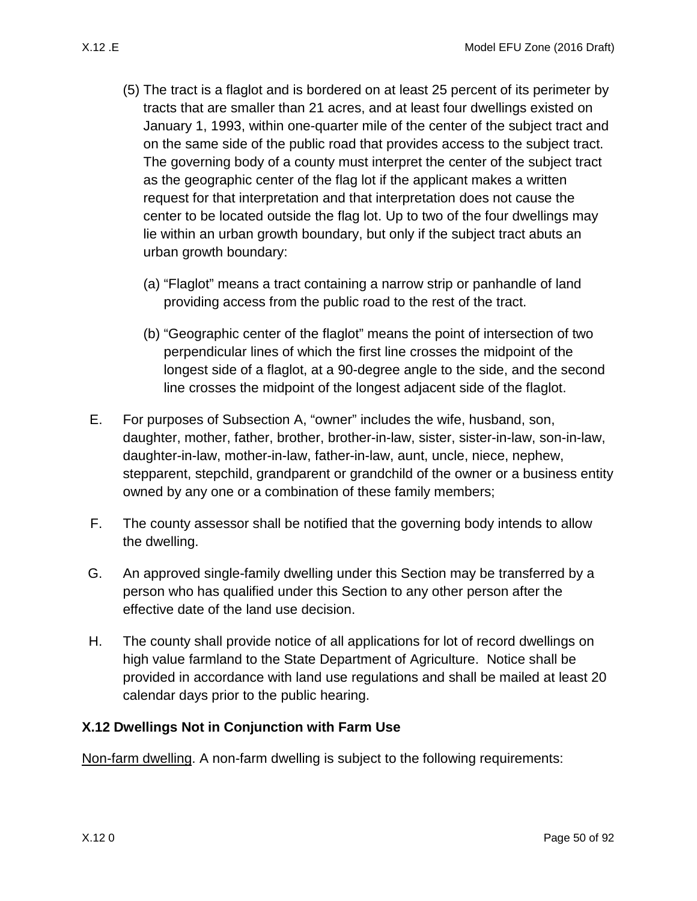- (5) The tract is a flaglot and is bordered on at least 25 percent of its perimeter by tracts that are smaller than 21 acres, and at least four dwellings existed on January 1, 1993, within one-quarter mile of the center of the subject tract and on the same side of the public road that provides access to the subject tract. The governing body of a county must interpret the center of the subject tract as the geographic center of the flag lot if the applicant makes a written request for that interpretation and that interpretation does not cause the center to be located outside the flag lot. Up to two of the four dwellings may lie within an urban growth boundary, but only if the subject tract abuts an urban growth boundary:
	- (a) "Flaglot" means a tract containing a narrow strip or panhandle of land providing access from the public road to the rest of the tract.
	- (b) "Geographic center of the flaglot" means the point of intersection of two perpendicular lines of which the first line crosses the midpoint of the longest side of a flaglot, at a 90-degree angle to the side, and the second line crosses the midpoint of the longest adjacent side of the flaglot.
- <span id="page-49-0"></span>E. For purposes of Subsection [A,](#page-46-0) "owner" includes the wife, husband, son, daughter, mother, father, brother, brother-in-law, sister, sister-in-law, son-in-law, daughter-in-law, mother-in-law, father-in-law, aunt, uncle, niece, nephew, stepparent, stepchild, grandparent or grandchild of the owner or a business entity owned by any one or a combination of these family members;
- F. The county assessor shall be notified that the governing body intends to allow the dwelling.
- G. An approved single-family dwelling under this Section may be transferred by a person who has qualified under this Section to any other person after the effective date of the land use decision.
- H. The county shall provide notice of all applications for lot of record dwellings on high value farmland to the State Department of Agriculture. Notice shall be provided in accordance with land use regulations and shall be mailed at least 20 calendar days prior to the public hearing.

#### <span id="page-49-1"></span>**X.12 Dwellings Not in Conjunction with Farm Use**

Non-farm dwelling. A non-farm dwelling is subject to the following requirements: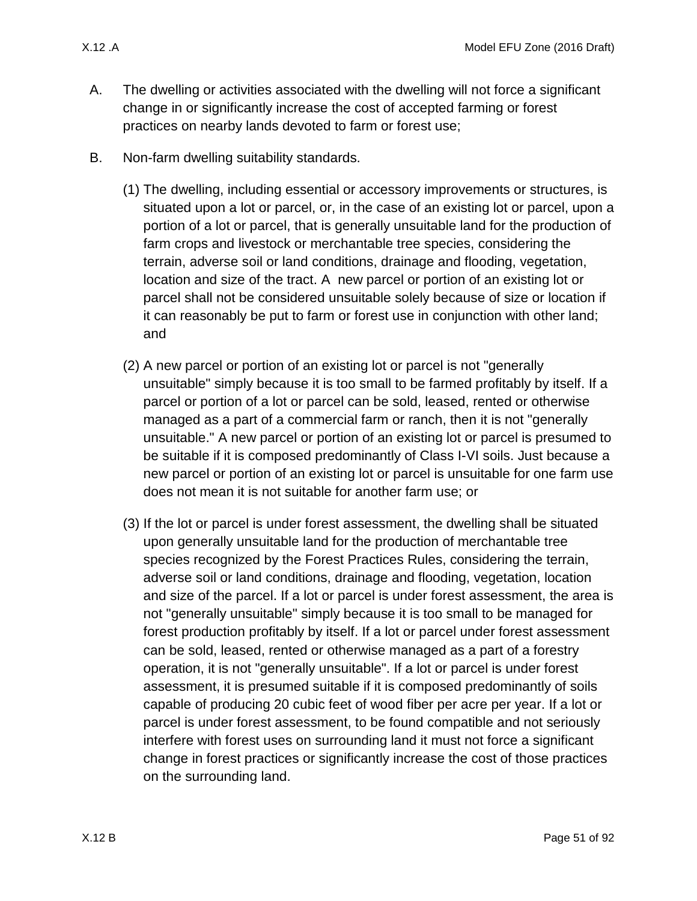- <span id="page-50-0"></span>A. The dwelling or activities associated with the dwelling will not force a significant change in or significantly increase the cost of accepted farming or forest practices on nearby lands devoted to farm or forest use;
- B. Non-farm dwelling suitability standards.
	- (1) The dwelling, including essential or accessory improvements or structures, is situated upon a lot or parcel, or, in the case of an existing lot or parcel, upon a portion of a lot or parcel, that is generally unsuitable land for the production of farm crops and livestock or merchantable tree species, considering the terrain, adverse soil or land conditions, drainage and flooding, vegetation, location and size of the tract. A new parcel or portion of an existing lot or parcel shall not be considered unsuitable solely because of size or location if it can reasonably be put to farm or forest use in conjunction with other land; and
	- (2) A new parcel or portion of an existing lot or parcel is not "generally unsuitable" simply because it is too small to be farmed profitably by itself. If a parcel or portion of a lot or parcel can be sold, leased, rented or otherwise managed as a part of a commercial farm or ranch, then it is not "generally unsuitable." A new parcel or portion of an existing lot or parcel is presumed to be suitable if it is composed predominantly of Class I-VI soils. Just because a new parcel or portion of an existing lot or parcel is unsuitable for one farm use does not mean it is not suitable for another farm use; or
	- (3) If the lot or parcel is under forest assessment, the dwelling shall be situated upon generally unsuitable land for the production of merchantable tree species recognized by the Forest Practices Rules, considering the terrain, adverse soil or land conditions, drainage and flooding, vegetation, location and size of the parcel. If a lot or parcel is under forest assessment, the area is not "generally unsuitable" simply because it is too small to be managed for forest production profitably by itself. If a lot or parcel under forest assessment can be sold, leased, rented or otherwise managed as a part of a forestry operation, it is not "generally unsuitable". If a lot or parcel is under forest assessment, it is presumed suitable if it is composed predominantly of soils capable of producing 20 cubic feet of wood fiber per acre per year. If a lot or parcel is under forest assessment, to be found compatible and not seriously interfere with forest uses on surrounding land it must not force a significant change in forest practices or significantly increase the cost of those practices on the surrounding land.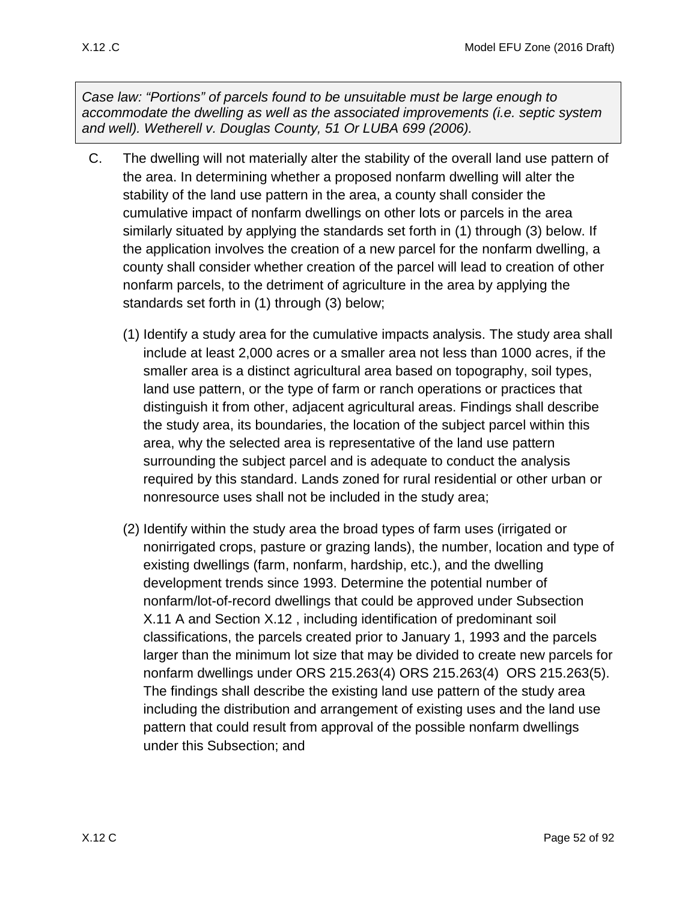*Case law: "Portions" of parcels found to be unsuitable must be large enough to accommodate the dwelling as well as the associated improvements (i.e. septic system and well). Wetherell v. Douglas County, 51 Or LUBA 699 (2006).*

- C. The dwelling will not materially alter the stability of the overall land use pattern of the area. In determining whether a proposed nonfarm dwelling will alter the stability of the land use pattern in the area, a county shall consider the cumulative impact of nonfarm dwellings on other lots or parcels in the area similarly situated by applying the standards set forth in (1) through (3) below. If the application involves the creation of a new parcel for the nonfarm dwelling, a county shall consider whether creation of the parcel will lead to creation of other nonfarm parcels, to the detriment of agriculture in the area by applying the standards set forth in (1) through (3) below;
	- (1) Identify a study area for the cumulative impacts analysis. The study area shall include at least 2,000 acres or a smaller area not less than 1000 acres, if the smaller area is a distinct agricultural area based on topography, soil types, land use pattern, or the type of farm or ranch operations or practices that distinguish it from other, adjacent agricultural areas. Findings shall describe the study area, its boundaries, the location of the subject parcel within this area, why the selected area is representative of the land use pattern surrounding the subject parcel and is adequate to conduct the analysis required by this standard. Lands zoned for rural residential or other urban or nonresource uses shall not be included in the study area;
	- (2) Identify within the study area the broad types of farm uses (irrigated or nonirrigated crops, pasture or grazing lands), the number, location and type of existing dwellings (farm, nonfarm, hardship, etc.), and the dwelling development trends since 1993. Determine the potential number of nonfarm/lot-of-record dwellings that could be approved under Subsection [X.11 A](#page-46-1) and Section [X.12 ,](#page-49-1) including identification of predominant soil classifications, the parcels created prior to January 1, 1993 and the parcels larger than the minimum lot size that may be divided to create new parcels for nonfarm dwellings under ORS 215.263(4) ORS 215.263(4) ORS 215.263(5). The findings shall describe the existing land use pattern of the study area including the distribution and arrangement of existing uses and the land use pattern that could result from approval of the possible nonfarm dwellings under this Subsection; and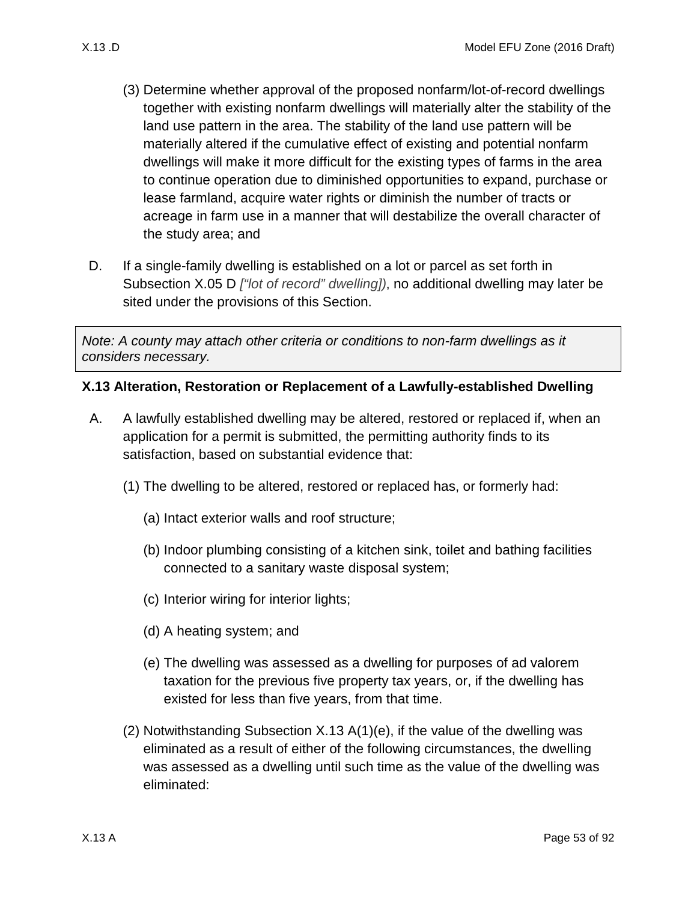- (3) Determine whether approval of the proposed nonfarm/lot-of-record dwellings together with existing nonfarm dwellings will materially alter the stability of the land use pattern in the area. The stability of the land use pattern will be materially altered if the cumulative effect of existing and potential nonfarm dwellings will make it more difficult for the existing types of farms in the area to continue operation due to diminished opportunities to expand, purchase or lease farmland, acquire water rights or diminish the number of tracts or acreage in farm use in a manner that will destabilize the overall character of the study area; and
- D. If a single-family dwelling is established on a lot or parcel as set forth in Subsection [X.05 D](#page-13-2) *["lot of record" dwelling])*, no additional dwelling may later be sited under the provisions of this Section.

*Note: A county may attach other criteria or conditions to non-farm dwellings as it considers necessary.*

#### **X.13 Alteration, Restoration or Replacement of a Lawfully-established Dwelling**

- <span id="page-52-2"></span><span id="page-52-1"></span><span id="page-52-0"></span>A. A lawfully established dwelling may be altered, restored or replaced if, when an application for a permit is submitted, the permitting authority finds to its satisfaction, based on substantial evidence that:
	- (1) The dwelling to be altered, restored or replaced has, or formerly had:
		- (a) Intact exterior walls and roof structure;
		- (b) Indoor plumbing consisting of a kitchen sink, toilet and bathing facilities connected to a sanitary waste disposal system;
		- (c) Interior wiring for interior lights;
		- (d) A heating system; and
		- (e) The dwelling was assessed as a dwelling for purposes of ad valorem taxation for the previous five property tax years, or, if the dwelling has existed for less than five years, from that time.
	- (2) Notwithstanding Subsection [X.13 A\(1\)\(e\),](#page-52-0) if the value of the dwelling was eliminated as a result of either of the following circumstances, the dwelling was assessed as a dwelling until such time as the value of the dwelling was eliminated: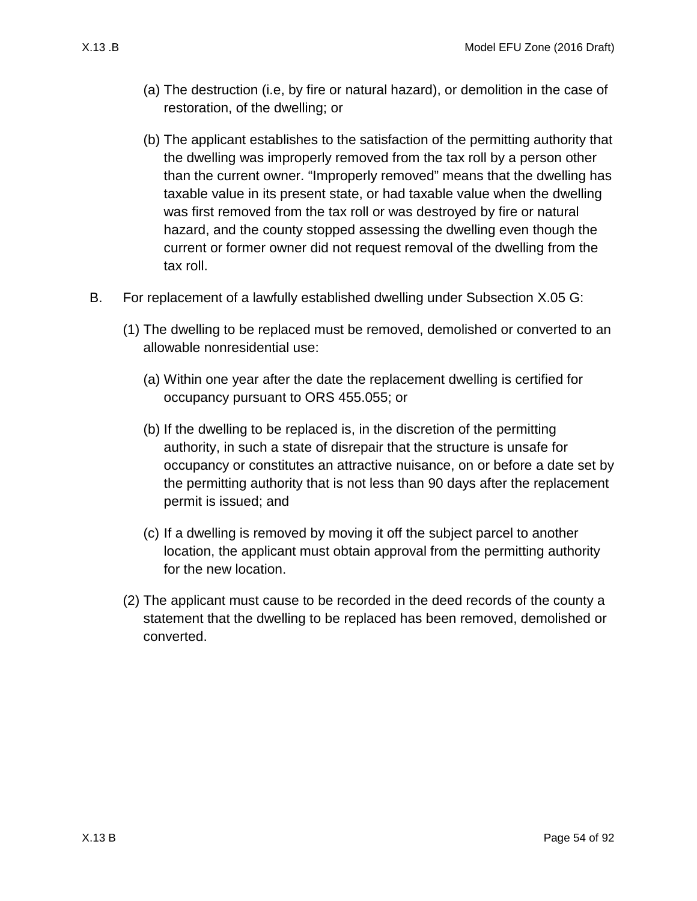- (a) The destruction (i.e, by fire or natural hazard), or demolition in the case of restoration, of the dwelling; or
- (b) The applicant establishes to the satisfaction of the permitting authority that the dwelling was improperly removed from the tax roll by a person other than the current owner. "Improperly removed" means that the dwelling has taxable value in its present state, or had taxable value when the dwelling was first removed from the tax roll or was destroyed by fire or natural hazard, and the county stopped assessing the dwelling even though the current or former owner did not request removal of the dwelling from the tax roll.
- <span id="page-53-0"></span>B. For replacement of a lawfully established dwelling under Subsection [X.05 G:](#page-13-3)
	- (1) The dwelling to be replaced must be removed, demolished or converted to an allowable nonresidential use:
		- (a) Within one year after the date the replacement dwelling is certified for occupancy pursuant to ORS 455.055; or
		- (b) If the dwelling to be replaced is, in the discretion of the permitting authority, in such a state of disrepair that the structure is unsafe for occupancy or constitutes an attractive nuisance, on or before a date set by the permitting authority that is not less than 90 days after the replacement permit is issued; and
		- (c) If a dwelling is removed by moving it off the subject parcel to another location, the applicant must obtain approval from the permitting authority for the new location.
	- (2) The applicant must cause to be recorded in the deed records of the county a statement that the dwelling to be replaced has been removed, demolished or converted.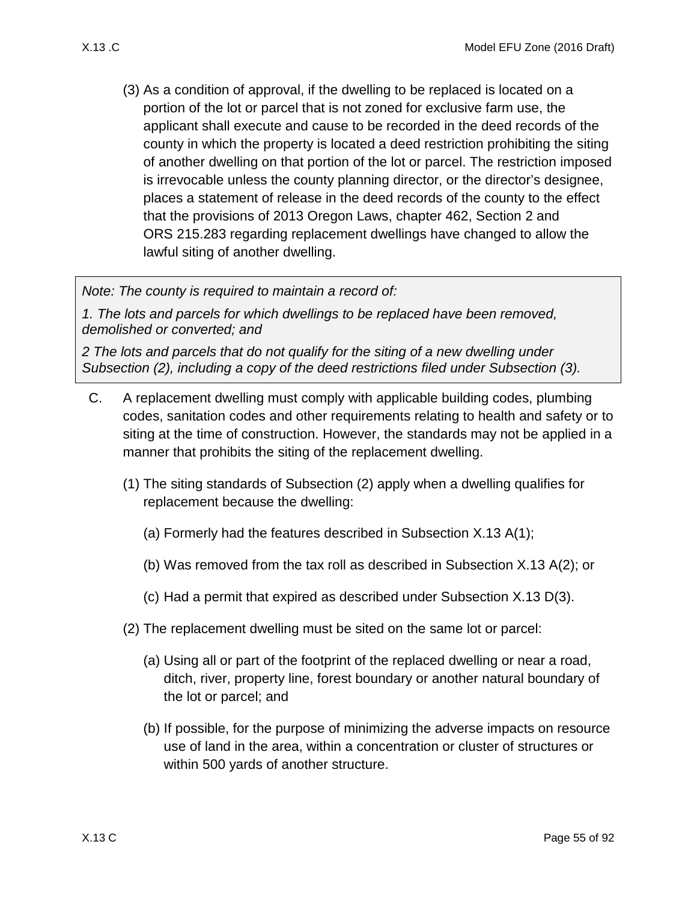<span id="page-54-0"></span>(3) As a condition of approval, if the dwelling to be replaced is located on a portion of the lot or parcel that is not zoned for exclusive farm use, the applicant shall execute and cause to be recorded in the deed records of the county in which the property is located a deed restriction prohibiting the siting of another dwelling on that portion of the lot or parcel. The restriction imposed is irrevocable unless the county planning director, or the director's designee, places a statement of release in the deed records of the county to the effect that the provisions of 2013 Oregon Laws, chapter 462, Section 2 and ORS 215.283 regarding replacement dwellings have changed to allow the lawful siting of another dwelling.

*Note: The county is required to maintain a record of:* 

*1. The lots and parcels for which dwellings to be replaced have been removed, demolished or converted; and* 

*2 The lots and parcels that do not qualify for the siting of a new dwelling under Subsection [\(2\),](#page-53-0) including a copy of the deed restrictions filed under Subsection [\(3\).](#page-54-0)*

- <span id="page-54-1"></span>C. A replacement dwelling must comply with applicable building codes, plumbing codes, sanitation codes and other requirements relating to health and safety or to siting at the time of construction. However, the standards may not be applied in a manner that prohibits the siting of the replacement dwelling.
	- (1) The siting standards of Subsection [\(2\)](#page-54-1) apply when a dwelling qualifies for replacement because the dwelling:
		- (a) Formerly had the features described in Subsection [X.13 A\(1\);](#page-52-1)
		- (b) Was removed from the tax roll as described in Subsection [X.13 A\(2\);](#page-52-2) or
		- (c) Had a permit that expired as described under Subsection [X.13 D\(3\).](#page-55-0)
	- (2) The replacement dwelling must be sited on the same lot or parcel:
		- (a) Using all or part of the footprint of the replaced dwelling or near a road, ditch, river, property line, forest boundary or another natural boundary of the lot or parcel; and
		- (b) If possible, for the purpose of minimizing the adverse impacts on resource use of land in the area, within a concentration or cluster of structures or within 500 yards of another structure.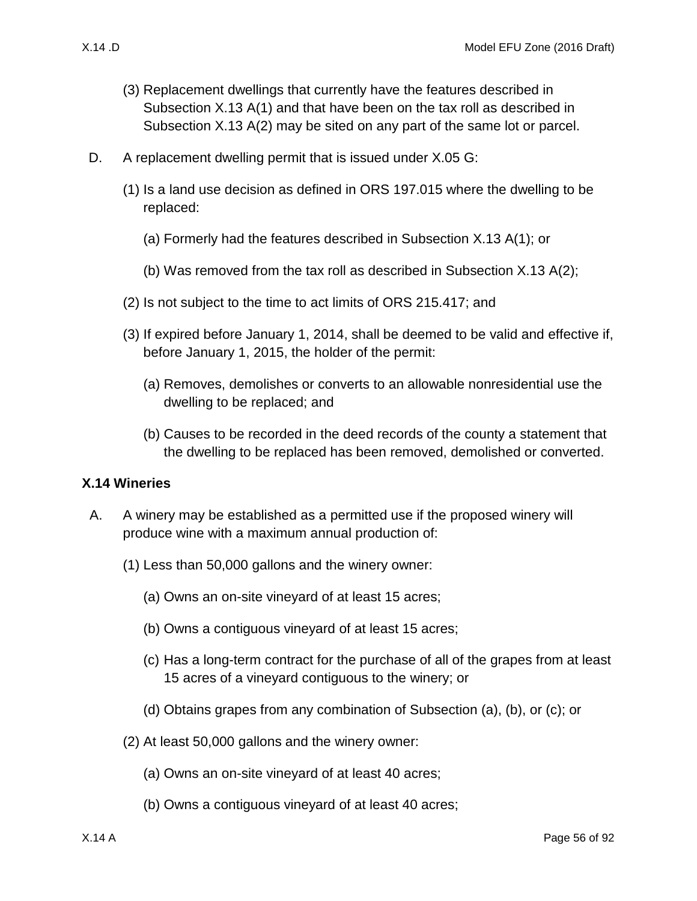- (3) Replacement dwellings that currently have the features described in
	- Subsection [X.13 A\(1\)](#page-52-1) and that have been on the tax roll as described in Subsection [X.13 A\(2\)](#page-52-2) may be sited on any part of the same lot or parcel.
- D. A replacement dwelling permit that is issued under [X.05 G:](#page-13-3)
	- (1) Is a land use decision as defined in ORS 197.015 where the dwelling to be replaced:
		- (a) Formerly had the features described in Subsection [X.13 A\(1\);](#page-52-1) or
		- (b) Was removed from the tax roll as described in Subsection [X.13 A\(2\);](#page-52-2)
	- (2) Is not subject to the time to act limits of ORS 215.417; and
	- (3) If expired before January 1, 2014, shall be deemed to be valid and effective if, before January 1, 2015, the holder of the permit:
		- (a) Removes, demolishes or converts to an allowable nonresidential use the dwelling to be replaced; and
		- (b) Causes to be recorded in the deed records of the county a statement that the dwelling to be replaced has been removed, demolished or converted.

# <span id="page-55-0"></span>**X.14 Wineries**

- <span id="page-55-5"></span><span id="page-55-4"></span><span id="page-55-3"></span><span id="page-55-2"></span><span id="page-55-1"></span>A. A winery may be established as a permitted use if the proposed winery will produce wine with a maximum annual production of:
	- (1) Less than 50,000 gallons and the winery owner:
		- (a) Owns an on-site vineyard of at least 15 acres;
		- (b) Owns a contiguous vineyard of at least 15 acres;
		- (c) Has a long-term contract for the purchase of all of the grapes from at least 15 acres of a vineyard contiguous to the winery; or
		- (d) Obtains grapes from any combination of Subsection [\(a\),](#page-55-1) [\(b\),](#page-55-2) or [\(c\);](#page-55-3) or
	- (2) At least 50,000 gallons and the winery owner:
		- (a) Owns an on-site vineyard of at least 40 acres;
		- (b) Owns a contiguous vineyard of at least 40 acres;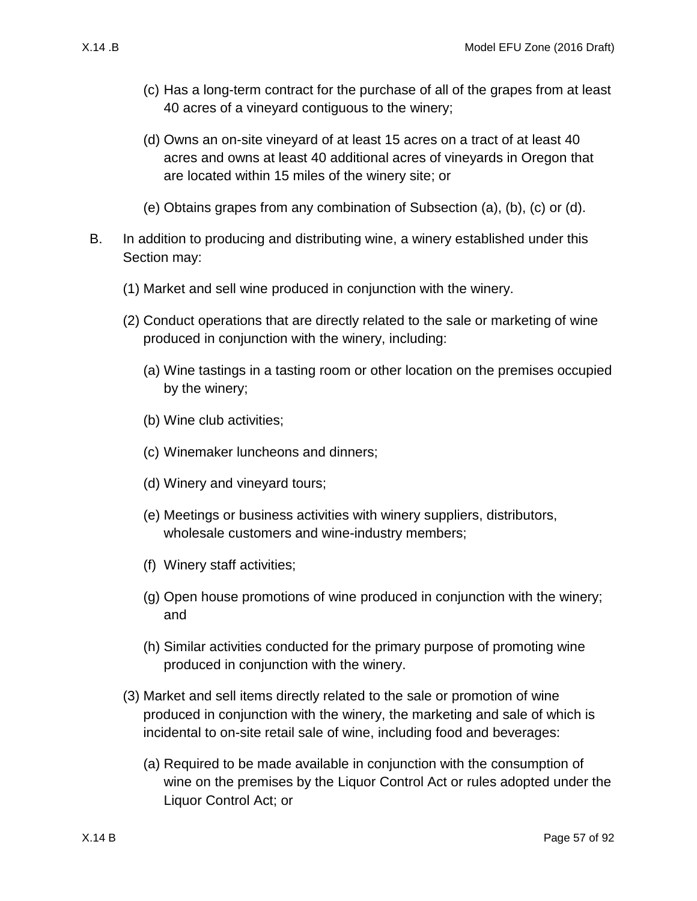- (c) Has a long-term contract for the purchase of all of the grapes from at least 40 acres of a vineyard contiguous to the winery;
- (d) Owns an on-site vineyard of at least 15 acres on a tract of at least 40 acres and owns at least 40 additional acres of vineyards in Oregon that are located within 15 miles of the winery site; or
- (e) Obtains grapes from any combination of Subsection [\(a\),](#page-55-1) [\(b\),](#page-55-2) [\(c\)](#page-55-3) or [\(d\).](#page-55-4)
- <span id="page-56-1"></span><span id="page-56-0"></span>B. In addition to producing and distributing wine, a winery established under this Section may:
	- (1) Market and sell wine produced in conjunction with the winery.
	- (2) Conduct operations that are directly related to the sale or marketing of wine produced in conjunction with the winery, including:
		- (a) Wine tastings in a tasting room or other location on the premises occupied by the winery;
		- (b) Wine club activities;
		- (c) Winemaker luncheons and dinners;
		- (d) Winery and vineyard tours;
		- (e) Meetings or business activities with winery suppliers, distributors, wholesale customers and wine-industry members;
		- (f) Winery staff activities;
		- (g) Open house promotions of wine produced in conjunction with the winery; and
		- (h) Similar activities conducted for the primary purpose of promoting wine produced in conjunction with the winery.
	- (3) Market and sell items directly related to the sale or promotion of wine produced in conjunction with the winery, the marketing and sale of which is incidental to on-site retail sale of wine, including food and beverages:
		- (a) Required to be made available in conjunction with the consumption of wine on the premises by the Liquor Control Act or rules adopted under the Liquor Control Act; or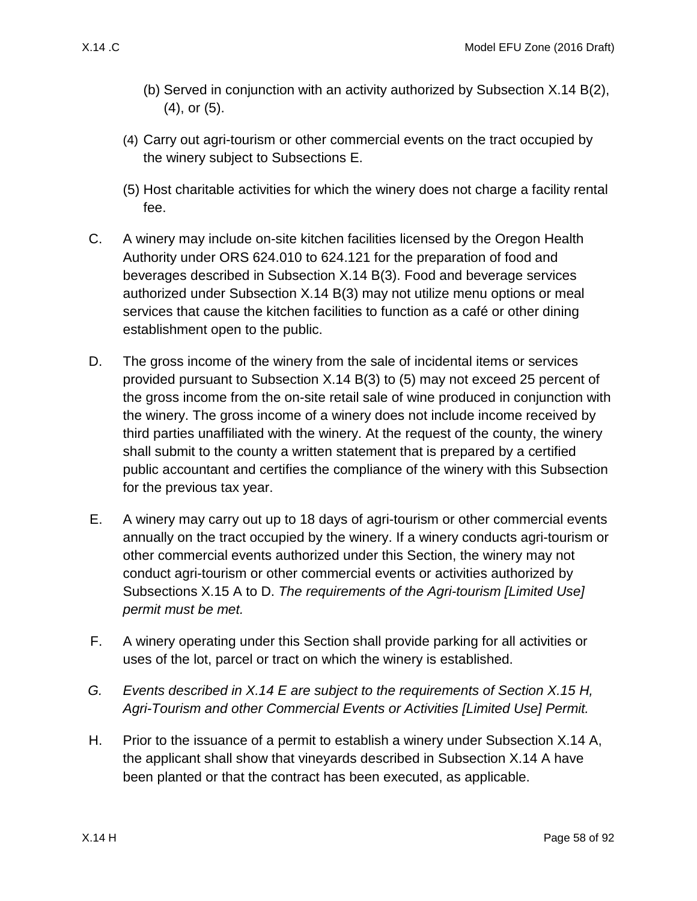- (b) Served in conjunction with an activity authorized by Subsection [X.14 B\(2\),](#page-56-0) [\(4\),](#page-57-0) or [\(5\).](#page-57-1)
- <span id="page-57-0"></span>(4) Carry out agri-tourism or other commercial events on the tract occupied by the winery subject to Subsections E.
- <span id="page-57-1"></span>(5) Host charitable activities for which the winery does not charge a facility rental fee.
- C. A winery may include on-site kitchen facilities licensed by the Oregon Health Authority under ORS 624.010 to 624.121 for the preparation of food and beverages described in Subsection [X.14 B\(3\).](#page-56-1) Food and beverage services authorized under Subsection [X.14 B\(3\)](#page-56-1) may not utilize menu options or meal services that cause the kitchen facilities to function as a café or other dining establishment open to the public.
- D. The gross income of the winery from the sale of incidental items or services provided pursuant to Subsection [X.14 B\(3\)](#page-56-1) to [\(5\)](#page-57-1) may not exceed 25 percent of the gross income from the on-site retail sale of wine produced in conjunction with the winery. The gross income of a winery does not include income received by third parties unaffiliated with the winery. At the request of the county, the winery shall submit to the county a written statement that is prepared by a certified public accountant and certifies the compliance of the winery with this Subsection for the previous tax year.
- <span id="page-57-2"></span>E. A winery may carry out up to 18 days of agri-tourism or other commercial events annually on the tract occupied by the winery. If a winery conducts agri-tourism or other commercial events authorized under this Section, the winery may not conduct agri-tourism or other commercial events or activities authorized by Subsections [X.15 A](#page-61-0) to [D.](#page-64-0) *The requirements of the Agri-tourism [Limited Use] permit must be met.*
- F. A winery operating under this Section shall provide parking for all activities or uses of the lot, parcel or tract on which the winery is established.
- *G. Events described in [X.14 E](#page-57-2) are subject to the requirements of Section [X.15 H,](#page-65-0) Agri-Tourism and other Commercial Events or Activities [Limited Use] Permit.*
- H. Prior to the issuance of a permit to establish a winery under Subsection [X.14 A,](#page-55-5) the applicant shall show that vineyards described in Subsection [X.14 A](#page-55-5) have been planted or that the contract has been executed, as applicable.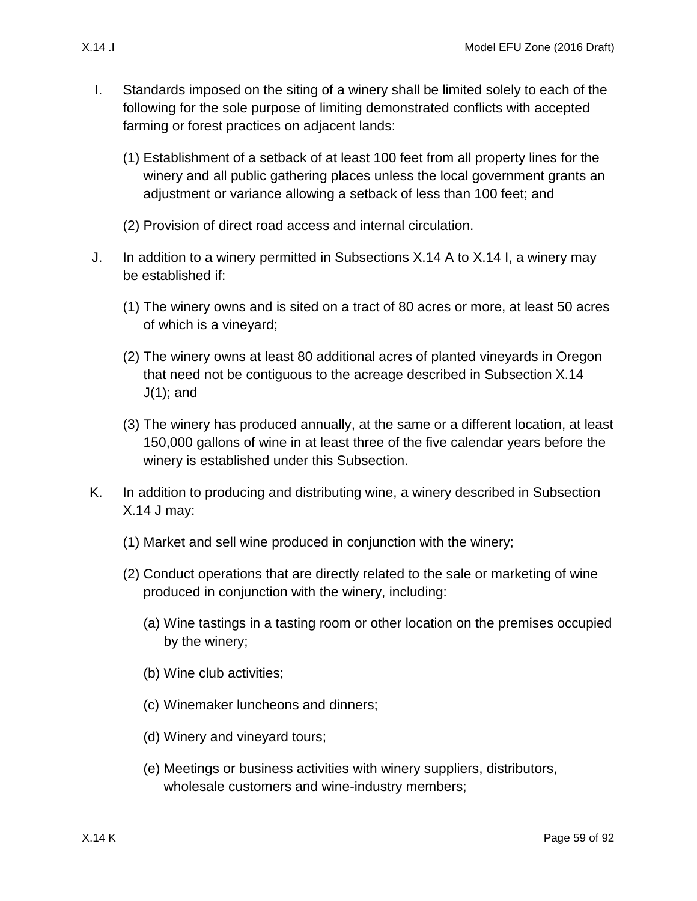- <span id="page-58-0"></span>I. Standards imposed on the siting of a winery shall be limited solely to each of the following for the sole purpose of limiting demonstrated conflicts with accepted farming or forest practices on adjacent lands:
	- (1) Establishment of a setback of at least 100 feet from all property lines for the winery and all public gathering places unless the local government grants an adjustment or variance allowing a setback of less than 100 feet; and
	- (2) Provision of direct road access and internal circulation.
- <span id="page-58-2"></span><span id="page-58-1"></span>J. In addition to a winery permitted in Subsections [X.14 A](#page-55-5) to [X.14 I,](#page-58-0) a winery may be established if:
	- (1) The winery owns and is sited on a tract of 80 acres or more, at least 50 acres of which is a vineyard;
	- (2) The winery owns at least 80 additional acres of planted vineyards in Oregon that need not be contiguous to the acreage described in Subsection [X.14](#page-58-1)  [J\(1\);](#page-58-1) and
	- (3) The winery has produced annually, at the same or a different location, at least 150,000 gallons of wine in at least three of the five calendar years before the winery is established under this Subsection.
- <span id="page-58-6"></span><span id="page-58-5"></span><span id="page-58-4"></span><span id="page-58-3"></span>K. In addition to producing and distributing wine, a winery described in Subsection [X.14 J](#page-58-2) may:
	- (1) Market and sell wine produced in conjunction with the winery;
	- (2) Conduct operations that are directly related to the sale or marketing of wine produced in conjunction with the winery, including:
		- (a) Wine tastings in a tasting room or other location on the premises occupied by the winery;
		- (b) Wine club activities;
		- (c) Winemaker luncheons and dinners;
		- (d) Winery and vineyard tours;
		- (e) Meetings or business activities with winery suppliers, distributors, wholesale customers and wine-industry members;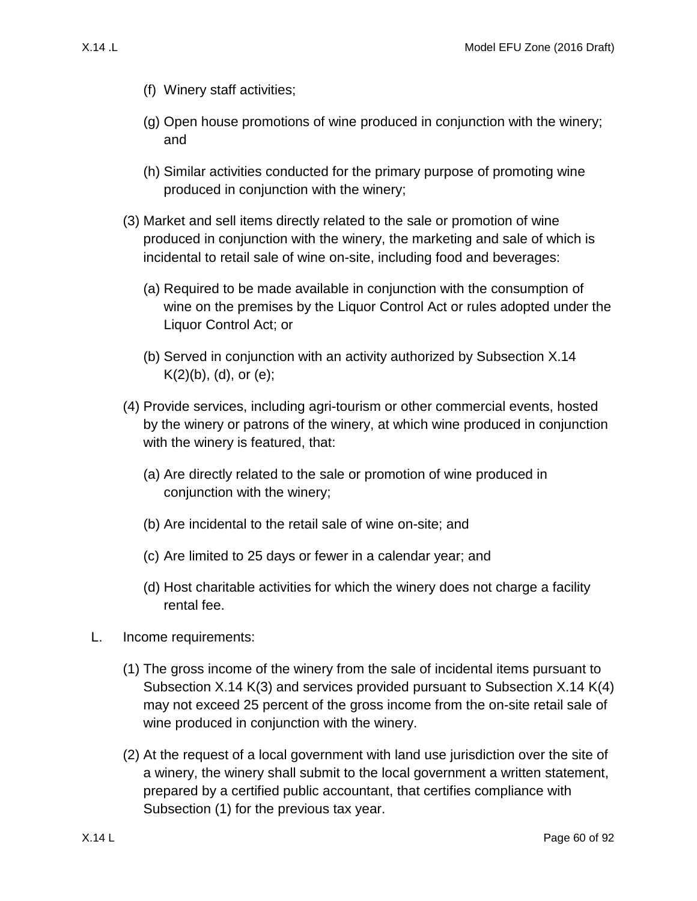- (f) Winery staff activities;
- (g) Open house promotions of wine produced in conjunction with the winery; and
- (h) Similar activities conducted for the primary purpose of promoting wine produced in conjunction with the winery;
- <span id="page-59-0"></span>(3) Market and sell items directly related to the sale or promotion of wine produced in conjunction with the winery, the marketing and sale of which is incidental to retail sale of wine on-site, including food and beverages:
	- (a) Required to be made available in conjunction with the consumption of wine on the premises by the Liquor Control Act or rules adopted under the Liquor Control Act; or
	- (b) Served in conjunction with an activity authorized by Subsection [X.14](#page-58-3)   $K(2)(b)$ , [\(d\),](#page-58-4) or [\(e\);](#page-58-5)
- <span id="page-59-1"></span>(4) Provide services, including agri-tourism or other commercial events, hosted by the winery or patrons of the winery, at which wine produced in conjunction with the winery is featured, that:
	- (a) Are directly related to the sale or promotion of wine produced in conjunction with the winery;
	- (b) Are incidental to the retail sale of wine on-site; and
	- (c) Are limited to 25 days or fewer in a calendar year; and
	- (d) Host charitable activities for which the winery does not charge a facility rental fee.
- L. Income requirements:
	- (1) The gross income of the winery from the sale of incidental items pursuant to Subsection [X.14 K\(3\)](#page-59-0) and services provided pursuant to Subsection [X.14 K\(4\)](#page-59-1) may not exceed 25 percent of the gross income from the on-site retail sale of wine produced in conjunction with the winery.
	- (2) At the request of a local government with land use jurisdiction over the site of a winery, the winery shall submit to the local government a written statement, prepared by a certified public accountant, that certifies compliance with Subsection [\(1\)](#page-58-6) for the previous tax year.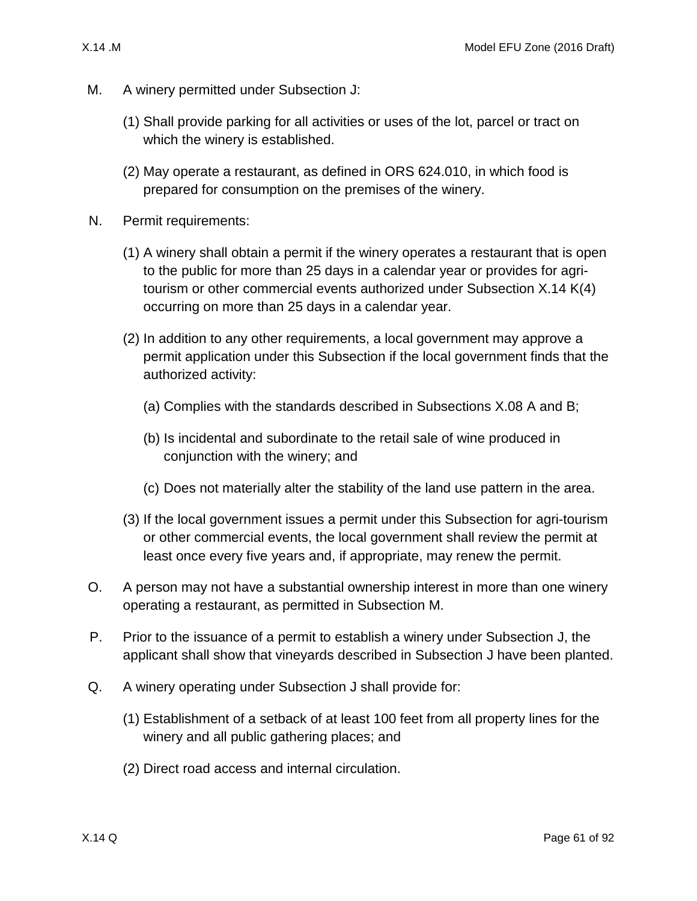- <span id="page-60-0"></span>M. A winery permitted under Subsection [J:](#page-58-2)
	- (1) Shall provide parking for all activities or uses of the lot, parcel or tract on which the winery is established.
	- (2) May operate a restaurant, as defined in ORS 624.010, in which food is prepared for consumption on the premises of the winery.
- N. Permit requirements:
	- (1) A winery shall obtain a permit if the winery operates a restaurant that is open to the public for more than 25 days in a calendar year or provides for agritourism or other commercial events authorized under Subsection [X.14 K\(4\)](#page-59-1) occurring on more than 25 days in a calendar year.
	- (2) In addition to any other requirements, a local government may approve a permit application under this Subsection if the local government finds that the authorized activity:
		- (a) Complies with the standards described in Subsections [X.08 A](#page-37-1) and [B;](#page-37-2)
		- (b) Is incidental and subordinate to the retail sale of wine produced in conjunction with the winery; and
		- (c) Does not materially alter the stability of the land use pattern in the area.
	- (3) If the local government issues a permit under this Subsection for agri-tourism or other commercial events, the local government shall review the permit at least once every five years and, if appropriate, may renew the permit.
- O. A person may not have a substantial ownership interest in more than one winery operating a restaurant, as permitted in Subsection [M.](#page-60-0)
- P. Prior to the issuance of a permit to establish a winery under Subsection [J,](#page-58-2) the applicant shall show that vineyards described in Subsection [J](#page-58-2) have been planted.
- Q. A winery operating under Subsection [J](#page-58-2) shall provide for:
	- (1) Establishment of a setback of at least 100 feet from all property lines for the winery and all public gathering places; and
	- (2) Direct road access and internal circulation.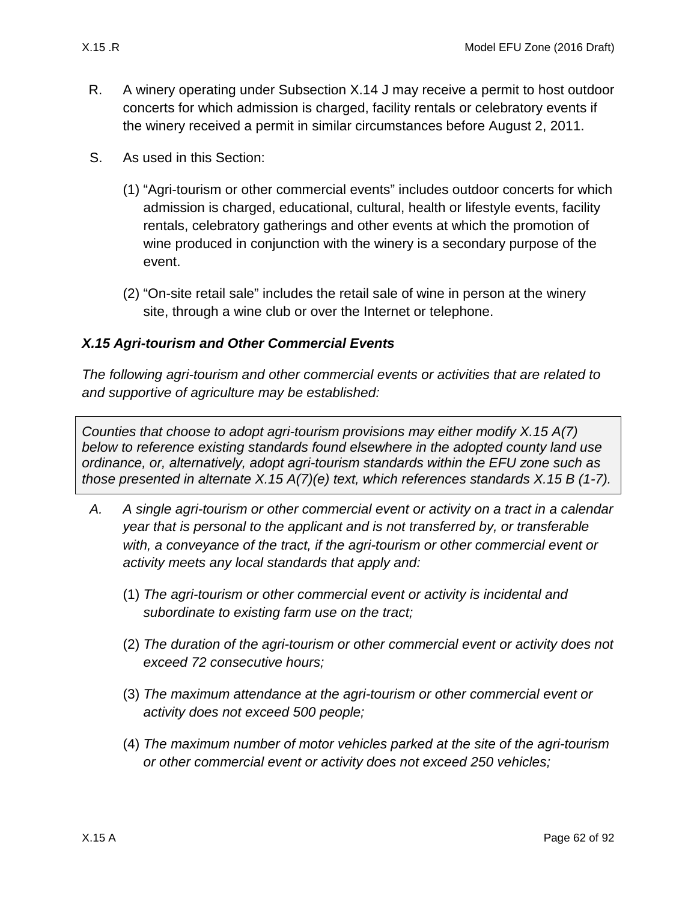- R. A winery operating under Subsection [X.14 J](#page-58-2) may receive a permit to host outdoor concerts for which admission is charged, facility rentals or celebratory events if the winery received a permit in similar circumstances before August 2, 2011.
- S. As used in this Section:
	- (1) "Agri-tourism or other commercial events" includes outdoor concerts for which admission is charged, educational, cultural, health or lifestyle events, facility rentals, celebratory gatherings and other events at which the promotion of wine produced in conjunction with the winery is a secondary purpose of the event.
	- (2) "On-site retail sale" includes the retail sale of wine in person at the winery site, through a wine club or over the Internet or telephone.

# *X.15 Agri-tourism and Other Commercial Events*

*The following agri-tourism and other commercial events or activities that are related to and supportive of agriculture may be established:*

*Counties that choose to adopt agri-tourism provisions may either modify [X.15 A\(7\)](#page-62-0) below to reference existing standards found elsewhere in the adopted county land use ordinance, or, alternatively, adopt agri-tourism standards within the EFU zone such as those presented in alternate [X.15 A\(7\)\(e\)](#page-62-1) text, which references standards [X.15 B](#page-62-2) (1-7).*

- <span id="page-61-0"></span>*A. A single agri-tourism or other commercial event or activity on a tract in a calendar year that is personal to the applicant and is not transferred by, or transferable with, a conveyance of the tract, if the agri-tourism or other commercial event or activity meets any local standards that apply and:*
	- (1) *The agri-tourism or other commercial event or activity is incidental and subordinate to existing farm use on the tract;*
	- (2) *The duration of the agri-tourism or other commercial event or activity does not exceed 72 consecutive hours;*
	- (3) *The maximum attendance at the agri-tourism or other commercial event or activity does not exceed 500 people;*
	- (4) *The maximum number of motor vehicles parked at the site of the agri-tourism or other commercial event or activity does not exceed 250 vehicles;*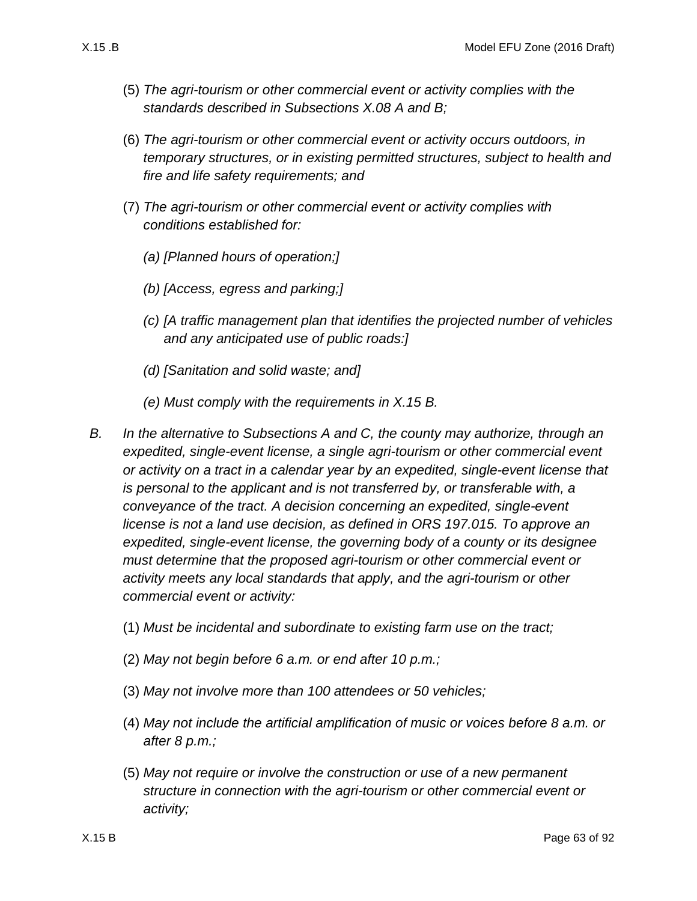- (5) *The agri-tourism or other commercial event or activity complies with the standards described in Subsections [X.08 A](#page-37-1) and [B;](#page-37-2)*
- (6) *The agri-tourism or other commercial event or activity occurs outdoors, in temporary structures, or in existing permitted structures, subject to health and fire and life safety requirements; and*
- <span id="page-62-0"></span>(7) *The agri-tourism or other commercial event or activity complies with conditions established for:*
	- *(a) [Planned hours of operation;]*
	- *(b) [Access, egress and parking;]*
	- *(c) [A traffic management plan that identifies the projected number of vehicles and any anticipated use of public roads:]*
	- *(d) [Sanitation and solid waste; and]*
	- *(e) Must comply with the requirements in [X.15 B.](#page-62-2)*
- <span id="page-62-2"></span><span id="page-62-1"></span>*B. In the alternative to Subsections [A](#page-61-0) and [C,](#page-63-0) the county may authorize, through an expedited, single-event license, a single agri-tourism or other commercial event or activity on a tract in a calendar year by an expedited, single-event license that is personal to the applicant and is not transferred by, or transferable with, a conveyance of the tract. A decision concerning an expedited, single-event license is not a land use decision, as defined in ORS 197.015. To approve an expedited, single-event license, the governing body of a county or its designee must determine that the proposed agri-tourism or other commercial event or activity meets any local standards that apply, and the agri-tourism or other commercial event or activity:*
	- (1) *Must be incidental and subordinate to existing farm use on the tract;*
	- (2) *May not begin before 6 a.m. or end after 10 p.m.;*
	- (3) *May not involve more than 100 attendees or 50 vehicles;*
	- (4) *May not include the artificial amplification of music or voices before 8 a.m. or after 8 p.m.;*
	- (5) *May not require or involve the construction or use of a new permanent structure in connection with the agri-tourism or other commercial event or activity;*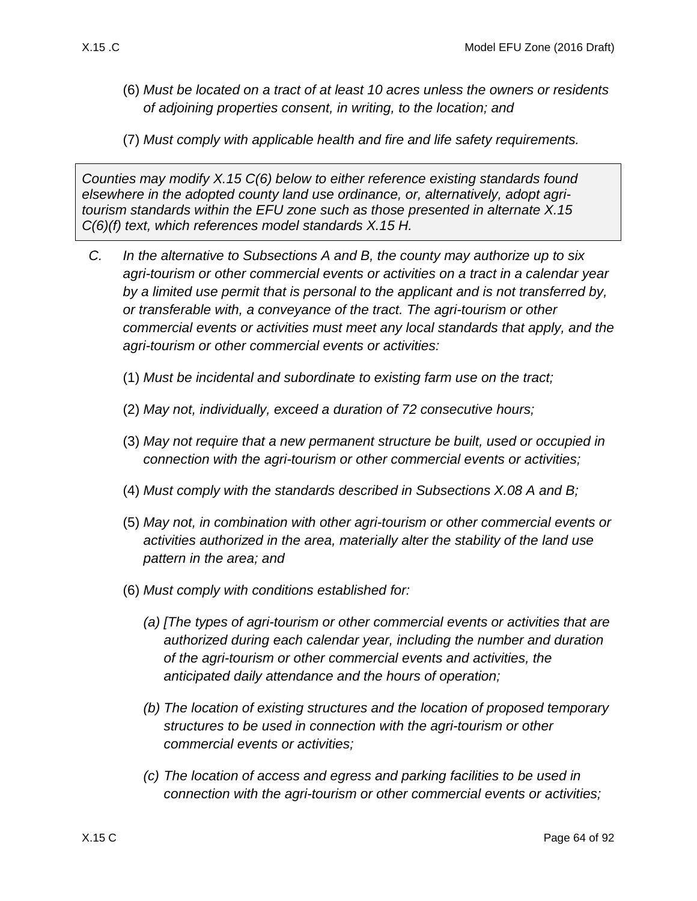- (6) *Must be located on a tract of at least 10 acres unless the owners or residents of adjoining properties consent, in writing, to the location; and*
- (7) *Must comply with applicable health and fire and life safety requirements.*

*Counties may modify [X.15 C\(6\)](#page-63-1) below to either reference existing standards found elsewhere in the adopted county land use ordinance, or, alternatively, adopt agritourism standards within the EFU zone such as those presented in alternate [X.15](#page-64-1)  [C\(6\)\(f\)](#page-64-1) text, which references model standards [X.15 H.](#page-65-0)*

- <span id="page-63-4"></span><span id="page-63-3"></span><span id="page-63-2"></span><span id="page-63-1"></span><span id="page-63-0"></span>*C. In the alternative to Subsections [A](#page-61-0) and [B,](#page-62-2) the county may authorize up to six agri-tourism or other commercial events or activities on a tract in a calendar year by a limited use permit that is personal to the applicant and is not transferred by, or transferable with, a conveyance of the tract. The agri-tourism or other commercial events or activities must meet any local standards that apply, and the agri-tourism or other commercial events or activities:*
	- (1) *Must be incidental and subordinate to existing farm use on the tract;*
	- (2) *May not, individually, exceed a duration of 72 consecutive hours;*
	- (3) *May not require that a new permanent structure be built, used or occupied in connection with the agri-tourism or other commercial events or activities;*
	- (4) *Must comply with the standards described in Subsections [X.08 A](#page-37-1) and [B;](#page-37-2)*
	- (5) *May not, in combination with other agri-tourism or other commercial events or activities authorized in the area, materially alter the stability of the land use pattern in the area; and*
	- (6) *Must comply with conditions established for:*
		- *(a) [The types of agri-tourism or other commercial events or activities that are authorized during each calendar year, including the number and duration of the agri-tourism or other commercial events and activities, the anticipated daily attendance and the hours of operation;*
		- *(b) The location of existing structures and the location of proposed temporary structures to be used in connection with the agri-tourism or other commercial events or activities;*
		- *(c) The location of access and egress and parking facilities to be used in connection with the agri-tourism or other commercial events or activities;*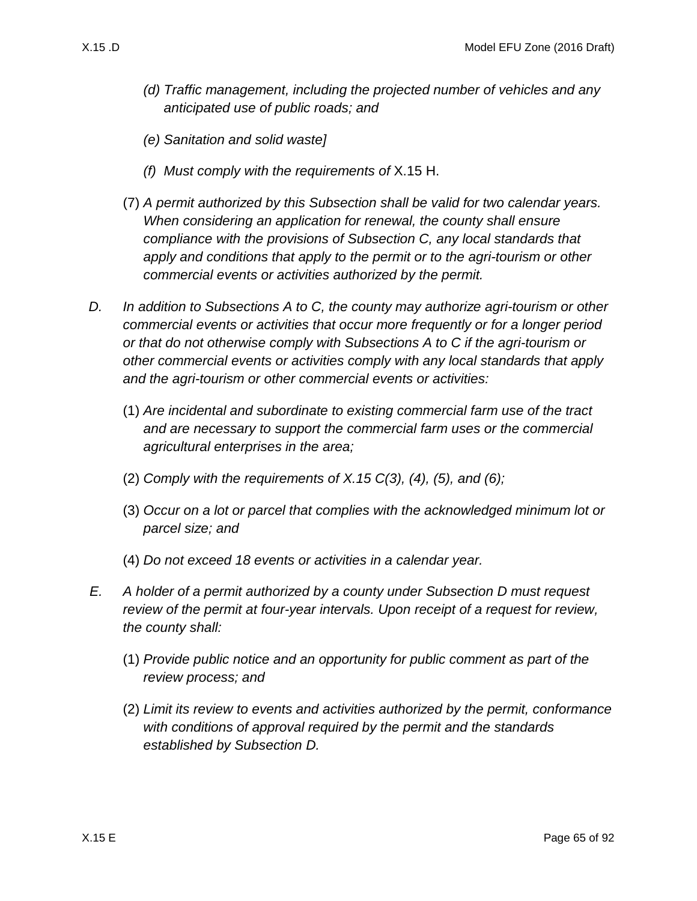- *(d) Traffic management, including the projected number of vehicles and any anticipated use of public roads; and*
- *(e) Sanitation and solid waste]*
- *(f) Must comply with the requirements of* [X.15 H.](#page-65-0)
- <span id="page-64-1"></span>(7) *A permit authorized by this Subsection shall be valid for two calendar years. When considering an application for renewal, the county shall ensure compliance with the provisions of Subsection [C,](#page-63-0) any local standards that apply and conditions that apply to the permit or to the agri-tourism or other commercial events or activities authorized by the permit.*
- <span id="page-64-0"></span>*D. In addition to Subsections [A](#page-61-0) to [C,](#page-63-0) the county may authorize agri-tourism or other commercial events or activities that occur more frequently or for a longer period or that do not otherwise comply with Subsections [A](#page-61-0) to [C](#page-63-0) if the agri-tourism or other commercial events or activities comply with any local standards that apply and the agri-tourism or other commercial events or activities:*
	- (1) *Are incidental and subordinate to existing commercial farm use of the tract and are necessary to support the commercial farm uses or the commercial agricultural enterprises in the area;*
	- (2) *Comply with the requirements of [X.15 C\(3\),](#page-63-2) [\(4\),](#page-63-3) [\(5\),](#page-63-4) and [\(6\);](#page-63-1)*
	- (3) *Occur on a lot or parcel that complies with the acknowledged minimum lot or parcel size; and*
	- (4) *Do not exceed 18 events or activities in a calendar year.*
- *E. A holder of a permit authorized by a county under Subsection [D](#page-64-0) must request review of the permit at four-year intervals. Upon receipt of a request for review, the county shall:*
	- (1) *Provide public notice and an opportunity for public comment as part of the review process; and*
	- (2) *Limit its review to events and activities authorized by the permit, conformance with conditions of approval required by the permit and the standards established by Subsection [D.](#page-64-0)*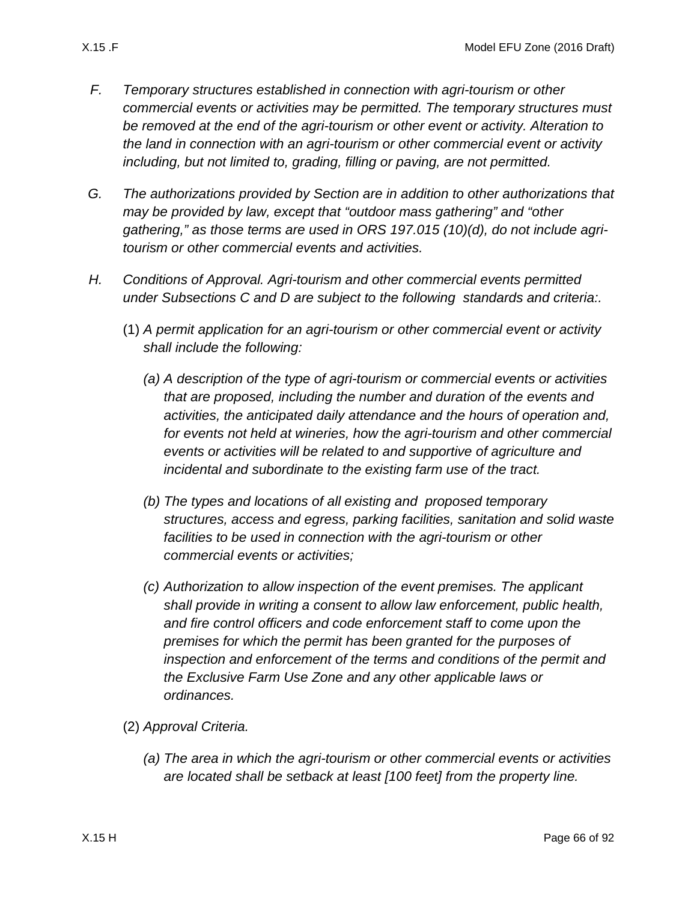- *F. Temporary structures established in connection with agri-tourism or other commercial events or activities may be permitted. The temporary structures must be removed at the end of the agri-tourism or other event or activity. Alteration to the land in connection with an agri-tourism or other commercial event or activity including, but not limited to, grading, filling or paving, are not permitted.*
- *G. The authorizations provided by Section are in addition to other authorizations that may be provided by law, except that "outdoor mass gathering" and "other gathering," as those terms are used in ORS 197.015 (10)(d), do not include agritourism or other commercial events and activities.*
- <span id="page-65-0"></span>*H. Conditions of Approval. Agri-tourism and other commercial events permitted under Subsections C and D are subject to the following standards and criteria:.*
	- (1) *A permit application for an agri-tourism or other commercial event or activity shall include the following:*
		- *(a) A description of the type of agri-tourism or commercial events or activities that are proposed, including the number and duration of the events and activities, the anticipated daily attendance and the hours of operation and, for events not held at wineries, how the agri-tourism and other commercial events or activities will be related to and supportive of agriculture and incidental and subordinate to the existing farm use of the tract.*
		- *(b) The types and locations of all existing and proposed temporary structures, access and egress, parking facilities, sanitation and solid waste facilities to be used in connection with the agri-tourism or other commercial events or activities;*
		- *(c) Authorization to allow inspection of the event premises. The applicant shall provide in writing a consent to allow law enforcement, public health, and fire control officers and code enforcement staff to come upon the premises for which the permit has been granted for the purposes of inspection and enforcement of the terms and conditions of the permit and the Exclusive Farm Use Zone and any other applicable laws or ordinances.*
	- (2) *Approval Criteria.*
		- *(a) The area in which the agri-tourism or other commercial events or activities are located shall be setback at least [100 feet] from the property line.*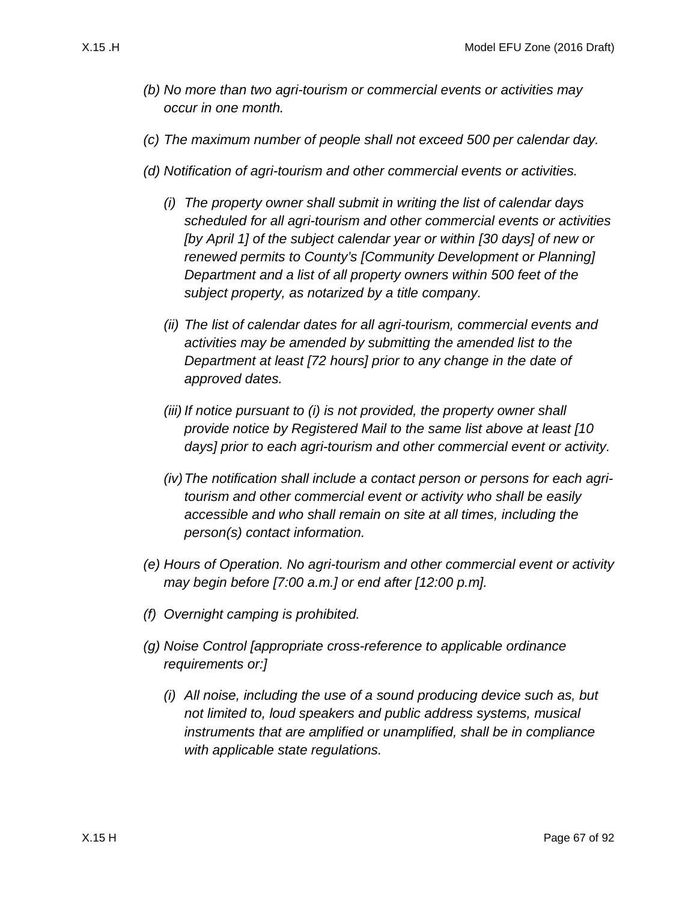- *(b) No more than two agri-tourism or commercial events or activities may occur in one month.*
- *(c) The maximum number of people shall not exceed 500 per calendar day.*
- <span id="page-66-0"></span>*(d) Notification of agri-tourism and other commercial events or activities.*
	- *(i) The property owner shall submit in writing the list of calendar days scheduled for all agri-tourism and other commercial events or activities [by April 1] of the subject calendar year or within [30 days] of new or renewed permits to County's [Community Development or Planning] Department and a list of all property owners within 500 feet of the subject property, as notarized by a title company.*
	- *(ii) The list of calendar dates for all agri-tourism, commercial events and activities may be amended by submitting the amended list to the Department at least [72 hours] prior to any change in the date of approved dates.*
	- *(iii) If notice pursuant to [\(i\)](#page-66-0) is not provided, the property owner shall provide notice by Registered Mail to the same list above at least [10 days] prior to each agri-tourism and other commercial event or activity.*
	- *(iv)The notification shall include a contact person or persons for each agritourism and other commercial event or activity who shall be easily accessible and who shall remain on site at all times, including the person(s) contact information.*
- *(e) Hours of Operation. No agri-tourism and other commercial event or activity may begin before [7:00 a.m.] or end after [12:00 p.m].*
- *(f) Overnight camping is prohibited.*
- *(g) Noise Control [appropriate cross-reference to applicable ordinance requirements or:]*
	- *(i) All noise, including the use of a sound producing device such as, but not limited to, loud speakers and public address systems, musical instruments that are amplified or unamplified, shall be in compliance with applicable state regulations.*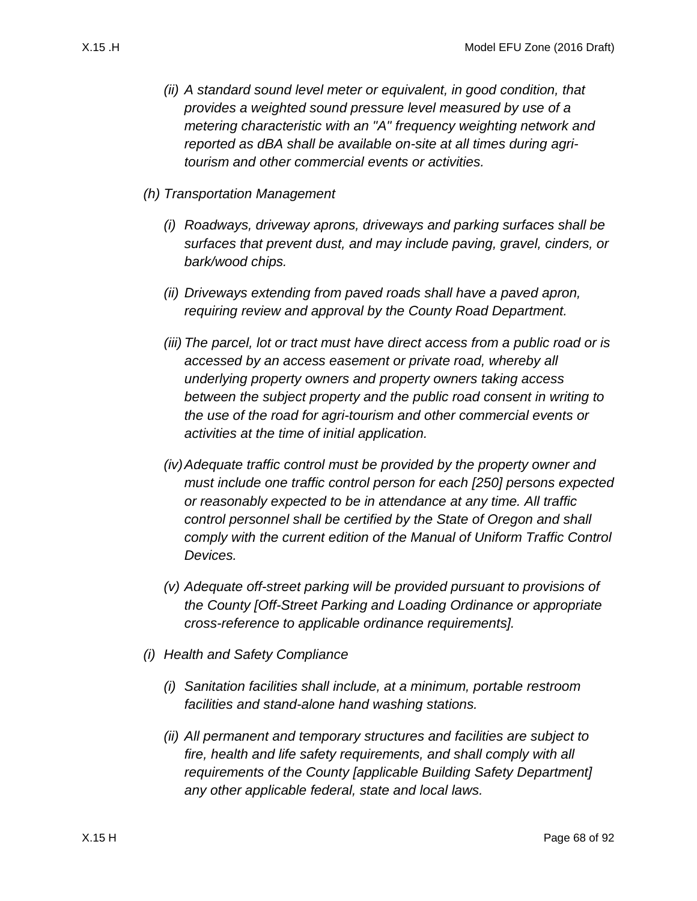- *(ii) A standard sound level meter or equivalent, in good condition, that provides a weighted sound pressure level measured by use of a metering characteristic with an "A" frequency weighting network and reported as dBA shall be available on-site at all times during agritourism and other commercial events or activities.*
- *(h) Transportation Management*
	- *(i) Roadways, driveway aprons, driveways and parking surfaces shall be surfaces that prevent dust, and may include paving, gravel, cinders, or bark/wood chips.*
	- *(ii) Driveways extending from paved roads shall have a paved apron, requiring review and approval by the County Road Department.*
	- *(iii) The parcel, lot or tract must have direct access from a public road or is accessed by an access easement or private road, whereby all underlying property owners and property owners taking access between the subject property and the public road consent in writing to the use of the road for agri-tourism and other commercial events or activities at the time of initial application.*
	- *(iv)Adequate traffic control must be provided by the property owner and must include one traffic control person for each [250] persons expected or reasonably expected to be in attendance at any time. All traffic control personnel shall be certified by the State of Oregon and shall comply with the current edition of the Manual of Uniform Traffic Control Devices.*
	- *(v) Adequate off-street parking will be provided pursuant to provisions of the County [Off-Street Parking and Loading Ordinance or appropriate cross-reference to applicable ordinance requirements].*
- *(i) Health and Safety Compliance*
	- *(i) Sanitation facilities shall include, at a minimum, portable restroom facilities and stand-alone hand washing stations.*
	- *(ii) All permanent and temporary structures and facilities are subject to fire, health and life safety requirements, and shall comply with all requirements of the County [applicable Building Safety Department] any other applicable federal, state and local laws.*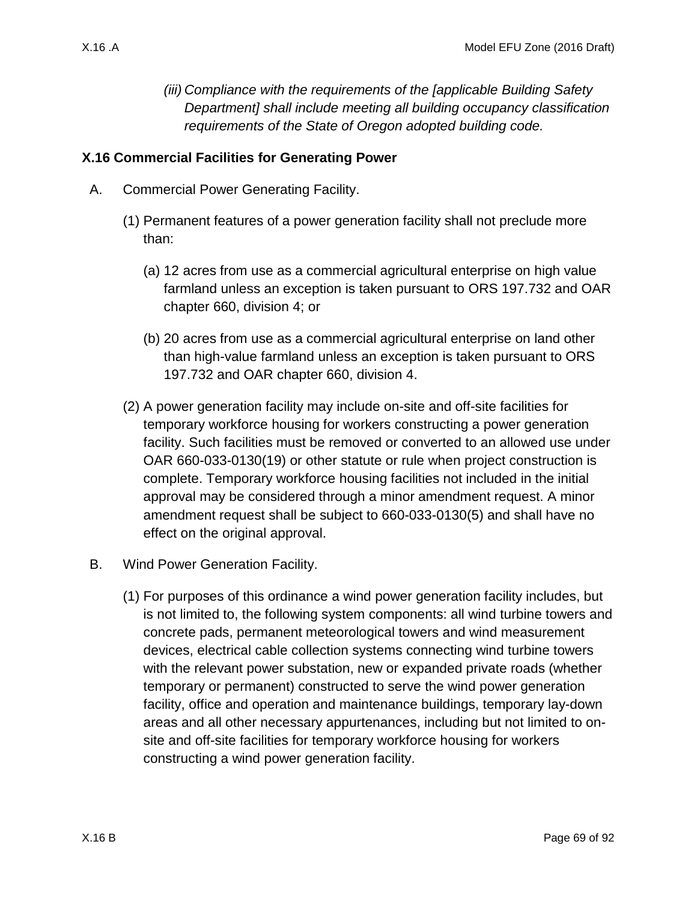*(iii) Compliance with the requirements of the [applicable Building Safety Department] shall include meeting all building occupancy classification requirements of the State of Oregon adopted building code.*

### **X.16 Commercial Facilities for Generating Power**

- A. Commercial Power Generating Facility.
	- (1) Permanent features of a power generation facility shall not preclude more than:
		- (a) 12 acres from use as a commercial agricultural enterprise on high value farmland unless an exception is taken pursuant to ORS 197.732 and OAR chapter 660, division 4; or
		- (b) 20 acres from use as a commercial agricultural enterprise on land other than high-value farmland unless an exception is taken pursuant to ORS 197.732 and OAR chapter 660, division 4.
	- (2) A power generation facility may include on-site and off-site facilities for temporary workforce housing for workers constructing a power generation facility. Such facilities must be removed or converted to an allowed use under OAR 660-033-0130(19) or other statute or rule when project construction is complete. Temporary workforce housing facilities not included in the initial approval may be considered through a minor amendment request. A minor amendment request shall be subject to 660-033-0130(5) and shall have no effect on the original approval.
- <span id="page-68-0"></span>B. Wind Power Generation Facility.
	- (1) For purposes of this ordinance a wind power generation facility includes, but is not limited to, the following system components: all wind turbine towers and concrete pads, permanent meteorological towers and wind measurement devices, electrical cable collection systems connecting wind turbine towers with the relevant power substation, new or expanded private roads (whether temporary or permanent) constructed to serve the wind power generation facility, office and operation and maintenance buildings, temporary lay-down areas and all other necessary appurtenances, including but not limited to onsite and off-site facilities for temporary workforce housing for workers constructing a wind power generation facility.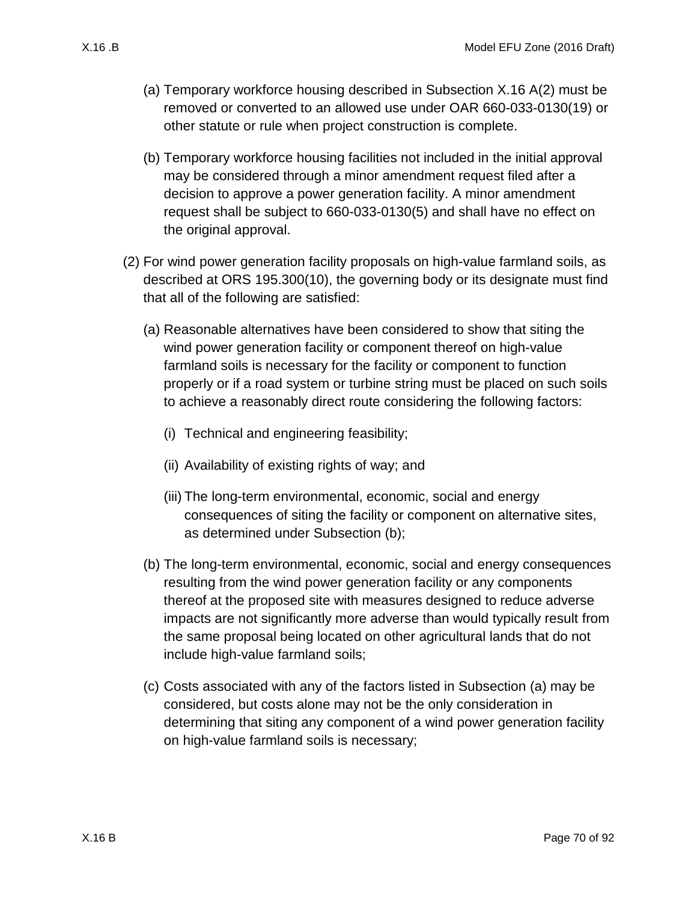- (a) Temporary workforce housing described in Subsection [X.16 A\(2\)](#page-68-0) must be removed or converted to an allowed use under OAR 660-033-0130(19) or other statute or rule when project construction is complete.
- (b) Temporary workforce housing facilities not included in the initial approval may be considered through a minor amendment request filed after a decision to approve a power generation facility. A minor amendment request shall be subject to 660-033-0130(5) and shall have no effect on the original approval.
- <span id="page-69-2"></span><span id="page-69-1"></span><span id="page-69-0"></span>(2) For wind power generation facility proposals on high-value farmland soils, as described at ORS 195.300(10), the governing body or its designate must find that all of the following are satisfied:
	- (a) Reasonable alternatives have been considered to show that siting the wind power generation facility or component thereof on high-value farmland soils is necessary for the facility or component to function properly or if a road system or turbine string must be placed on such soils to achieve a reasonably direct route considering the following factors:
		- (i) Technical and engineering feasibility;
		- (ii) Availability of existing rights of way; and
		- (iii) The long-term environmental, economic, social and energy consequences of siting the facility or component on alternative sites, as determined under Subsection [\(b\);](#page-69-0)
	- (b) The long-term environmental, economic, social and energy consequences resulting from the wind power generation facility or any components thereof at the proposed site with measures designed to reduce adverse impacts are not significantly more adverse than would typically result from the same proposal being located on other agricultural lands that do not include high-value farmland soils;
	- (c) Costs associated with any of the factors listed in Subsection [\(a\)](#page-69-1) may be considered, but costs alone may not be the only consideration in determining that siting any component of a wind power generation facility on high-value farmland soils is necessary;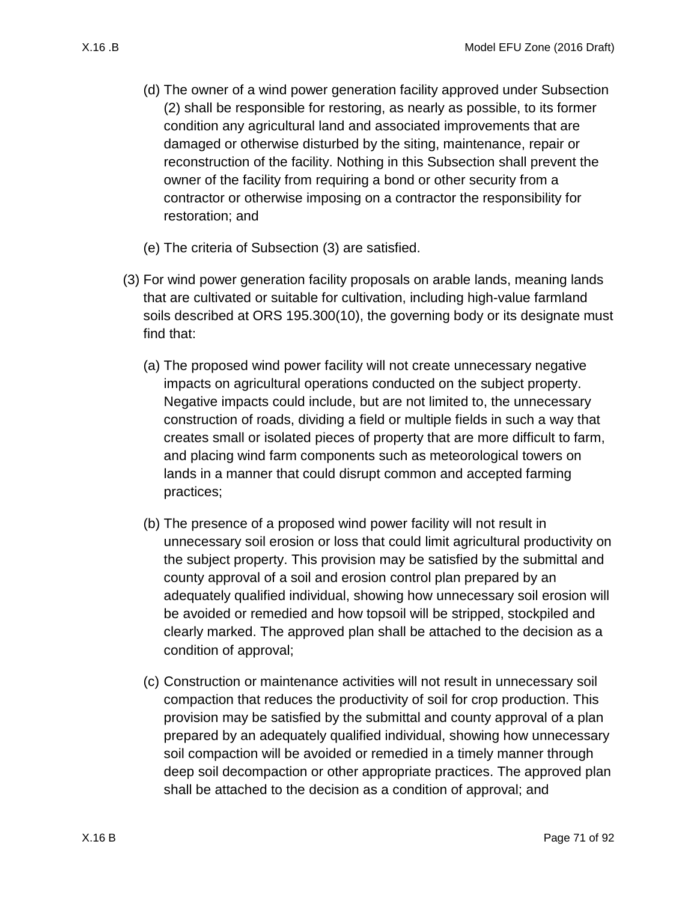- (d) The owner of a wind power generation facility approved under Subsection [\(2\)](#page-69-2) shall be responsible for restoring, as nearly as possible, to its former condition any agricultural land and associated improvements that are damaged or otherwise disturbed by the siting, maintenance, repair or reconstruction of the facility. Nothing in this Subsection shall prevent the owner of the facility from requiring a bond or other security from a contractor or otherwise imposing on a contractor the responsibility for restoration; and
- (e) The criteria of Subsection [\(3\)](#page-70-0) are satisfied.
- <span id="page-70-0"></span>(3) For wind power generation facility proposals on arable lands, meaning lands that are cultivated or suitable for cultivation, including high-value farmland soils described at ORS 195.300(10), the governing body or its designate must find that:
	- (a) The proposed wind power facility will not create unnecessary negative impacts on agricultural operations conducted on the subject property. Negative impacts could include, but are not limited to, the unnecessary construction of roads, dividing a field or multiple fields in such a way that creates small or isolated pieces of property that are more difficult to farm, and placing wind farm components such as meteorological towers on lands in a manner that could disrupt common and accepted farming practices;
	- (b) The presence of a proposed wind power facility will not result in unnecessary soil erosion or loss that could limit agricultural productivity on the subject property. This provision may be satisfied by the submittal and county approval of a soil and erosion control plan prepared by an adequately qualified individual, showing how unnecessary soil erosion will be avoided or remedied and how topsoil will be stripped, stockpiled and clearly marked. The approved plan shall be attached to the decision as a condition of approval;
	- (c) Construction or maintenance activities will not result in unnecessary soil compaction that reduces the productivity of soil for crop production. This provision may be satisfied by the submittal and county approval of a plan prepared by an adequately qualified individual, showing how unnecessary soil compaction will be avoided or remedied in a timely manner through deep soil decompaction or other appropriate practices. The approved plan shall be attached to the decision as a condition of approval; and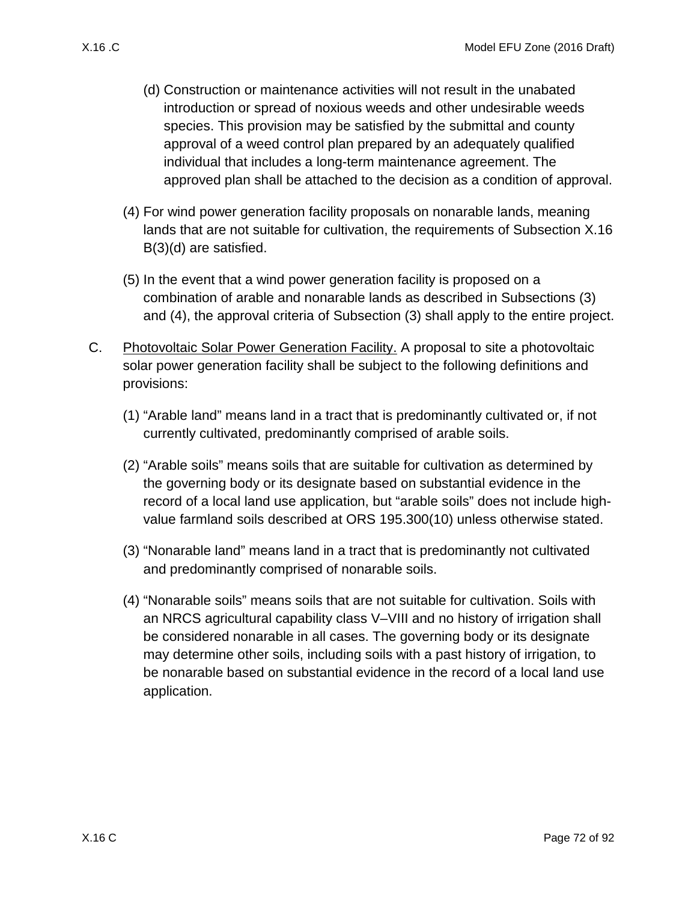- <span id="page-71-0"></span>(d) Construction or maintenance activities will not result in the unabated introduction or spread of noxious weeds and other undesirable weeds species. This provision may be satisfied by the submittal and county approval of a weed control plan prepared by an adequately qualified individual that includes a long-term maintenance agreement. The approved plan shall be attached to the decision as a condition of approval.
- <span id="page-71-1"></span>(4) For wind power generation facility proposals on nonarable lands, meaning lands that are not suitable for cultivation, the requirements of Subsection [X.16](#page-71-0)  [B\(3\)\(d\)](#page-71-0) are satisfied.
- (5) In the event that a wind power generation facility is proposed on a combination of arable and nonarable lands as described in Subsections [\(3\)](#page-70-0) and [\(4\),](#page-71-1) the approval criteria of Subsection [\(3\)](#page-70-0) shall apply to the entire project.
- C. Photovoltaic Solar Power Generation Facility. A proposal to site a photovoltaic solar power generation facility shall be subject to the following definitions and provisions:
	- (1) "Arable land" means land in a tract that is predominantly cultivated or, if not currently cultivated, predominantly comprised of arable soils.
	- (2) "Arable soils" means soils that are suitable for cultivation as determined by the governing body or its designate based on substantial evidence in the record of a local land use application, but "arable soils" does not include highvalue farmland soils described at ORS 195.300(10) unless otherwise stated.
	- (3) "Nonarable land" means land in a tract that is predominantly not cultivated and predominantly comprised of nonarable soils.
	- (4) "Nonarable soils" means soils that are not suitable for cultivation. Soils with an NRCS agricultural capability class V–VIII and no history of irrigation shall be considered nonarable in all cases. The governing body or its designate may determine other soils, including soils with a past history of irrigation, to be nonarable based on substantial evidence in the record of a local land use application.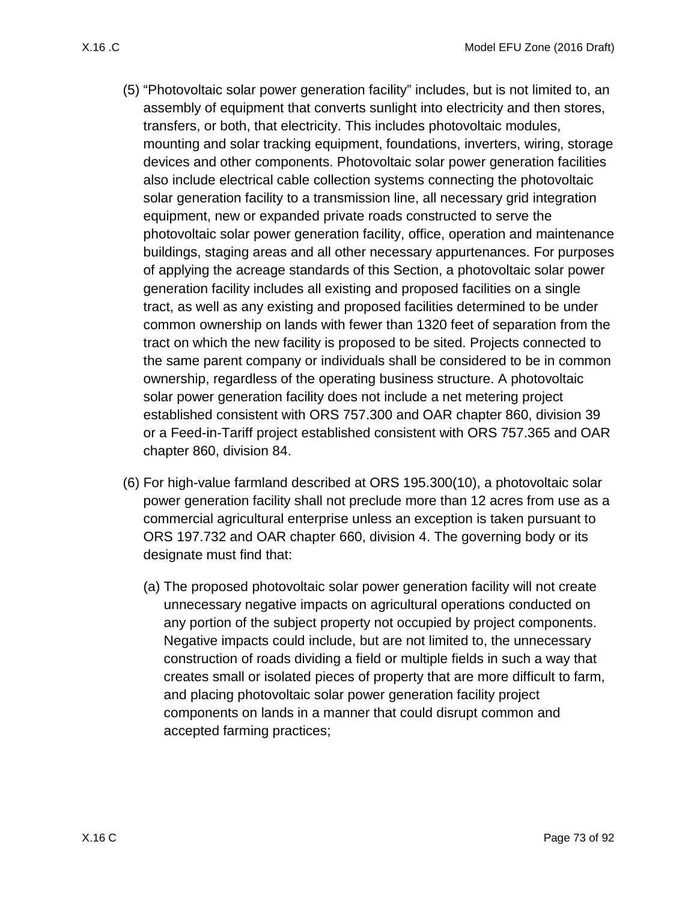- (5) "Photovoltaic solar power generation facility" includes, but is not limited to, an assembly of equipment that converts sunlight into electricity and then stores, transfers, or both, that electricity. This includes photovoltaic modules, mounting and solar tracking equipment, foundations, inverters, wiring, storage devices and other components. Photovoltaic solar power generation facilities also include electrical cable collection systems connecting the photovoltaic solar generation facility to a transmission line, all necessary grid integration equipment, new or expanded private roads constructed to serve the photovoltaic solar power generation facility, office, operation and maintenance buildings, staging areas and all other necessary appurtenances. For purposes of applying the acreage standards of this Section, a photovoltaic solar power generation facility includes all existing and proposed facilities on a single tract, as well as any existing and proposed facilities determined to be under common ownership on lands with fewer than 1320 feet of separation from the tract on which the new facility is proposed to be sited. Projects connected to the same parent company or individuals shall be considered to be in common ownership, regardless of the operating business structure. A photovoltaic solar power generation facility does not include a net metering project established consistent with ORS 757.300 and OAR chapter 860, division 39 or a Feed-in-Tariff project established consistent with ORS 757.365 and OAR chapter 860, division 84.
- <span id="page-72-0"></span>(6) For high-value farmland described at ORS 195.300(10), a photovoltaic solar power generation facility shall not preclude more than 12 acres from use as a commercial agricultural enterprise unless an exception is taken pursuant to ORS 197.732 and OAR chapter 660, division 4. The governing body or its designate must find that:
	- (a) The proposed photovoltaic solar power generation facility will not create unnecessary negative impacts on agricultural operations conducted on any portion of the subject property not occupied by project components. Negative impacts could include, but are not limited to, the unnecessary construction of roads dividing a field or multiple fields in such a way that creates small or isolated pieces of property that are more difficult to farm, and placing photovoltaic solar power generation facility project components on lands in a manner that could disrupt common and accepted farming practices;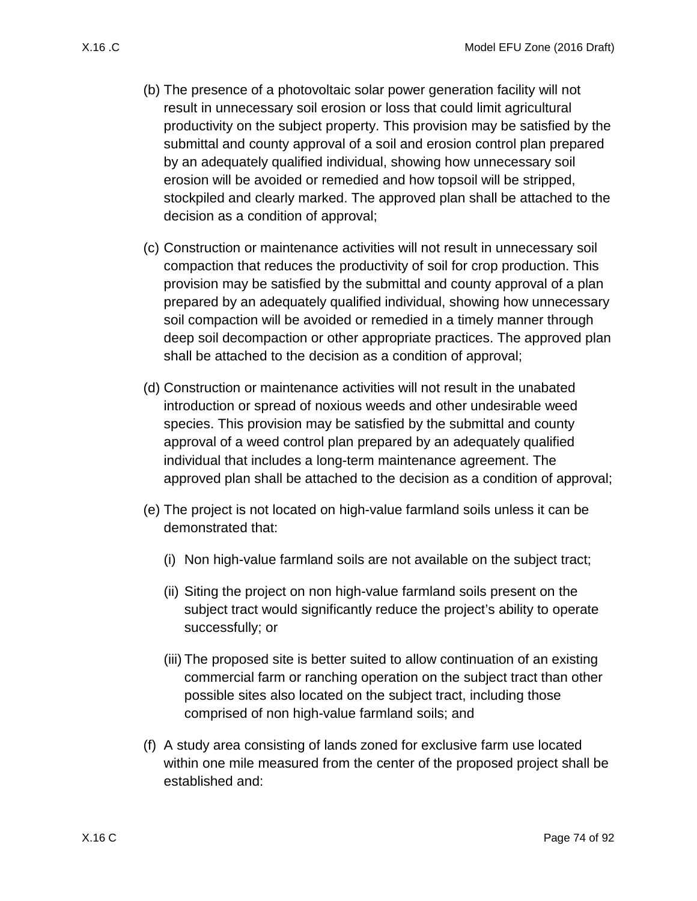- <span id="page-73-0"></span>(b) The presence of a photovoltaic solar power generation facility will not result in unnecessary soil erosion or loss that could limit agricultural productivity on the subject property. This provision may be satisfied by the submittal and county approval of a soil and erosion control plan prepared by an adequately qualified individual, showing how unnecessary soil erosion will be avoided or remedied and how topsoil will be stripped, stockpiled and clearly marked. The approved plan shall be attached to the decision as a condition of approval;
- <span id="page-73-1"></span>(c) Construction or maintenance activities will not result in unnecessary soil compaction that reduces the productivity of soil for crop production. This provision may be satisfied by the submittal and county approval of a plan prepared by an adequately qualified individual, showing how unnecessary soil compaction will be avoided or remedied in a timely manner through deep soil decompaction or other appropriate practices. The approved plan shall be attached to the decision as a condition of approval;
- <span id="page-73-2"></span>(d) Construction or maintenance activities will not result in the unabated introduction or spread of noxious weeds and other undesirable weed species. This provision may be satisfied by the submittal and county approval of a weed control plan prepared by an adequately qualified individual that includes a long-term maintenance agreement. The approved plan shall be attached to the decision as a condition of approval;
- (e) The project is not located on high-value farmland soils unless it can be demonstrated that:
	- (i) Non high-value farmland soils are not available on the subject tract;
	- (ii) Siting the project on non high-value farmland soils present on the subject tract would significantly reduce the project's ability to operate successfully; or
	- (iii) The proposed site is better suited to allow continuation of an existing commercial farm or ranching operation on the subject tract than other possible sites also located on the subject tract, including those comprised of non high-value farmland soils; and
- (f) A study area consisting of lands zoned for exclusive farm use located within one mile measured from the center of the proposed project shall be established and: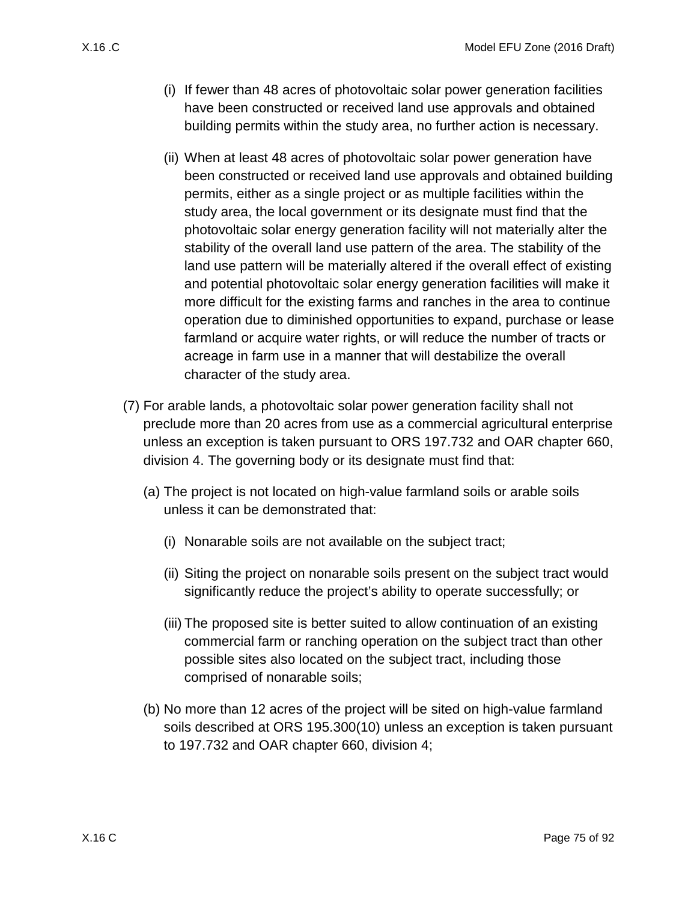- (i) If fewer than 48 acres of photovoltaic solar power generation facilities have been constructed or received land use approvals and obtained building permits within the study area, no further action is necessary.
- (ii) When at least 48 acres of photovoltaic solar power generation have been constructed or received land use approvals and obtained building permits, either as a single project or as multiple facilities within the study area, the local government or its designate must find that the photovoltaic solar energy generation facility will not materially alter the stability of the overall land use pattern of the area. The stability of the land use pattern will be materially altered if the overall effect of existing and potential photovoltaic solar energy generation facilities will make it more difficult for the existing farms and ranches in the area to continue operation due to diminished opportunities to expand, purchase or lease farmland or acquire water rights, or will reduce the number of tracts or acreage in farm use in a manner that will destabilize the overall character of the study area.
- (7) For arable lands, a photovoltaic solar power generation facility shall not preclude more than 20 acres from use as a commercial agricultural enterprise unless an exception is taken pursuant to ORS 197.732 and OAR chapter 660, division 4. The governing body or its designate must find that:
	- (a) The project is not located on high-value farmland soils or arable soils unless it can be demonstrated that:
		- (i) Nonarable soils are not available on the subject tract;
		- (ii) Siting the project on nonarable soils present on the subject tract would significantly reduce the project's ability to operate successfully; or
		- (iii) The proposed site is better suited to allow continuation of an existing commercial farm or ranching operation on the subject tract than other possible sites also located on the subject tract, including those comprised of nonarable soils;
	- (b) No more than 12 acres of the project will be sited on high-value farmland soils described at ORS 195.300(10) unless an exception is taken pursuant to 197.732 and OAR chapter 660, division 4;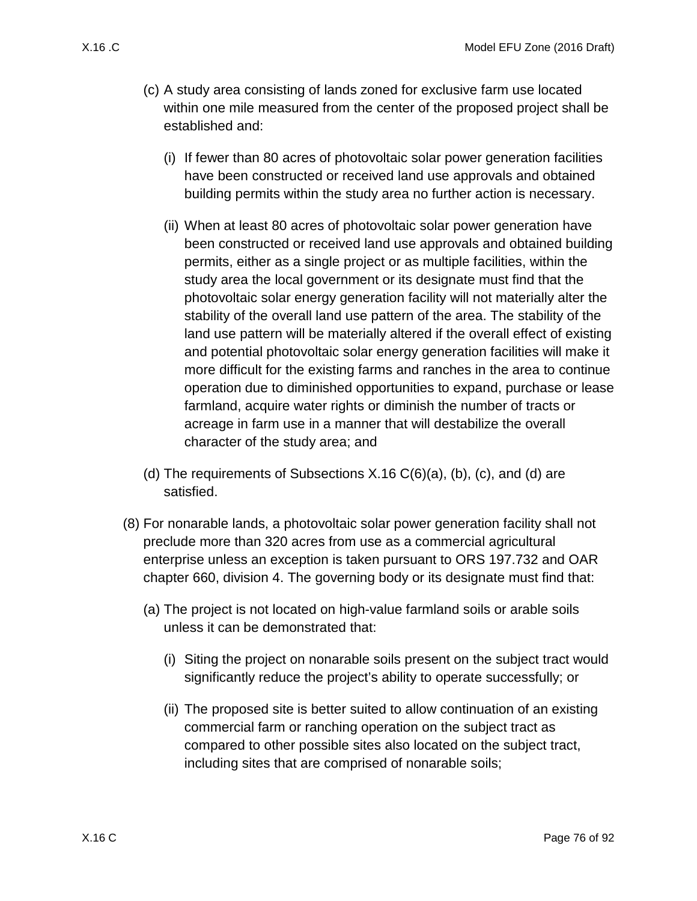- (c) A study area consisting of lands zoned for exclusive farm use located within one mile measured from the center of the proposed project shall be established and:
	- (i) If fewer than 80 acres of photovoltaic solar power generation facilities have been constructed or received land use approvals and obtained building permits within the study area no further action is necessary.
	- (ii) When at least 80 acres of photovoltaic solar power generation have been constructed or received land use approvals and obtained building permits, either as a single project or as multiple facilities, within the study area the local government or its designate must find that the photovoltaic solar energy generation facility will not materially alter the stability of the overall land use pattern of the area. The stability of the land use pattern will be materially altered if the overall effect of existing and potential photovoltaic solar energy generation facilities will make it more difficult for the existing farms and ranches in the area to continue operation due to diminished opportunities to expand, purchase or lease farmland, acquire water rights or diminish the number of tracts or acreage in farm use in a manner that will destabilize the overall character of the study area; and
- (d) The requirements of Subsections  $X.16 C(6)(a)$ , [\(b\),](#page-73-0) [\(c\),](#page-73-1) and [\(d\)](#page-73-2) are satisfied.
- (8) For nonarable lands, a photovoltaic solar power generation facility shall not preclude more than 320 acres from use as a commercial agricultural enterprise unless an exception is taken pursuant to ORS 197.732 and OAR chapter 660, division 4. The governing body or its designate must find that:
	- (a) The project is not located on high-value farmland soils or arable soils unless it can be demonstrated that:
		- (i) Siting the project on nonarable soils present on the subject tract would significantly reduce the project's ability to operate successfully; or
		- (ii) The proposed site is better suited to allow continuation of an existing commercial farm or ranching operation on the subject tract as compared to other possible sites also located on the subject tract, including sites that are comprised of nonarable soils;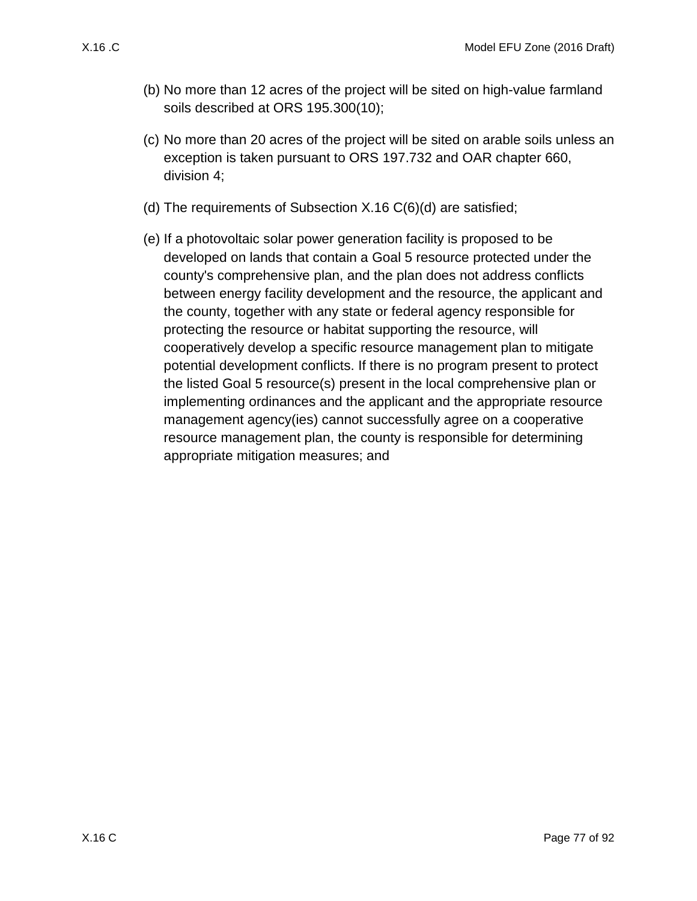- (b) No more than 12 acres of the project will be sited on high-value farmland soils described at ORS 195.300(10);
- (c) No more than 20 acres of the project will be sited on arable soils unless an exception is taken pursuant to ORS 197.732 and OAR chapter 660, division 4;
- (d) The requirements of Subsection [X.16 C\(6\)\(d\)](#page-73-2) are satisfied;
- (e) If a photovoltaic solar power generation facility is proposed to be developed on lands that contain a Goal 5 resource protected under the county's comprehensive plan, and the plan does not address conflicts between energy facility development and the resource, the applicant and the county, together with any state or federal agency responsible for protecting the resource or habitat supporting the resource, will cooperatively develop a specific resource management plan to mitigate potential development conflicts. If there is no program present to protect the listed Goal 5 resource(s) present in the local comprehensive plan or implementing ordinances and the applicant and the appropriate resource management agency(ies) cannot successfully agree on a cooperative resource management plan, the county is responsible for determining appropriate mitigation measures; and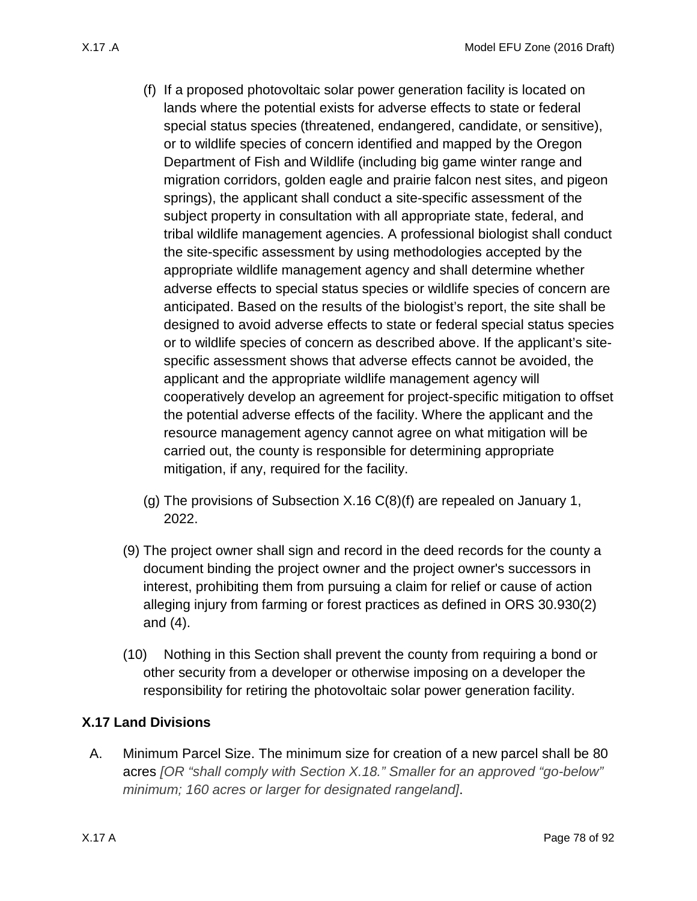- <span id="page-77-0"></span>(f) If a proposed photovoltaic solar power generation facility is located on lands where the potential exists for adverse effects to state or federal special status species (threatened, endangered, candidate, or sensitive), or to wildlife species of concern identified and mapped by the Oregon Department of Fish and Wildlife (including big game winter range and migration corridors, golden eagle and prairie falcon nest sites, and pigeon springs), the applicant shall conduct a site-specific assessment of the subject property in consultation with all appropriate state, federal, and tribal wildlife management agencies. A professional biologist shall conduct the site-specific assessment by using methodologies accepted by the appropriate wildlife management agency and shall determine whether adverse effects to special status species or wildlife species of concern are anticipated. Based on the results of the biologist's report, the site shall be designed to avoid adverse effects to state or federal special status species or to wildlife species of concern as described above. If the applicant's sitespecific assessment shows that adverse effects cannot be avoided, the applicant and the appropriate wildlife management agency will cooperatively develop an agreement for project-specific mitigation to offset the potential adverse effects of the facility. Where the applicant and the resource management agency cannot agree on what mitigation will be carried out, the county is responsible for determining appropriate mitigation, if any, required for the facility.
- (g) The provisions of Subsection [X.16 C\(8\)\(f\)](#page-77-0) are repealed on January 1, 2022.
- (9) The project owner shall sign and record in the deed records for the county a document binding the project owner and the project owner's successors in interest, prohibiting them from pursuing a claim for relief or cause of action alleging injury from farming or forest practices as defined in ORS 30.930(2) and (4).
- (10) Nothing in this Section shall prevent the county from requiring a bond or other security from a developer or otherwise imposing on a developer the responsibility for retiring the photovoltaic solar power generation facility.

## <span id="page-77-2"></span>**X.17 Land Divisions**

<span id="page-77-1"></span>A. Minimum Parcel Size. The minimum size for creation of a new parcel shall be 80 acres *[OR "shall comply with Section X.18." Smaller for an approved "go-below" minimum; 160 acres or larger for designated rangeland]*.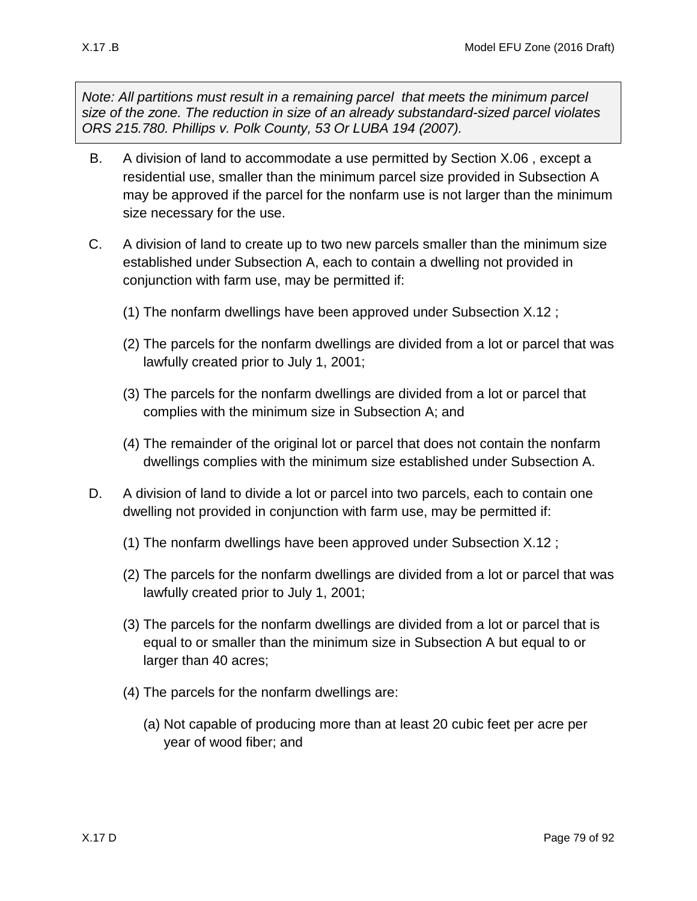*Note: All partitions must result in a remaining parcel that meets the minimum parcel size of the zone. The reduction in size of an already substandard-sized parcel violates ORS 215.780. Phillips v. Polk County, 53 Or LUBA 194 (2007).*

- <span id="page-78-0"></span>B. A division of land to accommodate a use permitted by Section [X.06 ,](#page-13-0) except a residential use, smaller than the minimum parcel size provided in Subsection [A](#page-77-1) may be approved if the parcel for the nonfarm use is not larger than the minimum size necessary for the use.
- <span id="page-78-1"></span>C. A division of land to create up to two new parcels smaller than the minimum size established under Subsection [A,](#page-77-1) each to contain a dwelling not provided in conjunction with farm use, may be permitted if:
	- (1) The nonfarm dwellings have been approved under Subsection [X.12 ;](#page-49-0)
	- (2) The parcels for the nonfarm dwellings are divided from a lot or parcel that was lawfully created prior to July 1, 2001;
	- (3) The parcels for the nonfarm dwellings are divided from a lot or parcel that complies with the minimum size in Subsection [A;](#page-77-1) and
	- (4) The remainder of the original lot or parcel that does not contain the nonfarm dwellings complies with the minimum size established under Subsection [A.](#page-77-1)
- <span id="page-78-2"></span>D. A division of land to divide a lot or parcel into two parcels, each to contain one dwelling not provided in conjunction with farm use, may be permitted if:
	- (1) The nonfarm dwellings have been approved under Subsection [X.12 ;](#page-49-0)
	- (2) The parcels for the nonfarm dwellings are divided from a lot or parcel that was lawfully created prior to July 1, 2001;
	- (3) The parcels for the nonfarm dwellings are divided from a lot or parcel that is equal to or smaller than the minimum size in Subsection A but equal to or larger than 40 acres;
	- (4) The parcels for the nonfarm dwellings are:
		- (a) Not capable of producing more than at least 20 cubic feet per acre per year of wood fiber; and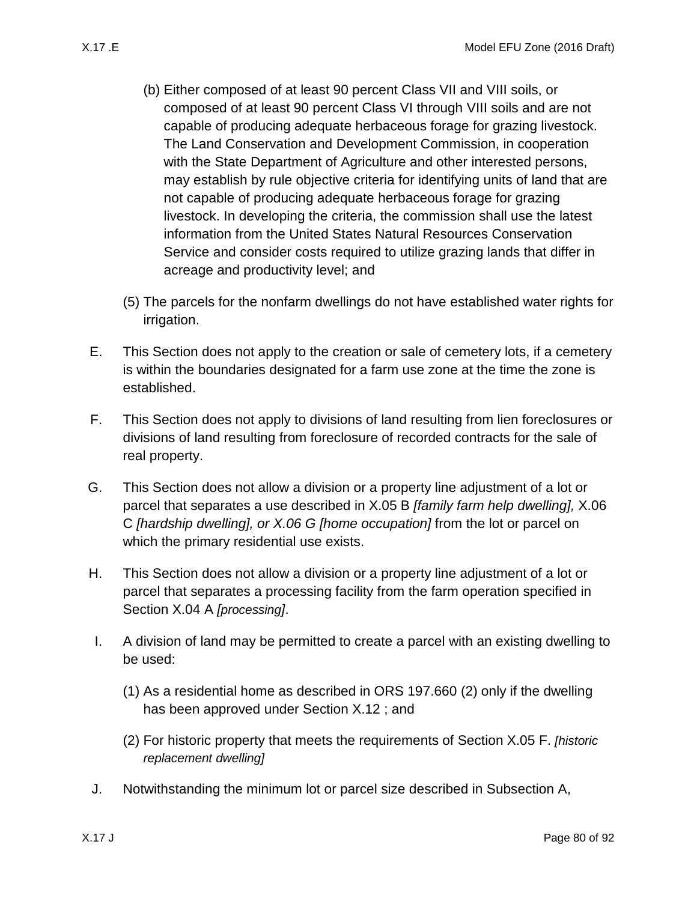- (b) Either composed of at least 90 percent Class VII and VIII soils, or composed of at least 90 percent Class VI through VIII soils and are not capable of producing adequate herbaceous forage for grazing livestock. The Land Conservation and Development Commission, in cooperation with the State Department of Agriculture and other interested persons, may establish by rule objective criteria for identifying units of land that are not capable of producing adequate herbaceous forage for grazing livestock. In developing the criteria, the commission shall use the latest information from the United States Natural Resources Conservation Service and consider costs required to utilize grazing lands that differ in acreage and productivity level; and
- (5) The parcels for the nonfarm dwellings do not have established water rights for irrigation.
- E. This Section does not apply to the creation or sale of cemetery lots, if a cemetery is within the boundaries designated for a farm use zone at the time the zone is established.
- F. This Section does not apply to divisions of land resulting from lien foreclosures or divisions of land resulting from foreclosure of recorded contracts for the sale of real property.
- G. This Section does not allow a division or a property line adjustment of a lot or parcel that separates a use described in [X.05 B](#page-13-1) *[family farm help dwelling],* [X.06](#page-13-2)  [C](#page-13-2) *[hardship dwelling], or X.06 G [home occupation]* from the lot or parcel on which the primary residential use exists.
- H. This Section does not allow a division or a property line adjustment of a lot or parcel that separates a processing facility from the farm operation specified in Section [X.04 A](#page-12-0) *[processing]*.
- <span id="page-79-0"></span>I. A division of land may be permitted to create a parcel with an existing dwelling to be used:
	- (1) As a residential home as described in ORS 197.660 (2) only if the dwelling has been approved under Section [X.12 ;](#page-49-0) and
	- (2) For historic property that meets the requirements of Section [X.05 F.](#page-13-3) *[historic replacement dwelling]*
- <span id="page-79-1"></span>J. Notwithstanding the minimum lot or parcel size described in Subsection [A,](#page-77-1)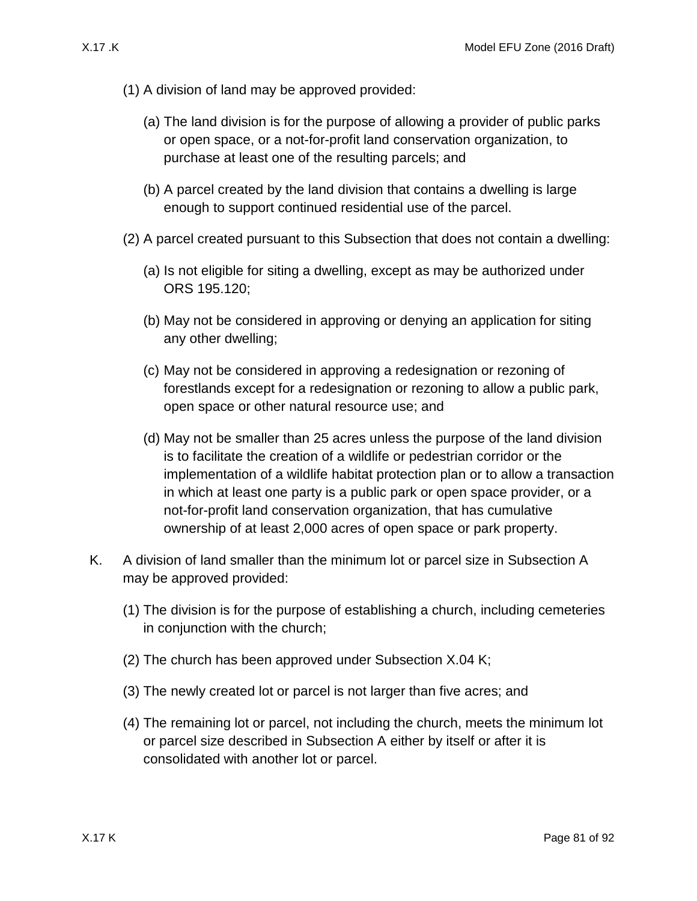- (1) A division of land may be approved provided:
	- (a) The land division is for the purpose of allowing a provider of public parks or open space, or a not-for-profit land conservation organization, to purchase at least one of the resulting parcels; and
	- (b) A parcel created by the land division that contains a dwelling is large enough to support continued residential use of the parcel.
- (2) A parcel created pursuant to this Subsection that does not contain a dwelling:
	- (a) Is not eligible for siting a dwelling, except as may be authorized under ORS 195.120;
	- (b) May not be considered in approving or denying an application for siting any other dwelling;
	- (c) May not be considered in approving a redesignation or rezoning of forestlands except for a redesignation or rezoning to allow a public park, open space or other natural resource use; and
	- (d) May not be smaller than 25 acres unless the purpose of the land division is to facilitate the creation of a wildlife or pedestrian corridor or the implementation of a wildlife habitat protection plan or to allow a transaction in which at least one party is a public park or open space provider, or a not-for-profit land conservation organization, that has cumulative ownership of at least 2,000 acres of open space or park property.
- <span id="page-80-0"></span>K. A division of land smaller than the minimum lot or parcel size in Subsection [A](#page-77-1) may be approved provided:
	- (1) The division is for the purpose of establishing a church, including cemeteries in conjunction with the church;
	- (2) The church has been approved under Subsection [X.04 K;](#page-12-1)
	- (3) The newly created lot or parcel is not larger than five acres; and
	- (4) The remaining lot or parcel, not including the church, meets the minimum lot or parcel size described in Subsection [A](#page-77-1) either by itself or after it is consolidated with another lot or parcel.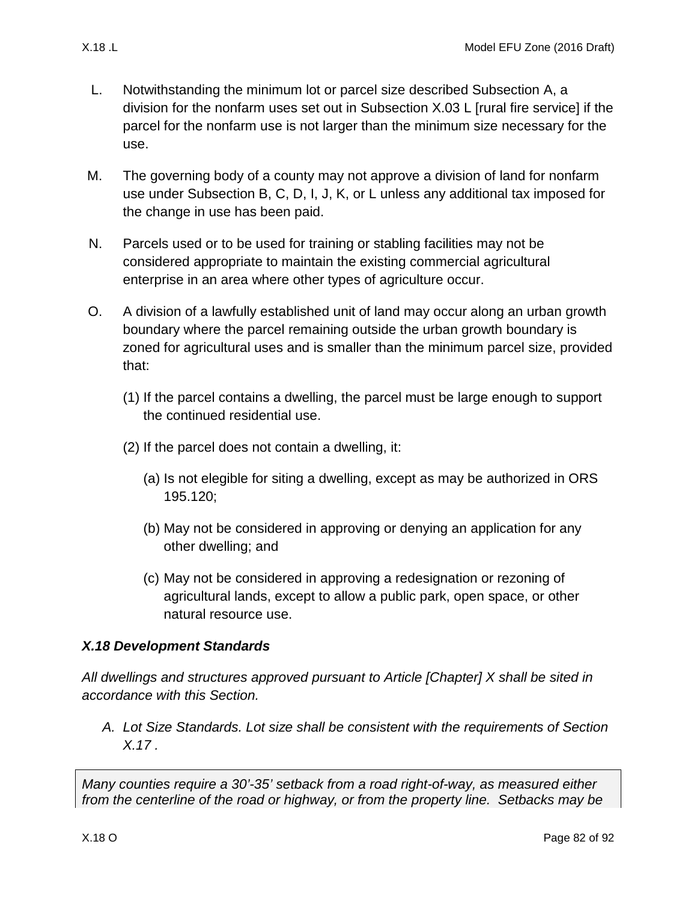- <span id="page-81-0"></span>L. Notwithstanding the minimum lot or parcel size described Subsection [A,](#page-77-1) a division for the nonfarm uses set out in Subsection [X.03 L](#page-11-0) [rural fire service] if the parcel for the nonfarm use is not larger than the minimum size necessary for the use.
- M. The governing body of a county may not approve a division of land for nonfarm use under Subsection [B,](#page-78-0) [C,](#page-78-1) [D,](#page-78-2) [I,](#page-79-0) [J,](#page-79-1) [K,](#page-80-0) or [L](#page-81-0) unless any additional tax imposed for the change in use has been paid.
- N. Parcels used or to be used for training or stabling facilities may not be considered appropriate to maintain the existing commercial agricultural enterprise in an area where other types of agriculture occur.
- O. A division of a lawfully established unit of land may occur along an urban growth boundary where the parcel remaining outside the urban growth boundary is zoned for agricultural uses and is smaller than the minimum parcel size, provided that:
	- (1) If the parcel contains a dwelling, the parcel must be large enough to support the continued residential use.
	- (2) If the parcel does not contain a dwelling, it:
		- (a) Is not elegible for siting a dwelling, except as may be authorized in ORS 195.120;
		- (b) May not be considered in approving or denying an application for any other dwelling; and
		- (c) May not be considered in approving a redesignation or rezoning of agricultural lands, except to allow a public park, open space, or other natural resource use.

## *X.18 Development Standards*

*All dwellings and structures approved pursuant to Article [Chapter] X shall be sited in accordance with this Section.*

*A. Lot Size Standards. Lot size shall be consistent with the requirements of Section [X.17 .](#page-77-2)*

*Many counties require a 30'-35' setback from a road right-of-way, as measured either from the centerline of the road or highway, or from the property line. Setbacks may be*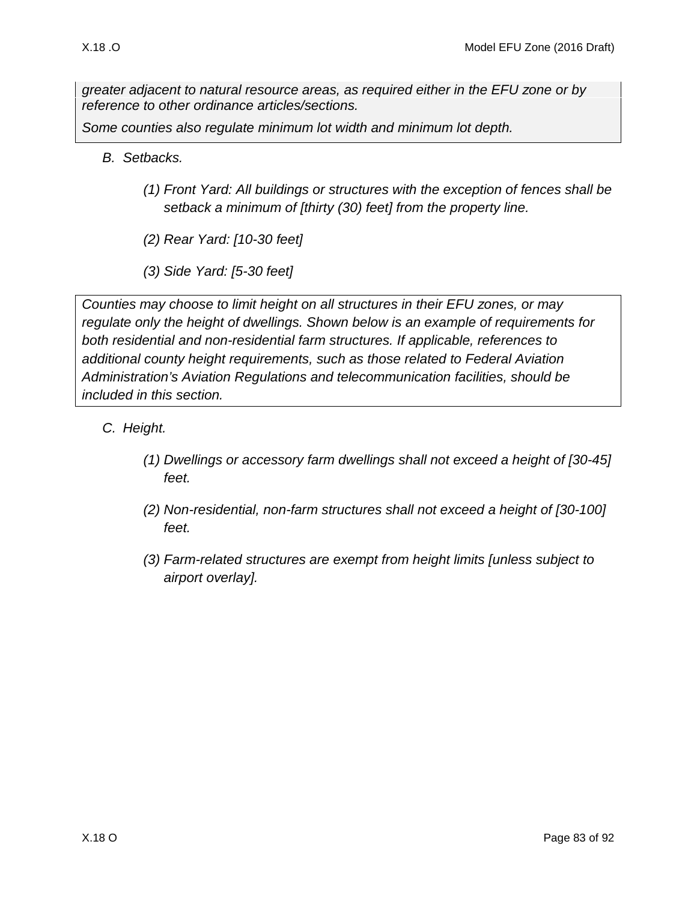*greater adjacent to natural resource areas, as required either in the EFU zone or by reference to other ordinance articles/sections.*

*Some counties also regulate minimum lot width and minimum lot depth.*

- *B. Setbacks.* 
	- *(1) Front Yard: All buildings or structures with the exception of fences shall be setback a minimum of [thirty (30) feet] from the property line.*
	- *(2) Rear Yard: [10-30 feet]*
	- *(3) Side Yard: [5-30 feet]*

*Counties may choose to limit height on all structures in their EFU zones, or may regulate only the height of dwellings. Shown below is an example of requirements for both residential and non-residential farm structures. If applicable, references to additional county height requirements, such as those related to Federal Aviation Administration's Aviation Regulations and telecommunication facilities, should be included in this section.*

- *C. Height.* 
	- *(1) Dwellings or accessory farm dwellings shall not exceed a height of [30-45] feet.*
	- *(2) Non-residential, non-farm structures shall not exceed a height of [30-100] feet.*
	- *(3) Farm-related structures are exempt from height limits [unless subject to airport overlay].*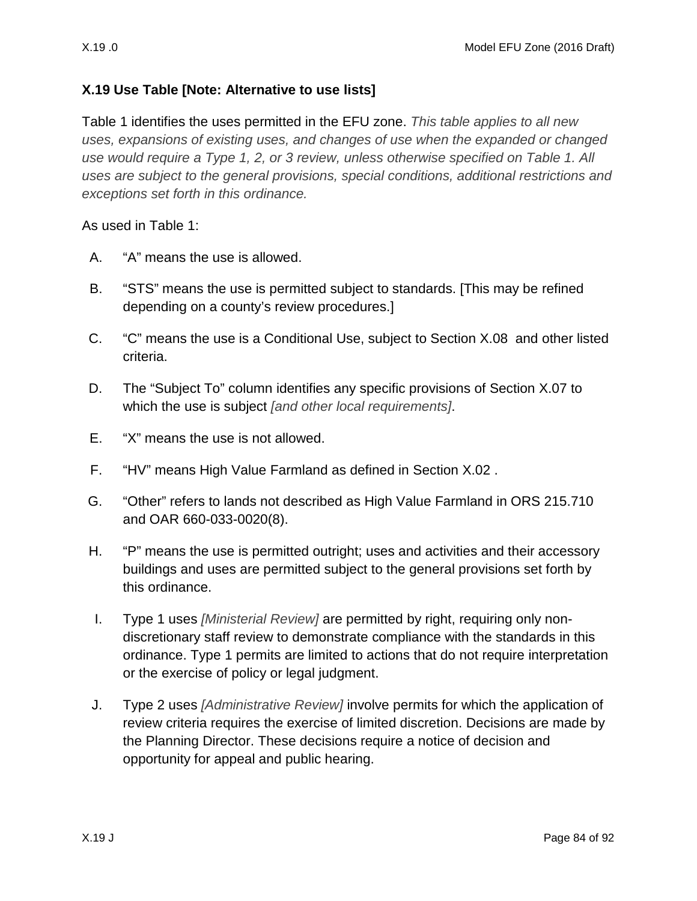## **X.19 Use Table [Note: Alternative to use lists]**

Table 1 identifies the uses permitted in the EFU zone. *This table applies to all new uses, expansions of existing uses, and changes of use when the expanded or changed use would require a Type 1, 2, or 3 review, unless otherwise specified on Table 1. All uses are subject to the general provisions, special conditions, additional restrictions and exceptions set forth in this ordinance.* 

As used in Table 1:

- A. "A" means the use is allowed.
- B. "STS" means the use is permitted subject to standards. [This may be refined depending on a county's review procedures.]
- C. "C" means the use is a Conditional Use, subject to Section [X.08](#page-37-0) and other listed criteria.
- D. The "Subject To" column identifies any specific provisions of Section [X.07 t](#page-16-0)o which the use is subject *[and other local requirements]*.
- E. "X" means the use is not allowed.
- F. "HV" means High Value Farmland as defined in Section [X.02 .](#page-1-0)
- G. "Other" refers to lands not described as High Value Farmland in ORS 215.710 and OAR 660-033-0020(8).
- H. "P" means the use is permitted outright; uses and activities and their accessory buildings and uses are permitted subject to the general provisions set forth by this ordinance.
- I. Type 1 uses *[Ministerial Review]* are permitted by right, requiring only nondiscretionary staff review to demonstrate compliance with the standards in this ordinance. Type 1 permits are limited to actions that do not require interpretation or the exercise of policy or legal judgment.
- J. Type 2 uses *[Administrative Review]* involve permits for which the application of review criteria requires the exercise of limited discretion. Decisions are made by the Planning Director. These decisions require a notice of decision and opportunity for appeal and public hearing.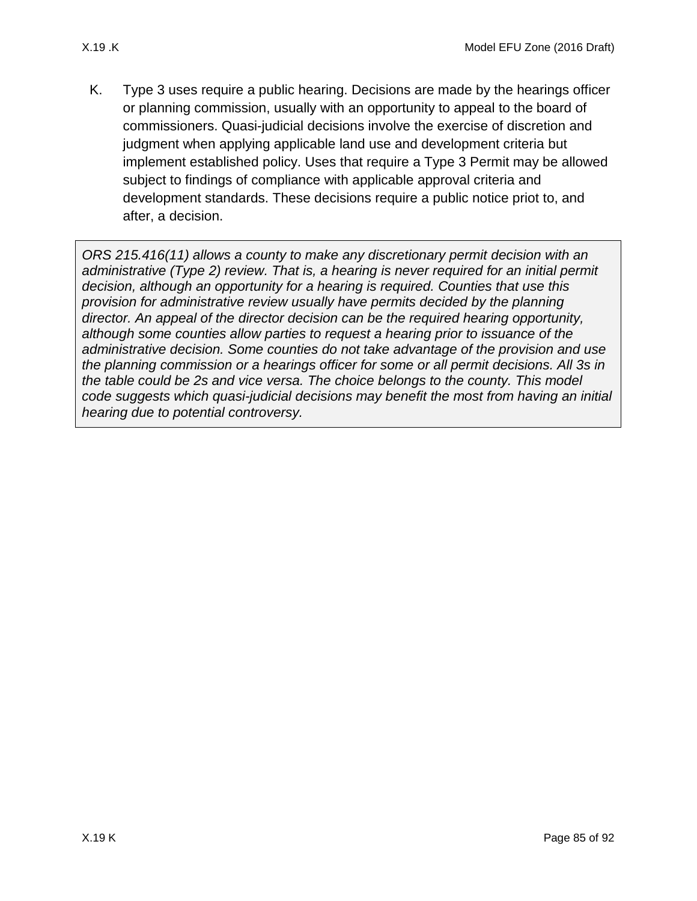K. Type 3 uses require a public hearing. Decisions are made by the hearings officer or planning commission, usually with an opportunity to appeal to the board of commissioners. Quasi-judicial decisions involve the exercise of discretion and judgment when applying applicable land use and development criteria but implement established policy. Uses that require a Type 3 Permit may be allowed subject to findings of compliance with applicable approval criteria and development standards. These decisions require a public notice priot to, and after, a decision.

*ORS 215.416(11) allows a county to make any discretionary permit decision with an administrative (Type 2) review. That is, a hearing is never required for an initial permit decision, although an opportunity for a hearing is required. Counties that use this provision for administrative review usually have permits decided by the planning director. An appeal of the director decision can be the required hearing opportunity, although some counties allow parties to request a hearing prior to issuance of the administrative decision. Some counties do not take advantage of the provision and use the planning commission or a hearings officer for some or all permit decisions. All 3s in the table could be 2s and vice versa. The choice belongs to the county. This model code suggests which quasi-judicial decisions may benefit the most from having an initial hearing due to potential controversy.*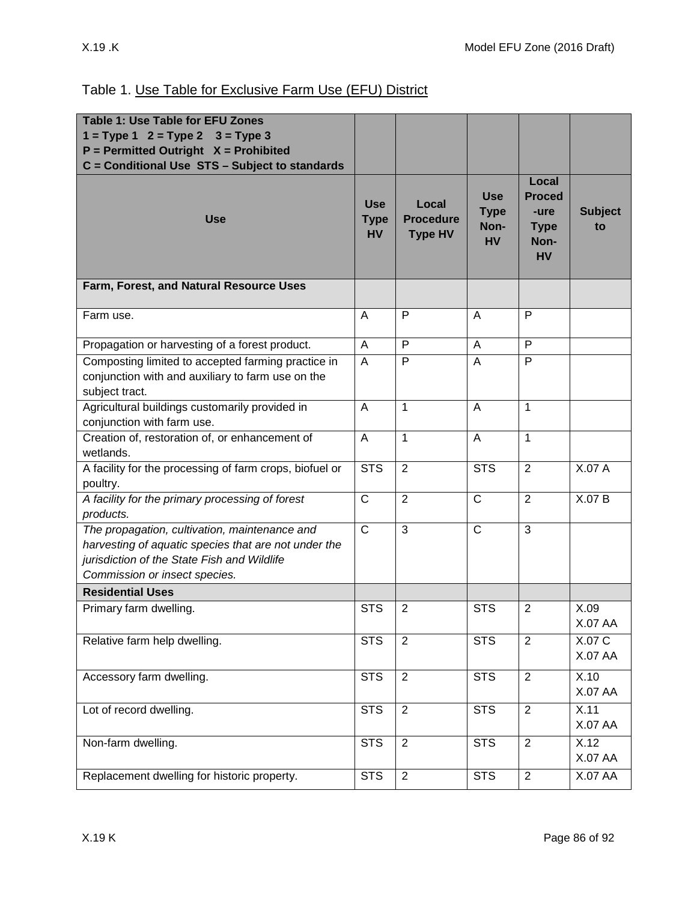| <b>Table 1: Use Table for EFU Zones</b>                                                                                                                                               |                                        |                                             |                                                |                                                                    |                          |
|---------------------------------------------------------------------------------------------------------------------------------------------------------------------------------------|----------------------------------------|---------------------------------------------|------------------------------------------------|--------------------------------------------------------------------|--------------------------|
| $1 = Type 1$ $2 = Type 2$ $3 = Type 3$                                                                                                                                                |                                        |                                             |                                                |                                                                    |                          |
| $P = Permitted$ Outright $X = Prohibited$                                                                                                                                             |                                        |                                             |                                                |                                                                    |                          |
| C = Conditional Use STS - Subject to standards                                                                                                                                        |                                        |                                             |                                                |                                                                    |                          |
| <b>Use</b>                                                                                                                                                                            | <b>Use</b><br><b>Type</b><br><b>HV</b> | Local<br><b>Procedure</b><br><b>Type HV</b> | <b>Use</b><br><b>Type</b><br>Non-<br><b>HV</b> | Local<br><b>Proced</b><br>-ure<br><b>Type</b><br>Non-<br><b>HV</b> | <b>Subject</b><br>to     |
| Farm, Forest, and Natural Resource Uses                                                                                                                                               |                                        |                                             |                                                |                                                                    |                          |
| Farm use.                                                                                                                                                                             | A                                      | P                                           | A                                              | P                                                                  |                          |
| Propagation or harvesting of a forest product.                                                                                                                                        | $\overline{A}$                         | P                                           | A                                              | P                                                                  |                          |
| Composting limited to accepted farming practice in<br>conjunction with and auxiliary to farm use on the<br>subject tract.                                                             | A                                      | P                                           | A                                              | $\mathsf{P}$                                                       |                          |
| Agricultural buildings customarily provided in<br>conjunction with farm use.                                                                                                          | $\overline{A}$                         | $\mathbf{1}$                                | A                                              | $\mathbf{1}$                                                       |                          |
| Creation of, restoration of, or enhancement of<br>wetlands.                                                                                                                           | A                                      | $\mathbf{1}$                                | A                                              | $\mathbf{1}$                                                       |                          |
| A facility for the processing of farm crops, biofuel or<br>poultry.                                                                                                                   | <b>STS</b>                             | $\overline{2}$                              | $\overline{\text{STS}}$                        | $\overline{2}$                                                     | X.07A                    |
| A facility for the primary processing of forest<br>products.                                                                                                                          | $\overline{C}$                         | $\overline{2}$                              | $\overline{C}$                                 | $\overline{2}$                                                     | X.07 B                   |
| The propagation, cultivation, maintenance and<br>harvesting of aquatic species that are not under the<br>jurisdiction of the State Fish and Wildlife<br>Commission or insect species. | $\mathsf{C}$                           | 3                                           | $\mathsf{C}$                                   | 3                                                                  |                          |
| <b>Residential Uses</b>                                                                                                                                                               |                                        |                                             |                                                |                                                                    |                          |
| Primary farm dwelling.                                                                                                                                                                | <b>STS</b>                             | $\overline{2}$                              | <b>STS</b>                                     | $\overline{2}$                                                     | X.09<br>X.07 AA          |
| Relative farm help dwelling.                                                                                                                                                          | <b>STS</b>                             | $\overline{2}$                              | <b>STS</b>                                     | $\overline{2}$                                                     | X.07 C<br><b>X.07 AA</b> |
| Accessory farm dwelling.                                                                                                                                                              | $\overline{\text{STS}}$                | $\overline{2}$                              | <b>STS</b>                                     | $\overline{2}$                                                     | X.10<br><b>X.07 AA</b>   |
| Lot of record dwelling.                                                                                                                                                               | <b>STS</b>                             | $\sqrt{2}$                                  | <b>STS</b>                                     | $\overline{2}$                                                     | X.11<br><b>X.07 AA</b>   |
| Non-farm dwelling.                                                                                                                                                                    | <b>STS</b>                             | $\overline{2}$                              | <b>STS</b>                                     | $\overline{2}$                                                     | X.12<br><b>X.07 AA</b>   |
| Replacement dwelling for historic property.                                                                                                                                           | <b>STS</b>                             | $\overline{2}$                              | <b>STS</b>                                     | $\overline{2}$                                                     | X.07 AA                  |

## Table 1. Use Table for Exclusive Farm Use (EFU) District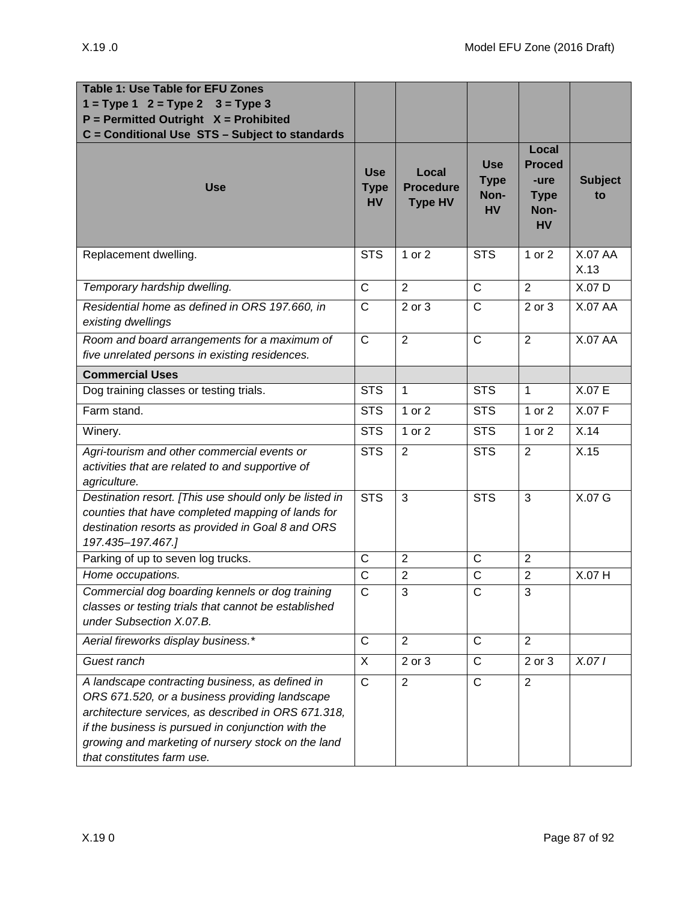| <b>Table 1: Use Table for EFU Zones</b><br>$1 = Type 1 2 = Type 2$<br>$3 = Type 3$<br>$P = Permitted$ Outright $X = Prohibited$<br>C = Conditional Use STS - Subject to standards                                                                                                                  |                                        |                                             |                                                |                                                                    |                        |
|----------------------------------------------------------------------------------------------------------------------------------------------------------------------------------------------------------------------------------------------------------------------------------------------------|----------------------------------------|---------------------------------------------|------------------------------------------------|--------------------------------------------------------------------|------------------------|
| <b>Use</b>                                                                                                                                                                                                                                                                                         | <b>Use</b><br><b>Type</b><br><b>HV</b> | Local<br><b>Procedure</b><br><b>Type HV</b> | <b>Use</b><br><b>Type</b><br>Non-<br><b>HV</b> | Local<br><b>Proced</b><br>-ure<br><b>Type</b><br>Non-<br><b>HV</b> | <b>Subject</b><br>to   |
| Replacement dwelling.                                                                                                                                                                                                                                                                              | <b>STS</b>                             | 1 or 2                                      | <b>STS</b>                                     | 1 or 2                                                             | <b>X.07 AA</b><br>X.13 |
| Temporary hardship dwelling.                                                                                                                                                                                                                                                                       | $\mathsf{C}$                           | $\overline{2}$                              | $\overline{C}$                                 | $\overline{2}$                                                     | X.07 D                 |
| Residential home as defined in ORS 197.660, in<br>existing dwellings                                                                                                                                                                                                                               | $\mathsf{C}$                           | 2 or 3                                      | $\overline{C}$                                 | 2 or 3                                                             | <b>X.07 AA</b>         |
| Room and board arrangements for a maximum of<br>five unrelated persons in existing residences.                                                                                                                                                                                                     | $\mathsf{C}$                           | $\overline{2}$                              | $\mathsf{C}$                                   | $\overline{2}$                                                     | <b>X.07 AA</b>         |
| <b>Commercial Uses</b>                                                                                                                                                                                                                                                                             |                                        |                                             |                                                |                                                                    |                        |
| Dog training classes or testing trials.                                                                                                                                                                                                                                                            | <b>STS</b>                             | $\mathbf{1}$                                | <b>STS</b>                                     | $\mathbf{1}$                                                       | X.07E                  |
| Farm stand.                                                                                                                                                                                                                                                                                        | <b>STS</b>                             | 1 or 2                                      | <b>STS</b>                                     | 1 or 2                                                             | X.07 F                 |
| Winery.                                                                                                                                                                                                                                                                                            | <b>STS</b>                             | 1 or 2                                      | <b>STS</b>                                     | 1 or 2                                                             | X.14                   |
| Agri-tourism and other commercial events or<br>activities that are related to and supportive of<br>agriculture.                                                                                                                                                                                    | <b>STS</b>                             | 2                                           | <b>STS</b>                                     | $\overline{2}$                                                     | X.15                   |
| Destination resort. [This use should only be listed in<br>counties that have completed mapping of lands for<br>destination resorts as provided in Goal 8 and ORS<br>197.435-197.467.]                                                                                                              | <b>STS</b>                             | 3                                           | <b>STS</b>                                     | 3                                                                  | X.07 G                 |
| Parking of up to seven log trucks.                                                                                                                                                                                                                                                                 | $\mathsf{C}$                           | $\overline{2}$                              | $\mathsf{C}$                                   | $\overline{2}$                                                     |                        |
| Home occupations.                                                                                                                                                                                                                                                                                  | $\mathsf{C}$                           | $\overline{2}$                              | $\mathsf{C}$                                   | $\overline{2}$                                                     | X.07 H                 |
| Commercial dog boarding kennels or dog training<br>classes or testing trials that cannot be established<br>under Subsection X.07.B.                                                                                                                                                                | $\mathsf{C}$                           | 3                                           | C                                              | 3                                                                  |                        |
| Aerial fireworks display business.*                                                                                                                                                                                                                                                                | $\mathsf{C}$                           | $\overline{2}$                              | $\mathsf{C}$                                   | $\overline{2}$                                                     |                        |
| Guest ranch                                                                                                                                                                                                                                                                                        | X                                      | 2 or 3                                      | $\mathsf{C}$                                   | 2 or 3                                                             | X.071                  |
| A landscape contracting business, as defined in<br>ORS 671.520, or a business providing landscape<br>architecture services, as described in ORS 671.318,<br>if the business is pursued in conjunction with the<br>growing and marketing of nursery stock on the land<br>that constitutes farm use. | $\mathsf C$                            | 2                                           | $\mathsf C$                                    | $\overline{2}$                                                     |                        |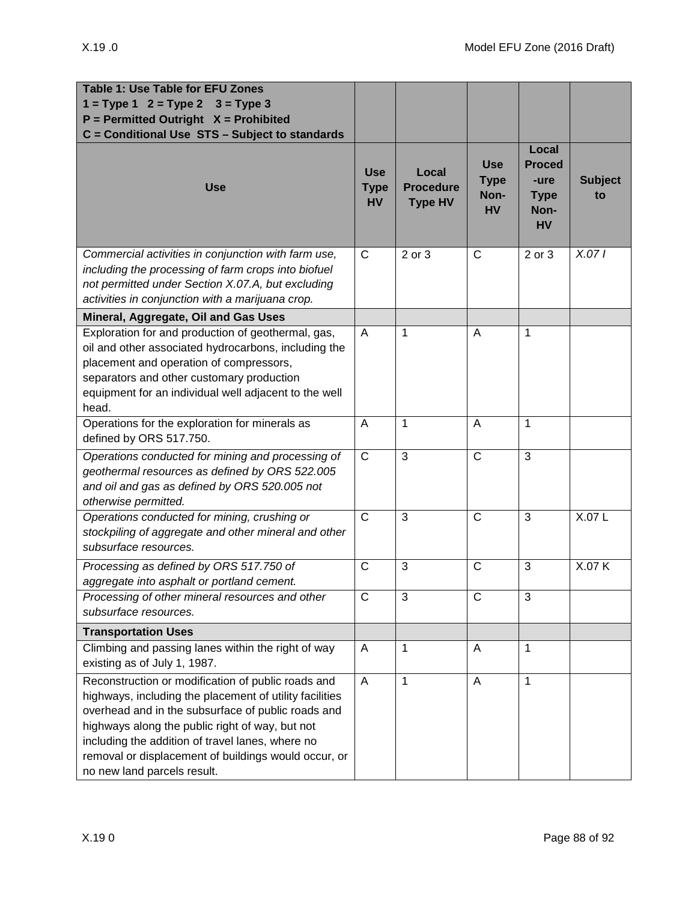| Table 1: Use Table for EFU Zones<br>$1 = Type 1$ $2 = Type 2$<br>$3 = Type 3$<br>$P = Permitted$ Outright $X = Prohibited$<br>C = Conditional Use STS - Subject to standards                                                                                                                                                                                      |                                        |                                             |                                                |                                                                    |                      |
|-------------------------------------------------------------------------------------------------------------------------------------------------------------------------------------------------------------------------------------------------------------------------------------------------------------------------------------------------------------------|----------------------------------------|---------------------------------------------|------------------------------------------------|--------------------------------------------------------------------|----------------------|
| <b>Use</b>                                                                                                                                                                                                                                                                                                                                                        | <b>Use</b><br><b>Type</b><br><b>HV</b> | Local<br><b>Procedure</b><br><b>Type HV</b> | <b>Use</b><br><b>Type</b><br>Non-<br><b>HV</b> | Local<br><b>Proced</b><br>-ure<br><b>Type</b><br>Non-<br><b>HV</b> | <b>Subject</b><br>to |
| Commercial activities in conjunction with farm use,<br>including the processing of farm crops into biofuel<br>not permitted under Section X.07.A, but excluding<br>activities in conjunction with a marijuana crop.                                                                                                                                               | C                                      | 2 or 3                                      | $\mathsf{C}$                                   | 2 or 3                                                             | X.071                |
| Mineral, Aggregate, Oil and Gas Uses                                                                                                                                                                                                                                                                                                                              |                                        |                                             |                                                |                                                                    |                      |
| Exploration for and production of geothermal, gas,<br>oil and other associated hydrocarbons, including the<br>placement and operation of compressors,<br>separators and other customary production<br>equipment for an individual well adjacent to the well<br>head.                                                                                              | A                                      | 1                                           | A                                              | 1                                                                  |                      |
| Operations for the exploration for minerals as<br>defined by ORS 517.750.                                                                                                                                                                                                                                                                                         | A                                      | $\mathbf{1}$                                | A                                              | $\mathbf{1}$                                                       |                      |
| Operations conducted for mining and processing of<br>geothermal resources as defined by ORS 522.005<br>and oil and gas as defined by ORS 520.005 not<br>otherwise permitted.                                                                                                                                                                                      | $\mathsf{C}$                           | 3                                           | $\mathsf{C}$                                   | 3                                                                  |                      |
| Operations conducted for mining, crushing or<br>stockpiling of aggregate and other mineral and other<br>subsurface resources.                                                                                                                                                                                                                                     | $\mathsf{C}$                           | 3                                           | $\mathsf{C}$                                   | 3                                                                  | X.07L                |
| Processing as defined by ORS 517.750 of<br>aggregate into asphalt or portland cement.                                                                                                                                                                                                                                                                             | $\mathsf{C}$                           | 3                                           | $\overline{C}$                                 | 3                                                                  | X.07 K               |
| Processing of other mineral resources and other<br>subsurface resources.                                                                                                                                                                                                                                                                                          | $\mathsf{C}$                           | 3                                           | $\mathsf{C}$                                   | 3                                                                  |                      |
| <b>Transportation Uses</b>                                                                                                                                                                                                                                                                                                                                        |                                        |                                             |                                                |                                                                    |                      |
| Climbing and passing lanes within the right of way<br>existing as of July 1, 1987.                                                                                                                                                                                                                                                                                | A                                      | 1                                           | A                                              | 1                                                                  |                      |
| Reconstruction or modification of public roads and<br>highways, including the placement of utility facilities<br>overhead and in the subsurface of public roads and<br>highways along the public right of way, but not<br>including the addition of travel lanes, where no<br>removal or displacement of buildings would occur, or<br>no new land parcels result. | A                                      | $\mathbf{1}$                                | $\overline{A}$                                 | $\mathbf 1$                                                        |                      |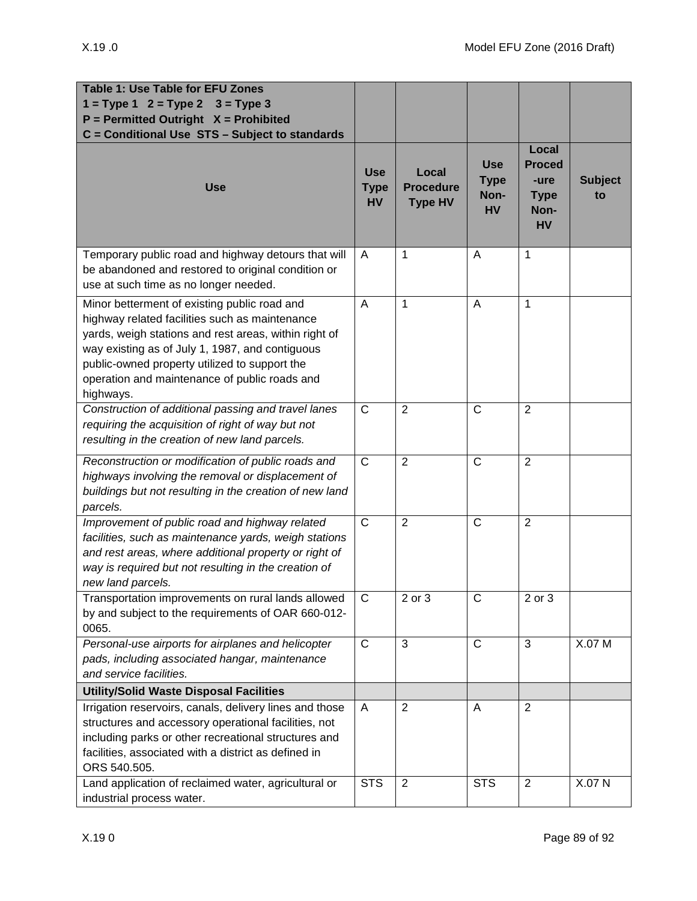| Table 1: Use Table for EFU Zones<br>$1 = Type 1$ $2 = Type 2$ $3 = Type 3$<br>$P = Permitted$ Outright $X = Prohibited$<br>C = Conditional Use STS - Subject to standards                                                                                                                                                 |                                        |                                             |                                                |                                                                    |                      |
|---------------------------------------------------------------------------------------------------------------------------------------------------------------------------------------------------------------------------------------------------------------------------------------------------------------------------|----------------------------------------|---------------------------------------------|------------------------------------------------|--------------------------------------------------------------------|----------------------|
| <b>Use</b>                                                                                                                                                                                                                                                                                                                | <b>Use</b><br><b>Type</b><br><b>HV</b> | Local<br><b>Procedure</b><br><b>Type HV</b> | <b>Use</b><br><b>Type</b><br>Non-<br><b>HV</b> | Local<br><b>Proced</b><br>-ure<br><b>Type</b><br>Non-<br><b>HV</b> | <b>Subject</b><br>to |
| Temporary public road and highway detours that will<br>be abandoned and restored to original condition or<br>use at such time as no longer needed.                                                                                                                                                                        | A                                      | 1                                           | A                                              | $\mathbf 1$                                                        |                      |
| Minor betterment of existing public road and<br>highway related facilities such as maintenance<br>yards, weigh stations and rest areas, within right of<br>way existing as of July 1, 1987, and contiguous<br>public-owned property utilized to support the<br>operation and maintenance of public roads and<br>highways. | A                                      | 1                                           | A                                              | $\mathbf{1}$                                                       |                      |
| Construction of additional passing and travel lanes<br>requiring the acquisition of right of way but not<br>resulting in the creation of new land parcels.                                                                                                                                                                | $\mathsf{C}$                           | $\overline{2}$                              | $\mathsf{C}$                                   | 2                                                                  |                      |
| Reconstruction or modification of public roads and<br>highways involving the removal or displacement of<br>buildings but not resulting in the creation of new land<br>parcels.                                                                                                                                            | $\mathsf{C}$                           | $\overline{2}$                              | $\mathsf{C}$                                   | 2                                                                  |                      |
| Improvement of public road and highway related<br>facilities, such as maintenance yards, weigh stations<br>and rest areas, where additional property or right of<br>way is required but not resulting in the creation of<br>new land parcels.                                                                             | $\mathsf{C}$                           | $\overline{2}$                              | C                                              | $\overline{2}$                                                     |                      |
| Transportation improvements on rural lands allowed<br>by and subject to the requirements of OAR 660-012-<br>0065.                                                                                                                                                                                                         | $\mathsf{C}$                           | $2$ or $3$                                  | $\mathsf{C}$                                   | $2$ or $3$                                                         |                      |
| Personal-use airports for airplanes and helicopter<br>pads, including associated hangar, maintenance<br>and service facilities.                                                                                                                                                                                           | $\mathsf{C}$                           | 3                                           | $\mathsf{C}$                                   | 3                                                                  | X.07 M               |
| <b>Utility/Solid Waste Disposal Facilities</b>                                                                                                                                                                                                                                                                            |                                        |                                             |                                                |                                                                    |                      |
| Irrigation reservoirs, canals, delivery lines and those<br>structures and accessory operational facilities, not<br>including parks or other recreational structures and<br>facilities, associated with a district as defined in<br>ORS 540.505.                                                                           | A                                      | $\overline{2}$                              | A                                              | 2                                                                  |                      |
| Land application of reclaimed water, agricultural or<br>industrial process water.                                                                                                                                                                                                                                         | <b>STS</b>                             | $\overline{2}$                              | <b>STS</b>                                     | $\overline{2}$                                                     | X.07 N               |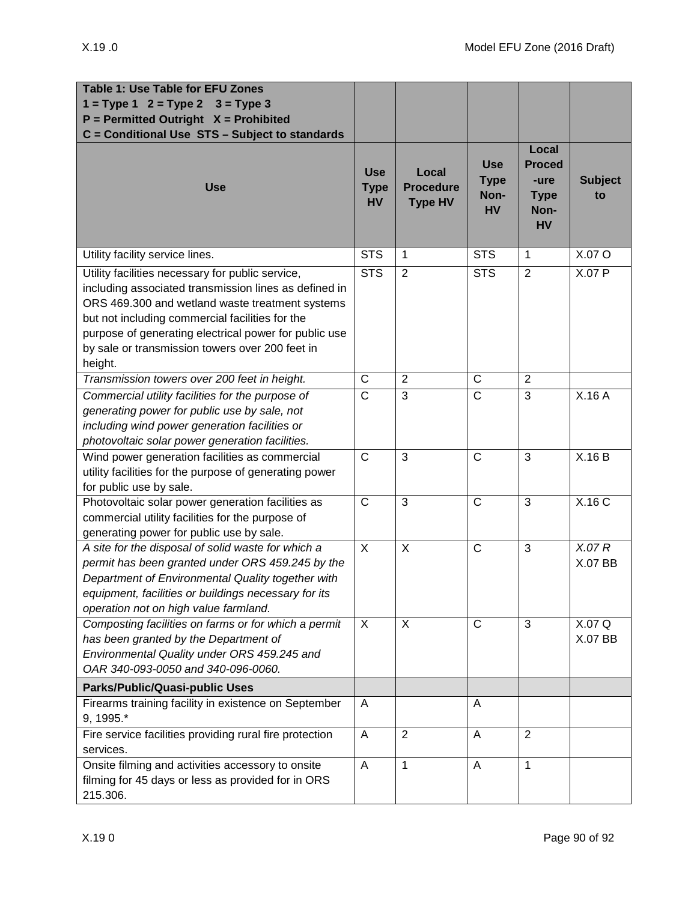| Table 1: Use Table for EFU Zones<br>$1 = Type 1 2 = Type 2$<br>$3 = Type 3$<br>$P = Permitted$ Outright $X = Prohibited$                                                                                                                                                                                                               |                                        |                                             |                                                |                                                                    |                      |
|----------------------------------------------------------------------------------------------------------------------------------------------------------------------------------------------------------------------------------------------------------------------------------------------------------------------------------------|----------------------------------------|---------------------------------------------|------------------------------------------------|--------------------------------------------------------------------|----------------------|
| C = Conditional Use STS - Subject to standards<br><b>Use</b>                                                                                                                                                                                                                                                                           | <b>Use</b><br><b>Type</b><br><b>HV</b> | Local<br><b>Procedure</b><br><b>Type HV</b> | <b>Use</b><br><b>Type</b><br>Non-<br><b>HV</b> | Local<br><b>Proced</b><br>-ure<br><b>Type</b><br>Non-<br><b>HV</b> | <b>Subject</b><br>to |
| Utility facility service lines.                                                                                                                                                                                                                                                                                                        | <b>STS</b>                             | 1                                           | <b>STS</b>                                     | 1                                                                  | X.07 O               |
| Utility facilities necessary for public service,<br>including associated transmission lines as defined in<br>ORS 469.300 and wetland waste treatment systems<br>but not including commercial facilities for the<br>purpose of generating electrical power for public use<br>by sale or transmission towers over 200 feet in<br>height. | <b>STS</b>                             | $\overline{2}$                              | <b>STS</b>                                     | $\overline{2}$                                                     | X.07 P               |
| Transmission towers over 200 feet in height.                                                                                                                                                                                                                                                                                           | $\mathsf{C}$                           | $\overline{2}$                              | $\mathsf{C}$                                   | 2                                                                  |                      |
| Commercial utility facilities for the purpose of<br>generating power for public use by sale, not<br>including wind power generation facilities or<br>photovoltaic solar power generation facilities.                                                                                                                                   | $\overline{C}$                         | 3                                           | $\overline{\text{c}}$                          | 3                                                                  | X.16A                |
| Wind power generation facilities as commercial<br>utility facilities for the purpose of generating power<br>for public use by sale.                                                                                                                                                                                                    | $\mathsf{C}$                           | 3                                           | $\mathsf C$                                    | 3                                                                  | X.16B                |
| Photovoltaic solar power generation facilities as<br>commercial utility facilities for the purpose of<br>generating power for public use by sale.                                                                                                                                                                                      | $\mathsf{C}$                           | 3                                           | $\mathsf{C}$                                   | 3                                                                  | X.16 C               |
| A site for the disposal of solid waste for which a<br>permit has been granted under ORS 459.245 by the<br>Department of Environmental Quality together with<br>equipment, facilities or buildings necessary for its<br>operation not on high value farmland.                                                                           | X                                      | X                                           | $\mathsf{C}$                                   | 3                                                                  | X.07R<br>X.07 BB     |
| Composting facilities on farms or for which a permit<br>has been granted by the Department of<br>Environmental Quality under ORS 459.245 and<br>OAR 340-093-0050 and 340-096-0060.                                                                                                                                                     | X                                      | X                                           | $\mathsf C$                                    | 3                                                                  | X.07 Q<br>X.07 BB    |
| <b>Parks/Public/Quasi-public Uses</b>                                                                                                                                                                                                                                                                                                  |                                        |                                             |                                                |                                                                    |                      |
| Firearms training facility in existence on September<br>9, 1995.*                                                                                                                                                                                                                                                                      | A                                      |                                             | A                                              |                                                                    |                      |
| Fire service facilities providing rural fire protection<br>services.                                                                                                                                                                                                                                                                   | A                                      | $\overline{2}$                              | Α                                              | $\overline{2}$                                                     |                      |
| Onsite filming and activities accessory to onsite<br>filming for 45 days or less as provided for in ORS<br>215.306.                                                                                                                                                                                                                    | A                                      | 1                                           | A                                              | 1                                                                  |                      |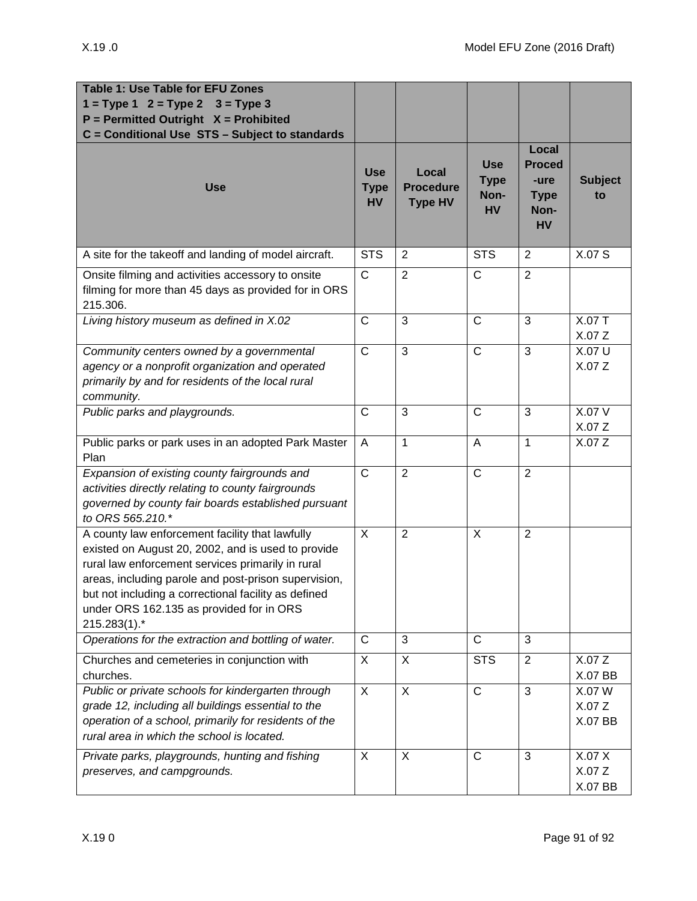| <b>Table 1: Use Table for EFU Zones</b><br>$1 = Type 1 2 = Type 2$<br>$3 = Type 3$<br>$P = Permitted$ Outright $X = Prohibited$<br>C = Conditional Use STS - Subject to standards                                                                                                                                                      |                                        |                                             |                                                |                                                                    |                                   |
|----------------------------------------------------------------------------------------------------------------------------------------------------------------------------------------------------------------------------------------------------------------------------------------------------------------------------------------|----------------------------------------|---------------------------------------------|------------------------------------------------|--------------------------------------------------------------------|-----------------------------------|
| <b>Use</b>                                                                                                                                                                                                                                                                                                                             | <b>Use</b><br><b>Type</b><br><b>HV</b> | Local<br><b>Procedure</b><br><b>Type HV</b> | <b>Use</b><br><b>Type</b><br>Non-<br><b>HV</b> | Local<br><b>Proced</b><br>-ure<br><b>Type</b><br>Non-<br><b>HV</b> | <b>Subject</b><br>to              |
| A site for the takeoff and landing of model aircraft.                                                                                                                                                                                                                                                                                  | <b>STS</b>                             | $\overline{2}$                              | <b>STS</b>                                     | $\overline{2}$                                                     | X.07 S                            |
| Onsite filming and activities accessory to onsite<br>filming for more than 45 days as provided for in ORS<br>215.306.                                                                                                                                                                                                                  | $\overline{\text{c}}$                  | $\overline{2}$                              | $\mathsf{C}$                                   | $\overline{2}$                                                     |                                   |
| Living history museum as defined in X.02                                                                                                                                                                                                                                                                                               | $\mathsf{C}$                           | 3                                           | $\mathsf{C}$                                   | 3                                                                  | X.07 T<br>X.07 Z                  |
| Community centers owned by a governmental<br>agency or a nonprofit organization and operated<br>primarily by and for residents of the local rural<br>community.                                                                                                                                                                        | $\mathsf{C}$                           | 3                                           | $\mathsf{C}$                                   | 3                                                                  | X.07 U<br>X.07 Z                  |
| Public parks and playgrounds.                                                                                                                                                                                                                                                                                                          | C                                      | 3                                           | $\mathsf{C}$                                   | 3                                                                  | X.07 V<br>X.07Z                   |
| Public parks or park uses in an adopted Park Master<br>Plan                                                                                                                                                                                                                                                                            | A                                      | $\mathbf{1}$                                | $\overline{A}$                                 | $\mathbf{1}$                                                       | X.07 Z                            |
| Expansion of existing county fairgrounds and<br>activities directly relating to county fairgrounds<br>governed by county fair boards established pursuant<br>to ORS 565.210.*                                                                                                                                                          | $\mathsf{C}$                           | $\overline{2}$                              | $\mathsf{C}$                                   | $\overline{2}$                                                     |                                   |
| A county law enforcement facility that lawfully<br>existed on August 20, 2002, and is used to provide<br>rural law enforcement services primarily in rural<br>areas, including parole and post-prison supervision,<br>but not including a correctional facility as defined<br>under ORS 162.135 as provided for in ORS<br>215.283(1).* | $\overline{X}$                         | $\overline{2}$                              | $\overline{X}$                                 | $\overline{2}$                                                     |                                   |
| Operations for the extraction and bottling of water.                                                                                                                                                                                                                                                                                   | $\mathsf{C}$                           | 3                                           | $\mathsf{C}$                                   | 3                                                                  |                                   |
| Churches and cemeteries in conjunction with<br>churches.                                                                                                                                                                                                                                                                               | $\overline{X}$                         | X                                           | <b>STS</b>                                     | $\overline{2}$                                                     | X.07Z<br>X.07 BB                  |
| Public or private schools for kindergarten through<br>grade 12, including all buildings essential to the<br>operation of a school, primarily for residents of the<br>rural area in which the school is located.                                                                                                                        | $\overline{X}$                         | $\overline{X}$                              | $\overline{C}$                                 | $\overline{3}$                                                     | X.07 W<br>X.07Z<br><b>X.07 BB</b> |
| Private parks, playgrounds, hunting and fishing<br>preserves, and campgrounds.                                                                                                                                                                                                                                                         | X                                      | X                                           | $\mathsf{C}$                                   | 3                                                                  | X.07 X<br>X.07Z<br>X.07 BB        |